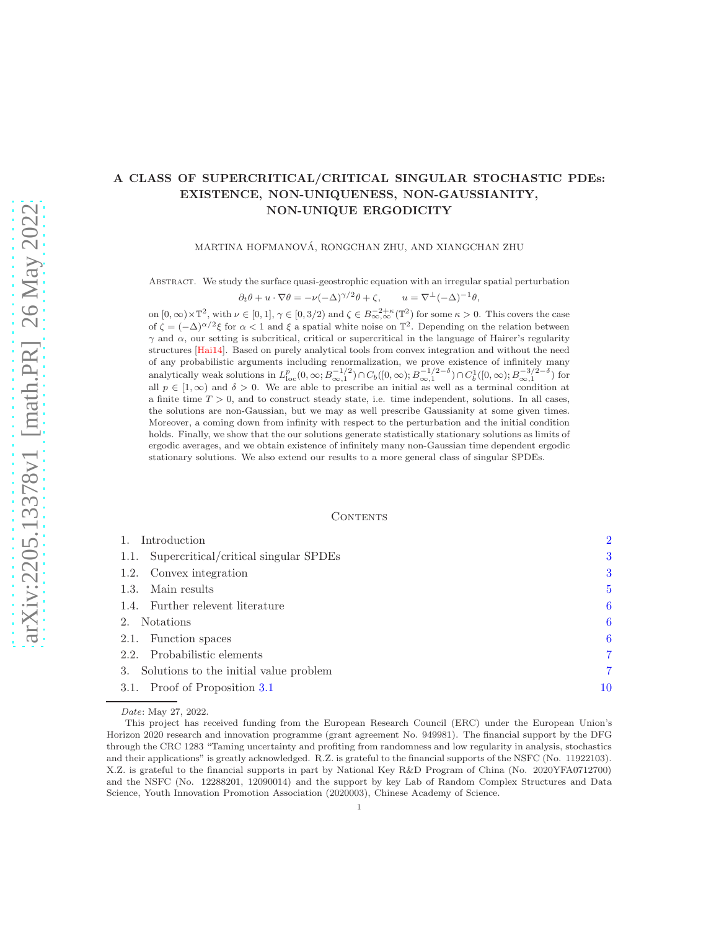# A CLASS OF SUPERCRITICAL/CRITICAL SINGULAR STOCHASTIC PDEs: EXISTENCE, NON-UNIQUENESS, NON-GAUSSIANITY, NON-UNIQUE ERGODICITY

MARTINA HOFMANOVA, RONGCHAN ZHU, AND XIANGCHAN ZHU ´

Abstract. We study the surface quasi-geostrophic equation with an irregular spatial perturbation

$$
\partial_t \theta + u \cdot \nabla \theta = -\nu (-\Delta)^{\gamma/2} \theta + \zeta, \qquad u = \nabla^{\perp} (-\Delta)^{-1} \theta,
$$

on  $[0, \infty) \times \mathbb{T}^2$ , with  $\nu \in [0, 1], \gamma \in [0, 3/2)$  and  $\zeta \in B^{-2+\kappa}_{\infty, \infty}(\mathbb{T}^2)$  for some  $\kappa > 0$ . This covers the case of  $\zeta = (-\Delta)^{\alpha/2} \xi$  for  $\alpha < 1$  and  $\xi$  a spatial white noise on  $\mathbb{T}^2$ . Depending on the relation between  $γ$  and  $α$ , our setting is subcritical, critical or supercritical in the language of Hairer's regularity structures [\[Hai14\]](#page-30-0). Based on purely analytical tools from convex integration and without the need of any probabilistic arguments including renormalization, we prove existence of infinitely many analytically weak solutions in  $L_{\text{loc}}^p(0,\infty;B_{\infty,1}^{-1/2}) \cap C_b([0,\infty);B_{\infty,1}^{-1/2-\delta}) \cap C_b^1([0,\infty);B_{\infty,1}^{-3/2-\delta})$  for all  $p \in [1,\infty)$  and  $\delta > 0$ . We are able to prescribe an initial as well as a terminal condition at a finite time  $T > 0$ , and to construct steady state, i.e. time independent, solutions. In all cases, the solutions are non-Gaussian, but we may as well prescribe Gaussianity at some given times. Moreover, a coming down from infinity with respect to the perturbation and the initial condition holds. Finally, we show that the our solutions generate statistically stationary solutions as limits of ergodic averages, and we obtain existence of infinitely many non-Gaussian time dependent ergodic stationary solutions. We also extend our results to a more general class of singular SPDEs.

## CONTENTS

| Introduction                               | $\overline{2}$ |
|--------------------------------------------|----------------|
| 1.1. Supercritical/critical singular SPDEs | 3              |
| 1.2. Convex integration                    | 3              |
| Main results<br>1.3.                       | 5              |
| 1.4. Further relevent literature           | 6              |
| Notations<br>2.                            | 6              |
| Function spaces<br>2.1.                    | 6              |
| 2.2. Probabilistic elements                | 7              |
| 3. Solutions to the initial value problem  | 7              |
| 3.1. Proof of Proposition 3.1              | 10             |

Date: May 27, 2022.

This project has received funding from the European Research Council (ERC) under the European Union's Horizon 2020 research and innovation programme (grant agreement No. 949981). The financial support by the DFG through the CRC 1283 "Taming uncertainty and profiting from randomness and low regularity in analysis, stochastics and their applications" is greatly acknowledged. R.Z. is grateful to the financial supports of the NSFC (No. 11922103). X.Z. is grateful to the financial supports in part by National Key R&D Program of China (No. 2020YFA0712700) and the NSFC (No. 12288201, 12090014) and the support by key Lab of Random Complex Structures and Data Science, Youth Innovation Promotion Association (2020003), Chinese Academy of Science.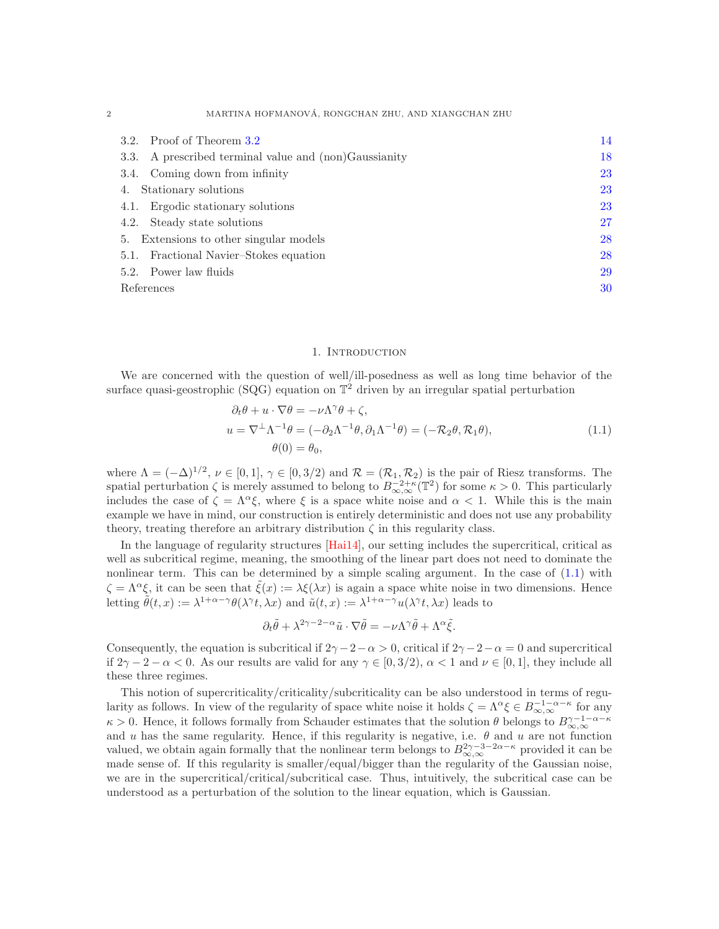| Proof of Theorem 3.2<br>3.2.                             | 14 |
|----------------------------------------------------------|----|
| A prescribed terminal value and (non)Gaussianity<br>3.3. | 18 |
| 3.4. Coming down from infinity                           | 23 |
| 4. Stationary solutions                                  | 23 |
| 4.1. Ergodic stationary solutions                        | 23 |
| 4.2. Steady state solutions                              | 27 |
| 5. Extensions to other singular models                   | 28 |
| Fractional Navier-Stokes equation<br>5.1.                | 28 |
| 5.2. Power law fluids                                    | 29 |
| References                                               | 30 |

### 1. Introduction

<span id="page-1-0"></span>We are concerned with the question of well/ill-posedness as well as long time behavior of the surface quasi-geostrophic (SQG) equation on  $\mathbb{T}^2$  driven by an irregular spatial perturbation

<span id="page-1-1"></span>
$$
\partial_t \theta + u \cdot \nabla \theta = -\nu \Lambda^\gamma \theta + \zeta,
$$
  
\n
$$
u = \nabla^\perp \Lambda^{-1} \theta = (-\partial_2 \Lambda^{-1} \theta, \partial_1 \Lambda^{-1} \theta) = (-\mathcal{R}_2 \theta, \mathcal{R}_1 \theta),
$$
  
\n
$$
\theta(0) = \theta_0,
$$
\n(1.1)

where  $\Lambda = (-\Delta)^{1/2}, \nu \in [0,1], \gamma \in [0,3/2)$  and  $\mathcal{R} = (\mathcal{R}_1, \mathcal{R}_2)$  is the pair of Riesz transforms. The spatial perturbation  $\zeta$  is merely assumed to belong to  $B^{-2+\kappa}_{\infty,\infty}(\mathbb{T}^2)$  for some  $\kappa > 0$ . This particularly includes the case of  $\zeta = \Lambda^{\alpha} \xi$ , where  $\xi$  is a space white noise and  $\alpha < 1$ . While this is the main example we have in mind, our construction is entirely deterministic and does not use any probability theory, treating therefore an arbitrary distribution  $\zeta$  in this regularity class.

In the language of regularity structures [\[Hai14\]](#page-30-0), our setting includes the supercritical, critical as well as subcritical regime, meaning, the smoothing of the linear part does not need to dominate the nonlinear term. This can be determined by a simple scaling argument. In the case of  $(1.1)$  with  $\zeta = \Lambda^{\alpha} \xi$ , it can be seen that  $\tilde{\xi}(x) := \lambda \xi(\lambda x)$  is again a space white noise in two dimensions. Hence letting  $\tilde{\theta}(t,x) := \lambda^{1+\alpha-\gamma} \theta(\lambda^{\gamma}t, \lambda x)$  and  $\tilde{u}(t,x) := \lambda^{1+\alpha-\gamma} u(\lambda^{\gamma}t, \lambda x)$  leads to

$$
\partial_t \tilde{\theta} + \lambda^{2\gamma - 2 - \alpha} \tilde{u} \cdot \nabla \tilde{\theta} = -\nu \Lambda^{\gamma} \tilde{\theta} + \Lambda^{\alpha} \tilde{\xi}.
$$

Consequently, the equation is subcritical if  $2\gamma - 2 - \alpha > 0$ , critical if  $2\gamma - 2 - \alpha = 0$  and supercritical if  $2\gamma - 2 - \alpha < 0$ . As our results are valid for any  $\gamma \in [0, 3/2)$ ,  $\alpha < 1$  and  $\nu \in [0, 1]$ , they include all these three regimes.

This notion of supercriticality/criticality/subcriticality can be also understood in terms of regularity as follows. In view of the regularity of space white noise it holds  $\zeta = \Lambda^{\alpha} \xi \in B^{-1-\alpha-\kappa}_{\infty,\infty}$  for any  $\kappa > 0$ . Hence, it follows formally from Schauder estimates that the solution  $\theta$  belongs to  $B_{\infty,\infty}^{\gamma-1-\alpha-\kappa}$ and u has the same regularity. Hence, if this regularity is negative, i.e.  $\theta$  and u are not function valued, we obtain again formally that the nonlinear term belongs to  $B_{\infty,\infty}^{2\gamma-3-2\alpha-\kappa}$  provided it can be made sense of. If this regularity is smaller/equal/bigger than the regularity of the Gaussian noise, we are in the supercritical/critical/subcritical case. Thus, intuitively, the subcritical case can be understood as a perturbation of the solution to the linear equation, which is Gaussian.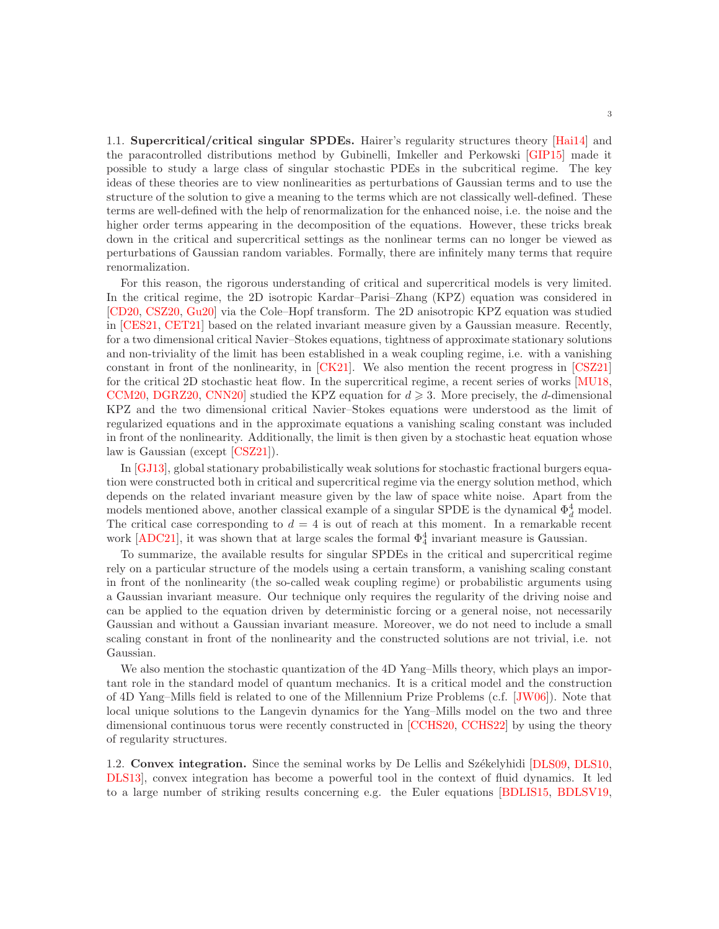<span id="page-2-0"></span>1.1. Supercritical/critical singular SPDEs. Hairer's regularity structures theory [\[Hai14\]](#page-30-0) and the paracontrolled distributions method by Gubinelli, Imkeller and Perkowski [\[GIP15\]](#page-30-1) made it possible to study a large class of singular stochastic PDEs in the subcritical regime. The key ideas of these theories are to view nonlinearities as perturbations of Gaussian terms and to use the structure of the solution to give a meaning to the terms which are not classically well-defined. These terms are well-defined with the help of renormalization for the enhanced noise, i.e. the noise and the higher order terms appearing in the decomposition of the equations. However, these tricks break down in the critical and supercritical settings as the nonlinear terms can no longer be viewed as perturbations of Gaussian random variables. Formally, there are infinitely many terms that require renormalization.

For this reason, the rigorous understanding of critical and supercritical models is very limited. In the critical regime, the 2D isotropic Kardar–Parisi–Zhang (KPZ) equation was considered in [\[CD20,](#page-29-1) [CSZ20,](#page-30-2) [Gu20\]](#page-30-3) via the Cole–Hopf transform. The 2D anisotropic KPZ equation was studied in [\[CES21,](#page-29-2) [CET21\]](#page-29-3) based on the related invariant measure given by a Gaussian measure. Recently, for a two dimensional critical Navier–Stokes equations, tightness of approximate stationary solutions and non-triviality of the limit has been established in a weak coupling regime, i.e. with a vanishing constant in front of the nonlinearity, in [\[CK21\]](#page-29-4). We also mention the recent progress in [\[CSZ21\]](#page-30-4) for the critical 2D stochastic heat flow. In the supercritical regime, a recent series of works [\[MU18,](#page-30-5) [CCM20,](#page-29-5) [DGRZ20,](#page-30-6) CNN20 studied the KPZ equation for  $d \geq 3$ . More precisely, the d-dimensional KPZ and the two dimensional critical Navier–Stokes equations were understood as the limit of regularized equations and in the approximate equations a vanishing scaling constant was included in front of the nonlinearity. Additionally, the limit is then given by a stochastic heat equation whose law is Gaussian (except [\[CSZ21\]](#page-30-4)).

In [\[GJ13\]](#page-30-8), global stationary probabilistically weak solutions for stochastic fractional burgers equation were constructed both in critical and supercritical regime via the energy solution method, which depends on the related invariant measure given by the law of space white noise. Apart from the models mentioned above, another classical example of a singular SPDE is the dynamical  $\Phi_d^4$  model. The critical case corresponding to  $d = 4$  is out of reach at this moment. In a remarkable recent work [\[ADC21\]](#page-29-6), it was shown that at large scales the formal  $\Phi_4^4$  invariant measure is Gaussian.

To summarize, the available results for singular SPDEs in the critical and supercritical regime rely on a particular structure of the models using a certain transform, a vanishing scaling constant in front of the nonlinearity (the so-called weak coupling regime) or probabilistic arguments using a Gaussian invariant measure. Our technique only requires the regularity of the driving noise and can be applied to the equation driven by deterministic forcing or a general noise, not necessarily Gaussian and without a Gaussian invariant measure. Moreover, we do not need to include a small scaling constant in front of the nonlinearity and the constructed solutions are not trivial, i.e. not Gaussian.

We also mention the stochastic quantization of the 4D Yang–Mills theory, which plays an important role in the standard model of quantum mechanics. It is a critical model and the construction of 4D Yang–Mills field is related to one of the Millennium Prize Problems (c.f. [\[JW06\]](#page-30-9)). Note that local unique solutions to the Langevin dynamics for the Yang–Mills model on the two and three dimensional continuous torus were recently constructed in [\[CCHS20,](#page-29-7) [CCHS22\]](#page-29-8) by using the theory of regularity structures.

<span id="page-2-1"></span>1.2. **Convex integration.** Since the seminal works by De Lellis and Székelyhidi [\[DLS09,](#page-30-10) [DLS10,](#page-30-11) [DLS13\]](#page-30-12), convex integration has become a powerful tool in the context of fluid dynamics. It led to a large number of striking results concerning e.g. the Euler equations [\[BDLIS15,](#page-29-9) [BDLSV19,](#page-29-10)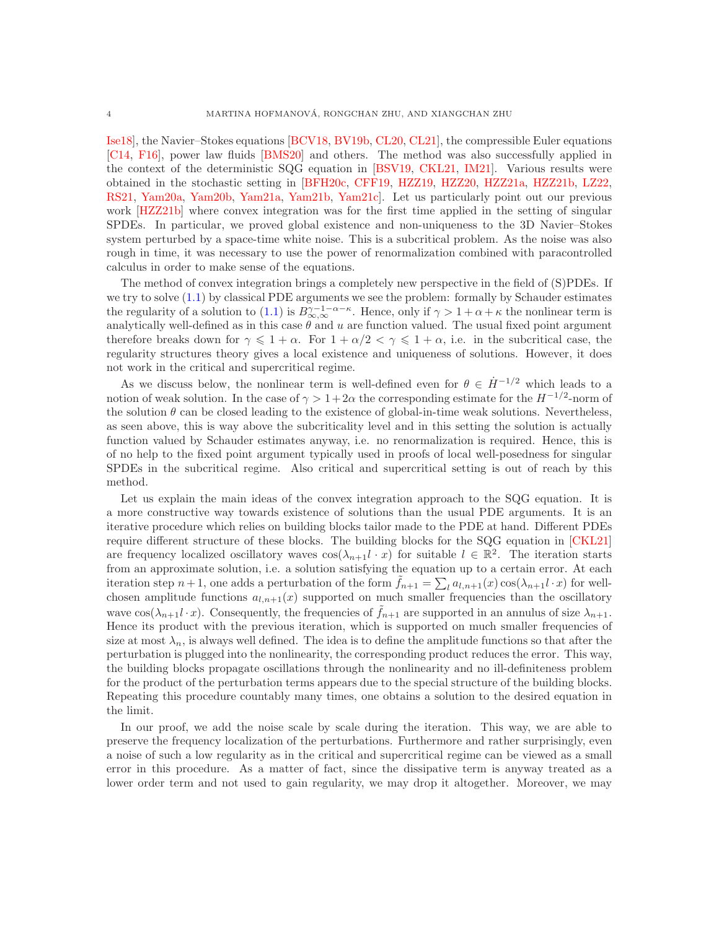[Ise18\]](#page-30-13), the Navier–Stokes equations [\[BCV18,](#page-29-11) [BV19b,](#page-29-12) [CL20,](#page-29-13) [CL21\]](#page-29-14), the compressible Euler equations [\[C14,](#page-29-15) [F16\]](#page-30-14), power law fluids [\[BMS20\]](#page-29-16) and others. The method was also successfully applied in the context of the deterministic SQG equation in [\[BSV19,](#page-29-17) [CKL21,](#page-29-18) [IM21\]](#page-30-15). Various results were obtained in the stochastic setting in [\[BFH20c,](#page-29-19) [CFF19,](#page-29-20) [HZZ19,](#page-30-16) [HZZ20,](#page-30-17) [HZZ21a,](#page-30-18) [HZZ21b,](#page-30-19) [LZ22,](#page-30-20) [RS21,](#page-30-21) [Yam20a,](#page-31-0) [Yam20b,](#page-31-1) [Yam21a,](#page-31-2) [Yam21b,](#page-31-3) [Yam21c\]](#page-31-4). Let us particularly point out our previous work [\[HZZ21b\]](#page-30-19) where convex integration was for the first time applied in the setting of singular SPDEs. In particular, we proved global existence and non-uniqueness to the 3D Navier–Stokes system perturbed by a space-time white noise. This is a subcritical problem. As the noise was also rough in time, it was necessary to use the power of renormalization combined with paracontrolled calculus in order to make sense of the equations.

The method of convex integration brings a completely new perspective in the field of (S)PDEs. If we try to solve [\(1.1\)](#page-1-1) by classical PDE arguments we see the problem: formally by Schauder estimates the regularity of a solution to  $(1.1)$  is  $B_{\infty,\infty}^{\gamma-1-\alpha-\kappa}$ . Hence, only if  $\gamma > 1+\alpha+\kappa$  the nonlinear term is analytically well-defined as in this case  $\theta$  and u are function valued. The usual fixed point argument therefore breaks down for  $\gamma \leq 1 + \alpha$ . For  $1 + \alpha/2 < \gamma \leq 1 + \alpha$ , i.e. in the subcritical case, the regularity structures theory gives a local existence and uniqueness of solutions. However, it does not work in the critical and supercritical regime.

As we discuss below, the nonlinear term is well-defined even for  $\theta \in \dot{H}^{-1/2}$  which leads to a notion of weak solution. In the case of  $\gamma > 1+2\alpha$  the corresponding estimate for the  $H^{-1/2}$ -norm of the solution  $\theta$  can be closed leading to the existence of global-in-time weak solutions. Nevertheless, as seen above, this is way above the subcriticality level and in this setting the solution is actually function valued by Schauder estimates anyway, i.e. no renormalization is required. Hence, this is of no help to the fixed point argument typically used in proofs of local well-posedness for singular SPDEs in the subcritical regime. Also critical and supercritical setting is out of reach by this method.

Let us explain the main ideas of the convex integration approach to the SQG equation. It is a more constructive way towards existence of solutions than the usual PDE arguments. It is an iterative procedure which relies on building blocks tailor made to the PDE at hand. Different PDEs require different structure of these blocks. The building blocks for the SQG equation in [\[CKL21\]](#page-29-18) are frequency localized oscillatory waves  $\cos(\lambda_{n+1}l \cdot x)$  for suitable  $l \in \mathbb{R}^2$ . The iteration starts from an approximate solution, i.e. a solution satisfying the equation up to a certain error. At each iteration step  $n+1$ , one adds a perturbation of the form  $\tilde{f}_{n+1} = \sum_l a_{l,n+1}(x) \cos(\lambda_{n+1} l \cdot x)$  for wellchosen amplitude functions  $a_{l,n+1}(x)$  supported on much smaller frequencies than the oscillatory wave  $\cos(\lambda_{n+1}l \cdot x)$ . Consequently, the frequencies of  $\tilde{f}_{n+1}$  are supported in an annulus of size  $\lambda_{n+1}$ . Hence its product with the previous iteration, which is supported on much smaller frequencies of size at most  $\lambda_n$ , is always well defined. The idea is to define the amplitude functions so that after the perturbation is plugged into the nonlinearity, the corresponding product reduces the error. This way, the building blocks propagate oscillations through the nonlinearity and no ill-definiteness problem for the product of the perturbation terms appears due to the special structure of the building blocks. Repeating this procedure countably many times, one obtains a solution to the desired equation in the limit.

In our proof, we add the noise scale by scale during the iteration. This way, we are able to preserve the frequency localization of the perturbations. Furthermore and rather surprisingly, even a noise of such a low regularity as in the critical and supercritical regime can be viewed as a small error in this procedure. As a matter of fact, since the dissipative term is anyway treated as a lower order term and not used to gain regularity, we may drop it altogether. Moreover, we may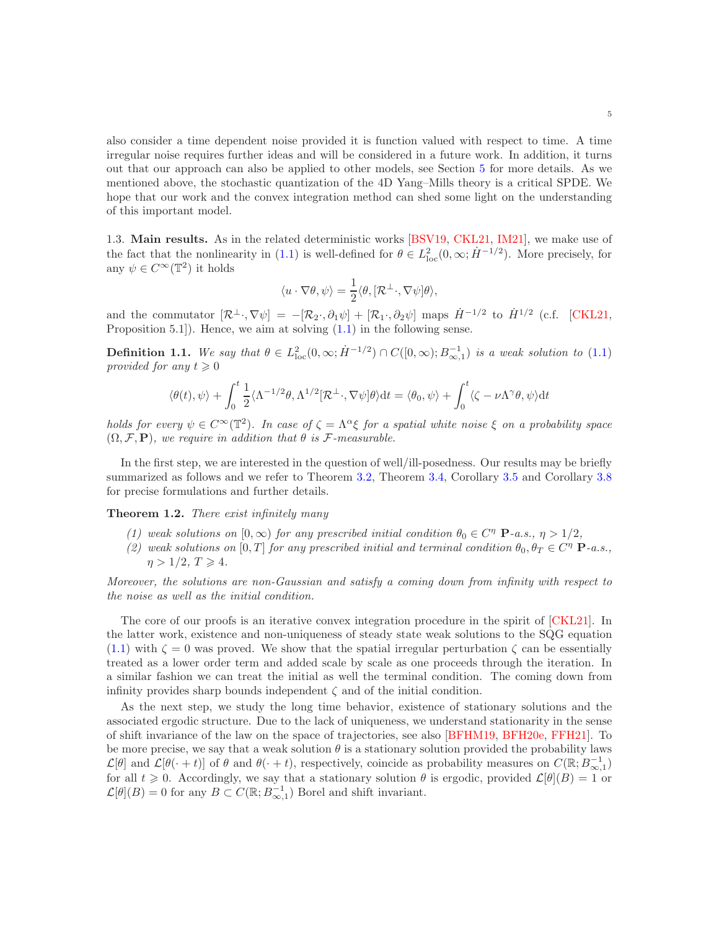also consider a time dependent noise provided it is function valued with respect to time. A time irregular noise requires further ideas and will be considered in a future work. In addition, it turns out that our approach can also be applied to other models, see Section [5](#page-27-0) for more details. As we mentioned above, the stochastic quantization of the 4D Yang–Mills theory is a critical SPDE. We hope that our work and the convex integration method can shed some light on the understanding of this important model.

<span id="page-4-0"></span>1.3. Main results. As in the related deterministic works [\[BSV19,](#page-29-17) [CKL21,](#page-29-18) [IM21\]](#page-30-15), we make use of the fact that the nonlinearity in [\(1.1\)](#page-1-1) is well-defined for  $\theta \in L^2_{loc}(0,\infty;\dot{H}^{-1/2})$ . More precisely, for any  $\psi \in C^{\infty}(\mathbb{T}^2)$  it holds

$$
\langle u \cdot \nabla \theta, \psi \rangle = \frac{1}{2} \langle \theta, [\mathcal{R}^{\perp}, \nabla \psi] \theta \rangle,
$$

and the commutator  $[\mathcal{R}^{\perp} \cdot, \nabla \psi] = -[\mathcal{R}_2 \cdot, \partial_1 \psi] + [\mathcal{R}_1 \cdot, \partial_2 \psi]$  maps  $\dot{H}^{-1/2}$  to  $\dot{H}^{1/2}$  (c.f. [\[CKL21,](#page-29-18) Proposition 5.1]). Hence, we aim at solving [\(1.1\)](#page-1-1) in the following sense.

<span id="page-4-1"></span>**Definition 1.1.** We say that  $\theta \in L^2_{loc}(0,\infty;\dot{H}^{-1/2}) \cap C([0,\infty);B^{-1}_{\infty,1})$  is a weak solution to [\(1.1\)](#page-1-1) *provided for any*  $t \geq 0$ 

$$
\langle \theta(t), \psi \rangle + \int_0^t \frac{1}{2} \langle \Lambda^{-1/2} \theta, \Lambda^{1/2} [\mathcal{R}^{\perp}, \nabla \psi] \theta \rangle dt = \langle \theta_0, \psi \rangle + \int_0^t \langle \zeta - \nu \Lambda^{\gamma} \theta, \psi \rangle dt
$$

*holds for every*  $\psi \in C^{\infty}(\mathbb{T}^2)$ *. In case of*  $\zeta = \Lambda^{\alpha}\xi$  *for a spatial white noise*  $\xi$  *on a probability space*  $(\Omega, \mathcal{F}, \mathbf{P})$ *, we require in addition that*  $\theta$  *is*  $\mathcal{F}\text{-}measurable$ *.* 

In the first step, we are interested in the question of well/ill-posedness. Our results may be briefly summarized as follows and we refer to Theorem [3.2,](#page-9-1) Theorem [3.4,](#page-18-0) Corollary [3.5](#page-18-1) and Corollary [3.8](#page-22-3) for precise formulations and further details.

Theorem 1.2. *There exist infinitely many*

- *(1) weak solutions on*  $[0, \infty)$  *for any prescribed initial condition*  $\theta_0 \in C^{\eta}$  **P***-a.s.*,  $\eta > 1/2$ ,
- *(2) weak solutions on* [0, T] *for any prescribed initial and terminal condition*  $\theta_0, \theta_T \in C^{\eta}$  **P***-a.s.*,  $\eta > 1/2, T \geq 4.$

*Moreover, the solutions are non-Gaussian and satisfy a coming down from infinity with respect to the noise as well as the initial condition.*

The core of our proofs is an iterative convex integration procedure in the spirit of [\[CKL21\]](#page-29-18). In the latter work, existence and non-uniqueness of steady state weak solutions to the SQG equation  $(1.1)$  with  $\zeta = 0$  was proved. We show that the spatial irregular perturbation  $\zeta$  can be essentially treated as a lower order term and added scale by scale as one proceeds through the iteration. In a similar fashion we can treat the initial as well the terminal condition. The coming down from infinity provides sharp bounds independent  $\zeta$  and of the initial condition.

As the next step, we study the long time behavior, existence of stationary solutions and the associated ergodic structure. Due to the lack of uniqueness, we understand stationarity in the sense of shift invariance of the law on the space of trajectories, see also [\[BFHM19,](#page-29-21) [BFH20e,](#page-29-22) [FFH21\]](#page-30-22). To be more precise, we say that a weak solution  $\theta$  is a stationary solution provided the probability laws  $\mathcal{L}[\theta]$  and  $\mathcal{L}[\theta(\cdot + t)]$  of  $\theta$  and  $\theta(\cdot + t)$ , respectively, coincide as probability measures on  $C(\mathbb{R}; B_{\infty,1}^{-1})$ for all  $t \geq 0$ . Accordingly, we say that a stationary solution  $\theta$  is ergodic, provided  $\mathcal{L}[\theta](B) = 1$  or  $\mathcal{L}[\theta](B) = 0$  for any  $B \subset C(\mathbb{R}; B_{\infty,1}^{-1})$  Borel and shift invariant.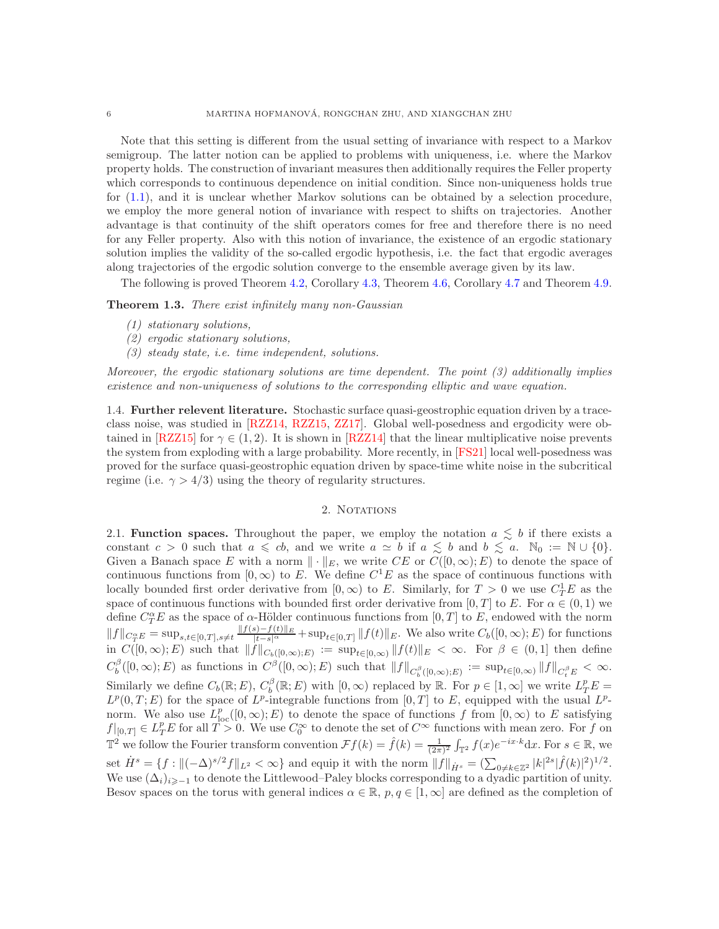Note that this setting is different from the usual setting of invariance with respect to a Markov semigroup. The latter notion can be applied to problems with uniqueness, i.e. where the Markov property holds. The construction of invariant measures then additionally requires the Feller property which corresponds to continuous dependence on initial condition. Since non-uniqueness holds true for [\(1.1\)](#page-1-1), and it is unclear whether Markov solutions can be obtained by a selection procedure, we employ the more general notion of invariance with respect to shifts on trajectories. Another advantage is that continuity of the shift operators comes for free and therefore there is no need for any Feller property. Also with this notion of invariance, the existence of an ergodic stationary solution implies the validity of the so-called ergodic hypothesis, i.e. the fact that ergodic averages along trajectories of the ergodic solution converge to the ensemble average given by its law.

The following is proved Theorem [4.2,](#page-23-0) Corollary [4.3,](#page-24-0) Theorem [4.6,](#page-25-0) Corollary [4.7](#page-25-1) and Theorem [4.9.](#page-27-2)

Theorem 1.3. *There exist infinitely many non-Gaussian*

- *(1) stationary solutions,*
- *(2) ergodic stationary solutions,*
- *(3) steady state, i.e. time independent, solutions.*

*Moreover, the ergodic stationary solutions are time dependent. The point (3) additionally implies existence and non-uniqueness of solutions to the corresponding elliptic and wave equation.*

<span id="page-5-0"></span>1.4. Further relevent literature. Stochastic surface quasi-geostrophic equation driven by a traceclass noise, was studied in [\[RZZ14,](#page-31-5) [RZZ15,](#page-31-6) [ZZ17\]](#page-31-7). Global well-posedness and ergodicity were ob-tained in [\[RZZ15\]](#page-31-6) for  $\gamma \in (1, 2)$ . It is shown in [\[RZZ14\]](#page-31-5) that the linear multiplicative noise prevents the system from exploding with a large probability. More recently, in [\[FS21\]](#page-30-23) local well-posedness was proved for the surface quasi-geostrophic equation driven by space-time white noise in the subcritical regime (i.e.  $\gamma > 4/3$ ) using the theory of regularity structures.

## 2. NOTATIONS

<span id="page-5-2"></span><span id="page-5-1"></span>2.1. **Function spaces.** Throughout the paper, we employ the notation  $a \leq b$  if there exists a constant  $c > 0$  such that  $a \leq c b$ , and we write  $a \simeq b$  if  $a \leq b$  and  $b \leq a$ .  $\mathbb{N}_0 := \mathbb{N} \cup \{0\}.$ Given a Banach space E with a norm  $\|\cdot\|_E$ , we write CE or  $C([0,\infty); E)$  to denote the space of continuous functions from  $[0, \infty)$  to E. We define  $C<sup>1</sup>E$  as the space of continuous functions with locally bounded first order derivative from  $[0, \infty)$  to E. Similarly, for  $T > 0$  we use  $C_T^1 E$  as the space of continuous functions with bounded first order derivative from  $[0, T]$  to E. For  $\alpha \in (0, 1)$  we define  $C_T^{\alpha}E$  as the space of  $\alpha$ -Hölder continuous functions from  $[0, T]$  to E, endowed with the norm  $||f||_{C_T^{\alpha}E} = \sup_{s,t\in[0,T],s\neq t} \frac{||f(s)-f(t)||_E}{|t-s|^{\alpha}} + \sup_{t\in[0,T]} ||f(t)||_E$ . We also write  $C_b([0,\infty);E)$  for functions in  $C([0,\infty);E)$  such that  $||f||_{C_b([0,\infty);E)} := \sup_{t\in[0,\infty)} ||f(t)||_E < \infty$ . For  $\beta \in (0,1]$  then define  $C_b^{\beta}([0,\infty);E)$  as functions in  $C^{\beta}([0,\infty);E)$  such that  $||f||_{C_b^{\beta}([0,\infty);E)} := \sup_{t\in[0,\infty)}||f||_{C_t^{\beta}E} < \infty$ . Similarly we define  $C_b(\mathbb{R}; E)$ ,  $C_b^{\beta}(\mathbb{R}; E)$  with  $[0, \infty)$  replaced by  $\mathbb{R}$ . For  $p \in [1, \infty]$  we write  $L_T^p E =$  $L^p(0,T;E)$  for the space of  $L^p$ -integrable functions from  $[0,T]$  to E, equipped with the usual  $L^p$ norm. We also use  $L_{\text{loc}}^p([0,\infty);E)$  to denote the space of functions f from  $[0,\infty)$  to E satisfying  $f|_{[0,T]} \in L_T^p E$  for all  $T > 0$ . We use  $C_0^{\infty}$  to denote the set of  $C^{\infty}$  functions with mean zero. For f on  $\mathbb{T}^2$  we follow the Fourier transform convention  $\mathcal{F}f(k) = \hat{f}(k) = \frac{1}{(2\pi)^2} \int_{\mathbb{T}^2} f(x) e^{-ix \cdot k} dx$ . For  $s \in \mathbb{R}$ , we set  $\dot{H}^s = \{f : \|(-\Delta)^{s/2}f\|_{L^2} < \infty\}$  and equip it with the norm  $||f||_{\dot{H}^s} = \left(\sum_{0 \neq k \in \mathbb{Z}^2} |k|^{2s} |\hat{f}(k)|^2\right)^{1/2}$ . We use  $(\Delta_i)_{i\geq -1}$  to denote the Littlewood–Paley blocks corresponding to a dyadic partition of unity. Besov spaces on the torus with general indices  $\alpha \in \mathbb{R}$ ,  $p, q \in [1, \infty]$  are defined as the completion of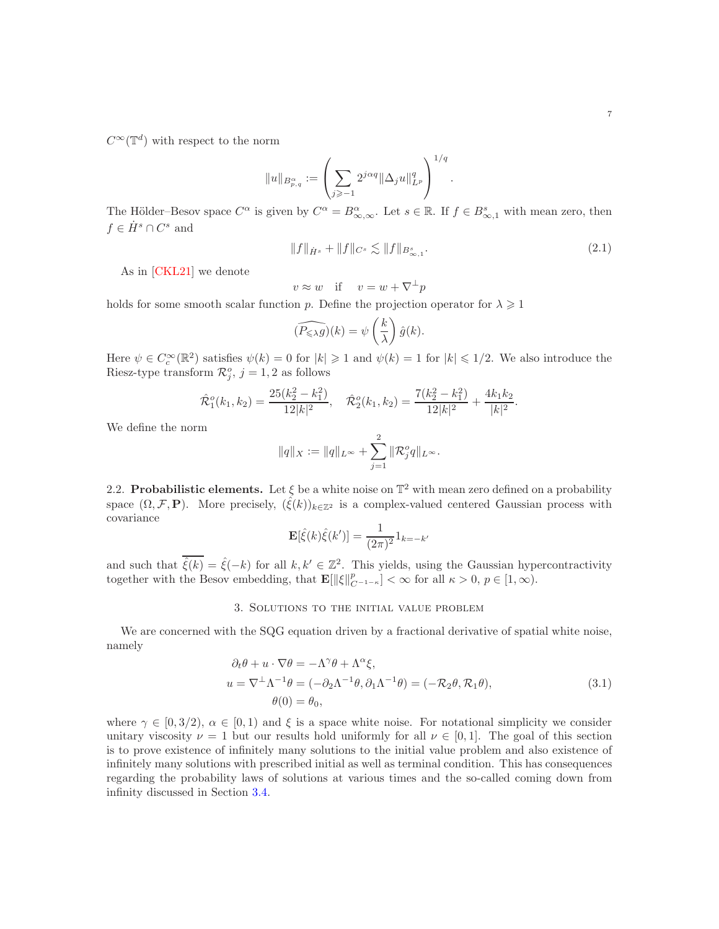$C^{\infty}(\mathbb{T}^d)$  with respect to the norm

$$
||u||_{B^{\alpha}_{p,q}}:=\left(\sum_{j\geqslant -1}2^{j\alpha q}\|\Delta_j u\|_{L^p}^q\right)^{1/q}.
$$

The Hölder–Besov space  $C^{\alpha}$  is given by  $C^{\alpha} = B^{\alpha}_{\infty,\infty}$ . Let  $s \in \mathbb{R}$ . If  $f \in B^s_{\infty,1}$  with mean zero, then  $f \in \dot{H}^s \cap C^s$  and

<span id="page-6-3"></span>
$$
||f||_{\dot{H}^s} + ||f||_{C^s} \lesssim ||f||_{B^s_{\infty,1}}.\tag{2.1}
$$

As in [\[CKL21\]](#page-29-18) we denote

$$
v \approx w \quad \text{if} \quad v = w + \nabla^{\perp} p
$$

holds for some smooth scalar function p. Define the projection operator for  $\lambda \geq 1$ 

$$
\widehat{(P_{\leqslant \lambda}g)}(k) = \psi\left(\frac{k}{\lambda}\right)\hat{g}(k).
$$

Here  $\psi \in C_c^{\infty}(\mathbb{R}^2)$  satisfies  $\psi(k) = 0$  for  $|k| \geq 1$  and  $\psi(k) = 1$  for  $|k| \leq 1/2$ . We also introduce the Riesz-type transform  $\mathcal{R}_j^o$ ,  $j = 1, 2$  as follows

$$
\hat{\mathcal{R}}_1^o(k_1,k_2) = \frac{25(k_2^2 - k_1^2)}{12|k|^2}, \quad \hat{\mathcal{R}}_2^o(k_1,k_2) = \frac{7(k_2^2 - k_1^2)}{12|k|^2} + \frac{4k_1k_2}{|k|^2}.
$$

We define the norm

$$
||q||_X := ||q||_{L^{\infty}} + \sum_{j=1}^2 ||\mathcal{R}_j^o q||_{L^{\infty}}.
$$

<span id="page-6-0"></span>2.2. Probabilistic elements. Let  $\xi$  be a white noise on  $\mathbb{T}^2$  with mean zero defined on a probability space  $(\Omega, \mathcal{F}, P)$ . More precisely,  $(\hat{\xi}(k))_{k\in\mathbb{Z}^2}$  is a complex-valued centered Gaussian process with covariance

<span id="page-6-2"></span>
$$
\mathbf{E}[\hat{\xi}(k)\hat{\xi}(k')] = \frac{1}{(2\pi)^2}1_{k=-k'}
$$

<span id="page-6-1"></span>and such that  $\hat{\xi}(k) = \hat{\xi}(-k)$  for all  $k, k' \in \mathbb{Z}^2$ . This yields, using the Gaussian hypercontractivity together with the Besov embedding, that  $\mathbf{E}[\|\xi\|_{C^{-1-\kappa}}^p] < \infty$  for all  $\kappa > 0, p \in [1, \infty)$ .

## 3. Solutions to the initial value problem

We are concerned with the SQG equation driven by a fractional derivative of spatial white noise, namely

$$
\partial_t \theta + u \cdot \nabla \theta = -\Lambda^\gamma \theta + \Lambda^\alpha \xi,
$$
  
\n
$$
u = \nabla^\perp \Lambda^{-1} \theta = (-\partial_2 \Lambda^{-1} \theta, \partial_1 \Lambda^{-1} \theta) = (-\mathcal{R}_2 \theta, \mathcal{R}_1 \theta),
$$
  
\n
$$
\theta(0) = \theta_0,
$$
\n(3.1)

where  $\gamma \in [0, 3/2), \alpha \in [0, 1)$  and  $\xi$  is a space white noise. For notational simplicity we consider unitary viscosity  $\nu = 1$  but our results hold uniformly for all  $\nu \in [0,1]$ . The goal of this section is to prove existence of infinitely many solutions to the initial value problem and also existence of infinitely many solutions with prescribed initial as well as terminal condition. This has consequences regarding the probability laws of solutions at various times and the so-called coming down from infinity discussed in Section [3.4.](#page-22-0)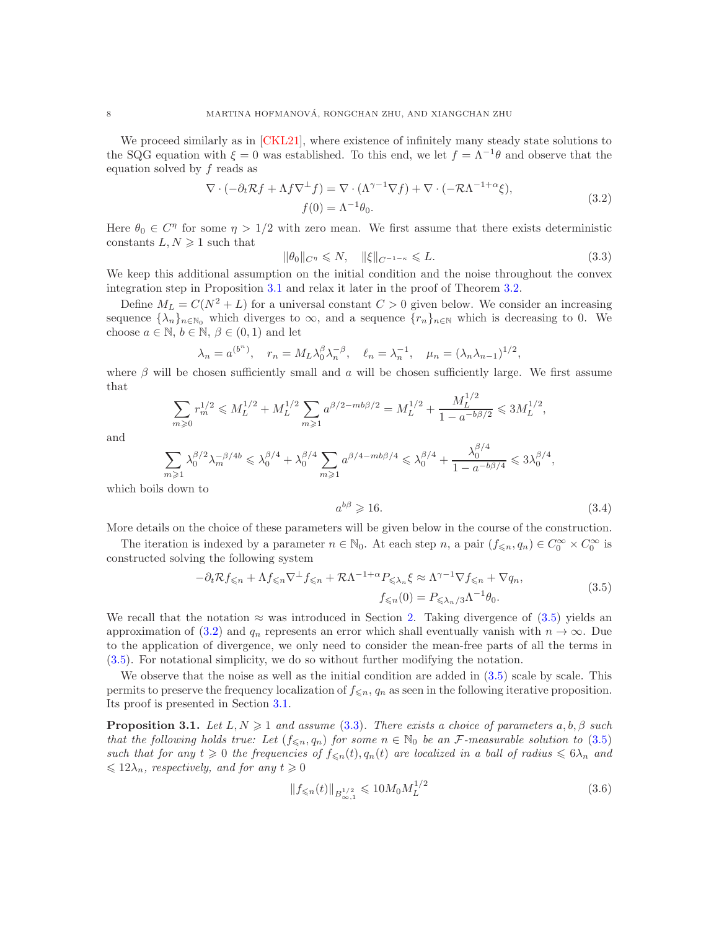We proceed similarly as in [\[CKL21\]](#page-29-18), where existence of infinitely many steady state solutions to the SQG equation with  $\xi = 0$  was established. To this end, we let  $f = \Lambda^{-1}\theta$  and observe that the equation solved by f reads as

<span id="page-7-2"></span>
$$
\nabla \cdot (-\partial_t \mathcal{R}f + \Lambda f \nabla^{\perp} f) = \nabla \cdot (\Lambda^{\gamma - 1} \nabla f) + \nabla \cdot (-\mathcal{R}\Lambda^{-1 + \alpha}\xi),
$$
  
\n
$$
f(0) = \Lambda^{-1} \theta_0.
$$
\n(3.2)

Here  $\theta_0 \in C^{\eta}$  for some  $\eta > 1/2$  with zero mean. We first assume that there exists deterministic constants  $L, N \geq 1$  such that

<span id="page-7-3"></span>
$$
\|\theta_0\|_{C^{\eta}} \leqslant N, \quad \|\xi\|_{C^{-1-\kappa}} \leqslant L. \tag{3.3}
$$

We keep this additional assumption on the initial condition and the noise throughout the convex integration step in Proposition [3.1](#page-7-0) and relax it later in the proof of Theorem [3.2.](#page-9-1)

Define  $M_L = C(N^2 + L)$  for a universal constant  $C > 0$  given below. We consider an increasing sequence  $\{\lambda_n\}_{n\in\mathbb{N}_0}$  which diverges to  $\infty$ , and a sequence  $\{r_n\}_{n\in\mathbb{N}}$  which is decreasing to 0. We choose  $a \in \mathbb{N}, b \in \mathbb{N}, \beta \in (0,1)$  and let

$$
\lambda_n = a^{(b^n)}, \quad r_n = M_L \lambda_0^{\beta} \lambda_n^{-\beta}, \quad \ell_n = \lambda_n^{-1}, \quad \mu_n = (\lambda_n \lambda_{n-1})^{1/2},
$$

where  $\beta$  will be chosen sufficiently small and a will be chosen sufficiently large. We first assume that  $1/2$ 

$$
\sum_{m\geqslant 0} r_m^{1/2} \leqslant M_L^{1/2} + M_L^{1/2} \sum_{m\geqslant 1} a^{\beta/2 - mb\beta/2} = M_L^{1/2} + \frac{M_L^{1/2}}{1 - a^{-b\beta/2}} \leqslant 3M_L^{1/2},
$$

and

$$
\sum_{m\geqslant 1} \lambda_0^{\beta/2} \lambda_m^{-\beta/4b} \leqslant \lambda_0^{\beta/4} + \lambda_0^{\beta/4} \sum_{m\geqslant 1} a^{\beta/4 - mb\beta/4} \leqslant \lambda_0^{\beta/4} + \frac{\lambda_0^{\beta/4}}{1 - a^{-b\beta/4}} \leqslant 3\lambda_0^{\beta/4},
$$

which boils down to

<span id="page-7-5"></span><span id="page-7-1"></span>
$$
a^{b\beta} \geqslant 16. \tag{3.4}
$$

More details on the choice of these parameters will be given below in the course of the construction.

The iteration is indexed by a parameter  $n \in \mathbb{N}_0$ . At each step  $n$ , a pair  $(f_{\leq n}, q_n) \in C_0^{\infty} \times C_0^{\infty}$  is constructed solving the following system

$$
-\partial_t \mathcal{R} f_{\leq n} + \Lambda f_{\leq n} \nabla^{\perp} f_{\leq n} + \mathcal{R} \Lambda^{-1+\alpha} P_{\leq \lambda_n} \xi \approx \Lambda^{\gamma-1} \nabla f_{\leq n} + \nabla q_n,
$$
  

$$
f_{\leq n}(0) = P_{\leq \lambda_n/3} \Lambda^{-1} \theta_0.
$$
 (3.5)

We recall that the notation  $\approx$  was introduced in Section [2.](#page-5-1) Taking divergence of [\(3.5\)](#page-7-1) yields an approximation of [\(3.2\)](#page-7-2) and  $q_n$  represents an error which shall eventually vanish with  $n \to \infty$ . Due to the application of divergence, we only need to consider the mean-free parts of all the terms in [\(3.5\)](#page-7-1). For notational simplicity, we do so without further modifying the notation.

We observe that the noise as well as the initial condition are added in  $(3.5)$  scale by scale. This permits to preserve the frequency localization of  $f_{\leq n}$ ,  $q_n$  as seen in the following iterative proposition. Its proof is presented in Section [3.1.](#page-9-0)

<span id="page-7-0"></span>**Proposition 3.1.** *Let*  $L, N \geq 1$  *and assume* [\(3.3\)](#page-7-3)*. There exists a choice of parameters*  $a, b, \beta$  *such that the following holds true: Let*  $(f_{\leq n}, q_n)$  *for some*  $n \in \mathbb{N}_0$  *be an* F-measurable solution to [\(3.5\)](#page-7-1) *such that for any*  $t \geq 0$  *the frequencies of*  $f_{\leq n}(t)$ ,  $q_n(t)$  *are localized in a ball of radius*  $\leq 6\lambda_n$  *and*  $\leqslant 12\lambda_n$ *, respectively, and for any*  $t \geqslant 0$ 

<span id="page-7-4"></span>
$$
||f_{\leqslant n}(t)||_{B^{1/2}_{\infty,1}} \leqslant 10M_0 M_L^{1/2}
$$
\n(3.6)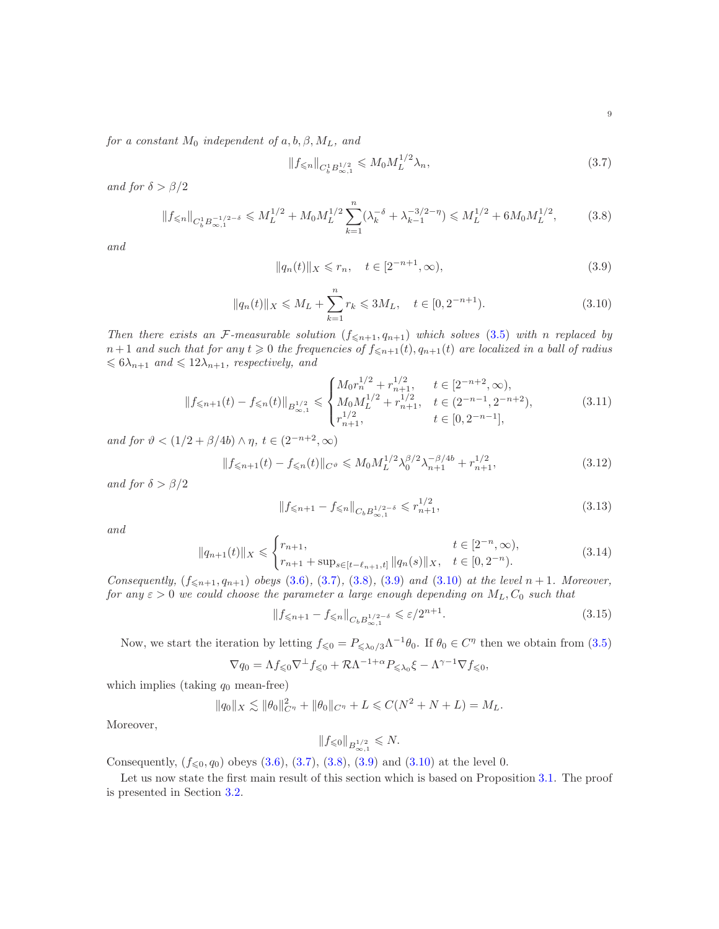*for a constant*  $M_0$  *independent of*  $a, b, \beta, M_L$ *, and* 

<span id="page-8-1"></span><span id="page-8-0"></span>
$$
||f_{\leq n}||_{C_b^1 B_{\infty,1}^{1/2}} \leqslant M_0 M_L^{1/2} \lambda_n,
$$
\n(3.7)

*and for*  $\delta > \beta/2$ 

$$
||f_{\leq n}||_{C_b^1 B_{\infty,1}^{-1/2-\delta}} \leqslant M_L^{1/2} + M_0 M_L^{1/2} \sum_{k=1}^n (\lambda_k^{-\delta} + \lambda_{k-1}^{-3/2-\eta}) \leqslant M_L^{1/2} + 6M_0 M_L^{1/2},\tag{3.8}
$$

*and*

<span id="page-8-3"></span><span id="page-8-2"></span>
$$
||q_n(t)||_X \leq r_n, \quad t \in [2^{-n+1}, \infty),
$$
\n(3.9)

$$
||q_n(t)||_X \le M_L + \sum_{k=1}^n r_k \le 3M_L, \quad t \in [0, 2^{-n+1}).
$$
\n(3.10)

*Then there exists an F*-measurable solution  $(f_{\leq n+1}, q_{n+1})$  which solves [\(3.5\)](#page-7-1) with n replaced by  $n+1$  *and such that for any*  $t \ge 0$  *the frequencies of*  $f_{\le n+1}(t)$ ,  $q_{n+1}(t)$  *are localized in a ball of radius*  $\leqslant 6\lambda_{n+1}$  and  $\leqslant 12\lambda_{n+1}$ , respectively, and

<span id="page-8-4"></span>
$$
||f_{\leq n+1}(t) - f_{\leq n}(t)||_{B^{1/2}_{\infty,1}} \leq \begin{cases} M_0 r_n^{1/2} + r_{n+1}^{1/2}, & t \in [2^{-n+2}, \infty), \\ M_0 M_L^{1/2} + r_{n+1}^{1/2}, & t \in (2^{-n-1}, 2^{-n+2}), \\ r_{n+1}^{1/2}, & t \in [0, 2^{-n-1}], \end{cases} \tag{3.11}
$$

*and for*  $\vartheta < (1/2 + \beta/4b) \wedge \eta$ ,  $t \in (2^{-n+2}, \infty)$ 

$$
||f_{\leq n+1}(t) - f_{\leq n}(t)||_{C^{\vartheta}} \leq M_0 M_L^{1/2} \lambda_0^{\beta/2} \lambda_{n+1}^{-\beta/4b} + r_{n+1}^{1/2},
$$
\n(3.12)

*and for*  $\delta > \beta/2$ 

<span id="page-8-6"></span><span id="page-8-5"></span>
$$
||f_{\leq n+1} - f_{\leq n}||_{C_b B_{\infty,1}^{1/2-\delta}} \leq r_{n+1}^{1/2},
$$
\n(3.13)

*and*

<span id="page-8-8"></span>
$$
||q_{n+1}(t)||_X \leq \begin{cases} r_{n+1}, & t \in [2^{-n}, \infty), \\ r_{n+1} + \sup_{s \in [t-\ell_{n+1}, t]} ||q_n(s)||_X, & t \in [0, 2^{-n}). \end{cases}
$$
(3.14)

*Consequently,*  $(f_{\leq n+1}, q_{n+1})$  *obeys* [\(3.6\)](#page-7-4)*,* [\(3.7\)](#page-8-0)*,* [\(3.8\)](#page-8-1)*,* [\(3.9\)](#page-8-2) *and* [\(3.10\)](#page-8-3) *at the level*  $n + 1$ *. Moreover, for any*  $\varepsilon > 0$  *we could choose the parameter a large enough depending on*  $M_L$ ,  $C_0$  *such that* 

$$
\|f_{\leq n+1} - f_{\leq n}\|_{C_b B^{1/2-\delta}_{\infty,1}} \leq \varepsilon/2^{n+1}.\tag{3.15}
$$

Now, we start the iteration by letting  $f_{\leq 0} = P_{\leq \lambda_0/3} \Lambda^{-1} \theta_0$ . If  $\theta_0 \in C^{\eta}$  then we obtain from  $(3.5)$ 

$$
\nabla q_0 = \Lambda f_{\leq 0} \nabla^{\perp} f_{\leq 0} + \mathcal{R} \Lambda^{-1+\alpha} P_{\leq \lambda_0} \xi - \Lambda^{\gamma-1} \nabla f_{\leq 0},
$$

which implies (taking  $q_0$  mean-free)

$$
||q_0||_X \lesssim ||\theta_0||_{C^{\eta}}^2 + ||\theta_0||_{C^{\eta}} + L \leq C(N^2 + N + L) = M_L.
$$

Moreover,

<span id="page-8-7"></span>
$$
||f_{\leqslant 0}||_{B^{1/2}_{\infty,1}} \leqslant N.
$$

Consequently,  $(f_{\leq 0}, q_0)$  obeys  $(3.6), (3.7), (3.8), (3.9)$  $(3.6), (3.7), (3.8), (3.9)$  $(3.6), (3.7), (3.8), (3.9)$  $(3.6), (3.7), (3.8), (3.9)$  $(3.6), (3.7), (3.8), (3.9)$  $(3.6), (3.7), (3.8), (3.9)$  and  $(3.10)$  at the level 0.

Let us now state the first main result of this section which is based on Proposition [3.1.](#page-7-0) The proof is presented in Section [3.2.](#page-13-0)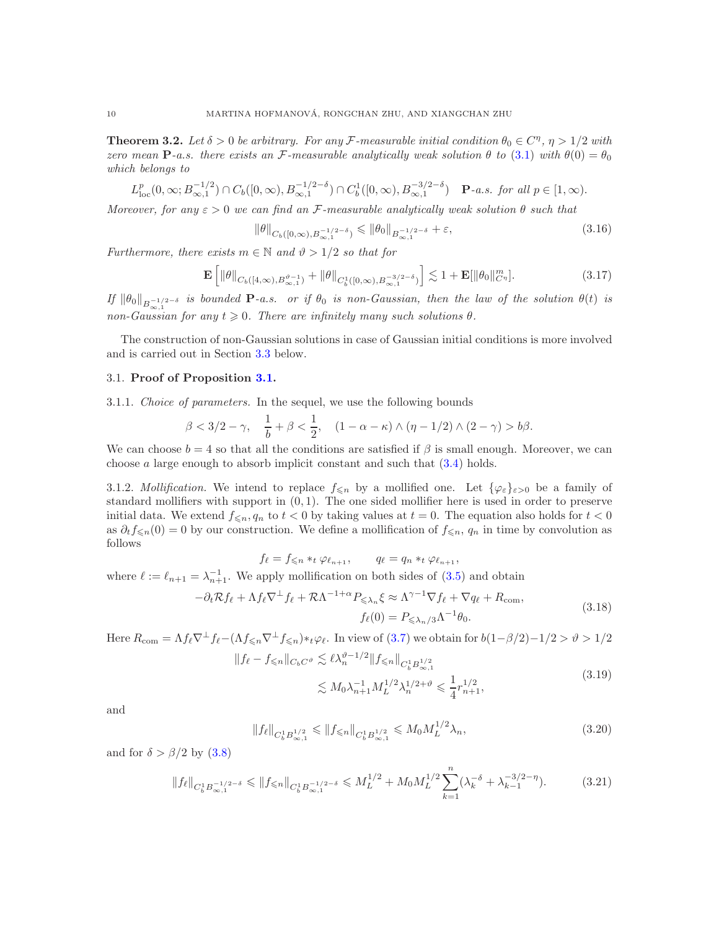<span id="page-9-1"></span>**Theorem 3.2.** Let  $\delta > 0$  be arbitrary. For any F-measurable initial condition  $\theta_0 \in C^n$ ,  $\eta > 1/2$  with *zero mean*  $\mathbf{P}$ *-a.s. there exists an*  $\mathcal{F}$ *-measurable analytically weak solution*  $\theta$  *to* [\(3.1\)](#page-6-2) *with*  $\theta(0) = \theta_0$ *which belongs to*

$$
L_{\text{loc}}^p(0,\infty; B_{\infty,1}^{-1/2}) \cap C_b([0,\infty), B_{\infty,1}^{-1/2-\delta}) \cap C_b^1([0,\infty), B_{\infty,1}^{-3/2-\delta}) \quad \mathbf{P}\text{-}a.s. \text{ for all } p \in [1,\infty).
$$

*Moreover, for any*  $\varepsilon > 0$  *we can find an* F-measurable analytically weak solution  $\theta$  *such that* 

<span id="page-9-5"></span>
$$
\|\theta\|_{C_b([0,\infty),B_{\infty,1}^{-1/2-\delta})} \le \|\theta_0\|_{B_{\infty,1}^{-1/2-\delta}} + \varepsilon,
$$
\n(3.16)

*Furthermore, there exists*  $m \in \mathbb{N}$  *and*  $\vartheta > 1/2$  *so that for* 

<span id="page-9-6"></span>
$$
\mathbf{E}\left[\|\theta\|_{C_b([4,\infty),B_{\infty,1}^{\vartheta-1})} + \|\theta\|_{C_b^1([0,\infty),B_{\infty,1}^{-3/2-\delta})}\right] \lesssim 1 + \mathbf{E}[\|\theta_0\|_{C^{\eta}}^m].\tag{3.17}
$$

 $\int f \|\theta_0\|_{B^{-1/2-\delta}_{\infty,1}}$  *is bounded*  $P$ *-a.s. or if*  $\theta_0$  *is non-Gaussian, then the law of the solution*  $\theta(t)$  *is non-Gaussian for any*  $t \geq 0$ *. There are infinitely many such solutions*  $\theta$ *.* 

The construction of non-Gaussian solutions in case of Gaussian initial conditions is more involved and is carried out in Section [3.3](#page-17-0) below.

## <span id="page-9-7"></span><span id="page-9-0"></span>3.1. Proof of Proposition [3.1.](#page-7-0)

3.1.1. *Choice of parameters.* In the sequel, we use the following bounds

$$
\beta < 3/2 - \gamma, \quad \frac{1}{b} + \beta < \frac{1}{2}, \quad (1 - \alpha - \kappa) \wedge (\eta - 1/2) \wedge (2 - \gamma) > b\beta.
$$

We can choose  $b = 4$  so that all the conditions are satisfied if  $\beta$  is small enough. Moreover, we can choose  $a$  large enough to absorb implicit constant and such that  $(3.4)$  holds.

3.1.2. *Mollification*. We intend to replace  $f_{\leq n}$  by a mollified one. Let  $\{\varphi_{\varepsilon}\}_{{\varepsilon}>0}$  be a family of standard mollifiers with support in  $(0, 1)$ . The one sided mollifier here is used in order to preserve initial data. We extend  $f_{\leq n}, q_n$  to  $t < 0$  by taking values at  $t = 0$ . The equation also holds for  $t < 0$ as  $\partial_t f_{\leq n}(0) = 0$  by our construction. We define a mollification of  $f_{\leq n}, q_n$  in time by convolution as follows

$$
f_{\ell} = f_{\leqslant n} *_{t} \varphi_{\ell_{n+1}}, \qquad q_{\ell} = q_{n} *_{t} \varphi_{\ell_{n+1}},
$$

where  $\ell := \ell_{n+1} = \lambda_{n+1}^{-1}$ . We apply mollification on both sides of [\(3.5\)](#page-7-1) and obtain

$$
-\partial_t \mathcal{R} f_\ell + \Lambda f_\ell \nabla^\perp f_\ell + \mathcal{R} \Lambda^{-1+\alpha} P_{\leq \lambda_n} \xi \approx \Lambda^{\gamma-1} \nabla f_\ell + \nabla q_\ell + R_{\text{com}},
$$
  
\n
$$
f_\ell(0) = P_{\leq \lambda_n/3} \Lambda^{-1} \theta_0.
$$
\n(3.18)

Here 
$$
R_{\text{com}} = \Lambda f_{\ell} \nabla^{\perp} f_{\ell} - (\Lambda f_{\leq n} \nabla^{\perp} f_{\leq n}) \ast_t \varphi_{\ell}
$$
. In view of (3.7) we obtain for  $b(1-\beta/2) - 1/2 > \vartheta > 1/2$   $||f_{\ell} - f_{\leq n}||_{C_b C^{\vartheta}} \lesssim \ell \lambda_n^{\vartheta - 1/2} ||f_{\leq n}||_{C_b^1 B_{\infty,1}^{1/2}}$ 

<span id="page-9-4"></span><span id="page-9-3"></span><span id="page-9-2"></span>
$$
\lesssim M_0 \lambda_{n+1}^{-1} M_L^{1/2} \lambda_n^{1/2 + \vartheta} \leq \frac{1}{4} r_{n+1}^{1/2},\tag{3.19}
$$

and

$$
||f_{\ell}||_{C_b^1 B_{\infty,1}^{1/2}} \le ||f_{\le n}||_{C_b^1 B_{\infty,1}^{1/2}} \le M_0 M_L^{1/2} \lambda_n,
$$
\n(3.20)

and for  $\delta > \beta/2$  by  $(3.8)$ 

$$
||f_{\ell}||_{C_b^1 B_{\infty,1}^{-1/2-\delta}} \le ||f_{\le n}||_{C_b^1 B_{\infty,1}^{-1/2-\delta}} \le M_L^{1/2} + M_0 M_L^{1/2} \sum_{k=1}^n (\lambda_k^{-\delta} + \lambda_{k-1}^{-3/2-\eta}). \tag{3.21}
$$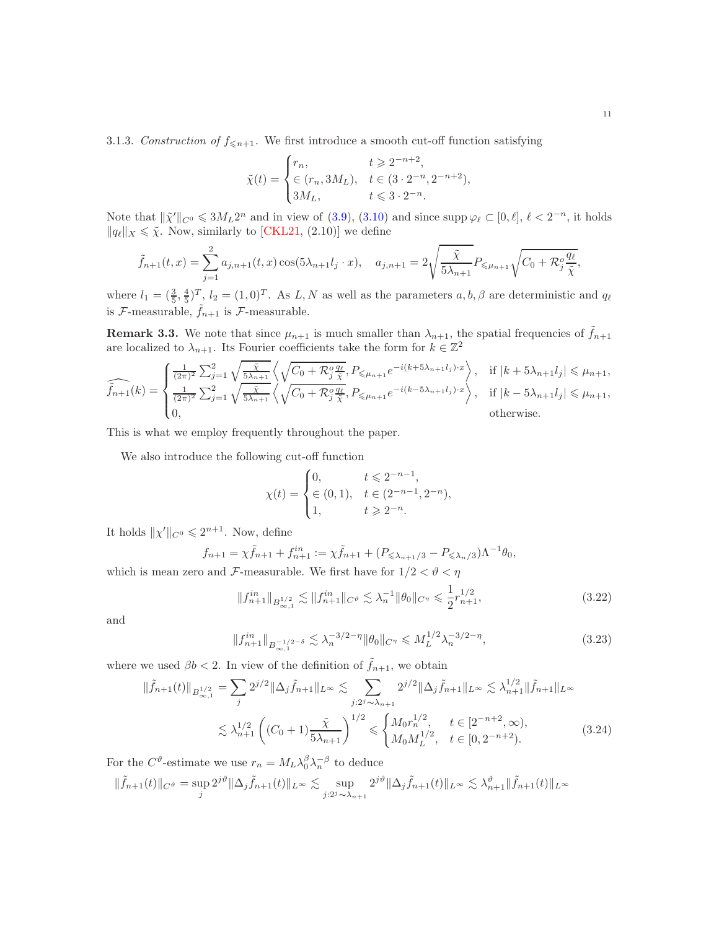<span id="page-10-4"></span>3.1.3. *Construction of*  $f_{\leq n+1}$ . We first introduce a smooth cut-off function satisfying

$$
\tilde{\chi}(t) = \begin{cases} r_n, & t \geq 2^{-n+2}, \\ \in (r_n, 3M_L), & t \in (3 \cdot 2^{-n}, 2^{-n+2}), \\ 3M_L, & t \leq 3 \cdot 2^{-n}. \end{cases}
$$

Note that  $\|\tilde{\chi}''\|_{C^0} \leq 3M_L 2^n$  and in view of  $(3.9)$ ,  $(3.10)$  and since supp  $\varphi_\ell \subset [0, \ell], \ell < 2^{-n}$ , it holds  $||q_{\ell}||_X \leq \tilde{\chi}$ . Now, similarly to [\[CKL21,](#page-29-18) (2.10)] we define

$$
\tilde{f}_{n+1}(t,x) = \sum_{j=1}^{2} a_{j,n+1}(t,x) \cos(5\lambda_{n+1} l_j \cdot x), \quad a_{j,n+1} = 2\sqrt{\frac{\tilde{\chi}}{5\lambda_{n+1}}} P_{\leq \mu_{n+1}} \sqrt{C_0 + \mathcal{R}_j^o \frac{q_\ell}{\tilde{\chi}}},
$$

where  $l_1 = (\frac{3}{5}, \frac{4}{5})^T$ ,  $l_2 = (1, 0)^T$ . As L, N as well as the parameters  $a, b, \beta$  are deterministic and  $q_\ell$ is  $\mathcal{F}\text{-measurable}, \tilde{f}_{n+1}$  is  $\mathcal{F}\text{-measurable}.$ 

<span id="page-10-3"></span>**Remark 3.3.** We note that since  $\mu_{n+1}$  is much smaller than  $\lambda_{n+1}$ , the spatial frequencies of  $\hat{f}_{n+1}$ are localized to  $\lambda_{n+1}$ . Its Fourier coefficients take the form for  $k \in \mathbb{Z}^2$ 

$$
\widehat{\tilde{f}_{n+1}}(k) = \begin{cases}\n\frac{1}{(2\pi)^2} \sum_{j=1}^2 \sqrt{\frac{\tilde{\chi}}{5\lambda_{n+1}}} \left\langle \sqrt{C_0 + \mathcal{R}_j^o \frac{q_\ell}{\tilde{\chi}}}, P_{\leq \mu_{n+1}} e^{-i(k+5\lambda_{n+1}l_j) \cdot x} \right\rangle, & \text{if } |k+5\lambda_{n+1}l_j| \leq \mu_{n+1}, \\
\frac{1}{(2\pi)^2} \sum_{j=1}^2 \sqrt{\frac{\tilde{\chi}}{5\lambda_{n+1}}} \left\langle \sqrt{C_0 + \mathcal{R}_j^o \frac{q_\ell}{\tilde{\chi}}}, P_{\leq \mu_{n+1}} e^{-i(k-5\lambda_{n+1}l_j) \cdot x} \right\rangle, & \text{if } |k-5\lambda_{n+1}l_j| \leq \mu_{n+1}, \\
0, & \text{otherwise.} \n\end{cases}
$$

This is what we employ frequently throughout the paper.

We also introduce the following cut-off function

<span id="page-10-0"></span>
$$
\chi(t) = \begin{cases} 0, & t \leq 2^{-n-1}, \\ \in (0,1), & t \in (2^{-n-1}, 2^{-n}), \\ 1, & t \geq 2^{-n}. \end{cases}
$$

It holds  $\|\chi'\|_{C^0} \leq 2^{n+1}$ . Now, define

$$
f_{n+1} = \chi \tilde{f}_{n+1} + f_{n+1}^{in} := \chi \tilde{f}_{n+1} + (P_{\leq \lambda_{n+1}/3} - P_{\leq \lambda_n/3}) \Lambda^{-1} \theta_0,
$$

which is mean zero and F-measurable. We first have for  $1/2 < \theta < \eta$ 

<span id="page-10-2"></span>
$$
||f_{n+1}^{in}||_{B_{\infty,1}^{1/2}} \lesssim ||f_{n+1}^{in}||_{C^{\vartheta}} \lesssim \lambda_n^{-1} ||\theta_0||_{C^{\eta}} \le \frac{1}{2} r_{n+1}^{1/2},
$$
\n(3.22)

and

<span id="page-10-1"></span>
$$
||f_{n+1}^{in}||_{B_{\infty,1}^{-1/2-\delta}} \lesssim \lambda_n^{-3/2-\eta} ||\theta_0||_{C^{\eta}} \leqslant M_L^{1/2} \lambda_n^{-3/2-\eta},
$$
\n(3.23)

where we used  $\beta b < 2$ . In view of the definition of  $\tilde{f}_{n+1}$ , we obtain

$$
\|\tilde{f}_{n+1}(t)\|_{B^{1/2}_{\infty,1}} = \sum_{j} 2^{j/2} \|\Delta_j \tilde{f}_{n+1}\|_{L^{\infty}} \lesssim \sum_{j:2^{j} \sim \lambda_{n+1}} 2^{j/2} \|\Delta_j \tilde{f}_{n+1}\|_{L^{\infty}} \lesssim \lambda_{n+1}^{1/2} \|\tilde{f}_{n+1}\|_{L^{\infty}}
$$
  

$$
\lesssim \lambda_{n+1}^{1/2} \left( (C_0 + 1) \frac{\tilde{\chi}}{5\lambda_{n+1}} \right)^{1/2} \leq \begin{cases} M_0 r_n^{1/2}, & t \in [2^{-n+2}, \infty), \\ M_0 M_L^{1/2}, & t \in [0, 2^{-n+2}). \end{cases}
$$
(3.24)

For the  $C^{\vartheta}$ -estimate we use  $r_n = M_L \lambda_0^{\beta} \lambda_n^{-\beta}$  to deduce

$$
\|\tilde{f}_{n+1}(t)\|_{C^{\vartheta}} = \sup_{j} 2^{j\vartheta} \|\Delta_j \tilde{f}_{n+1}(t)\|_{L^{\infty}} \lesssim \sup_{j:2^{j} \sim \lambda_{n+1}} 2^{j\vartheta} \|\Delta_j \tilde{f}_{n+1}(t)\|_{L^{\infty}} \lesssim \lambda_{n+1}^{\vartheta} \|\tilde{f}_{n+1}(t)\|_{L^{\infty}}
$$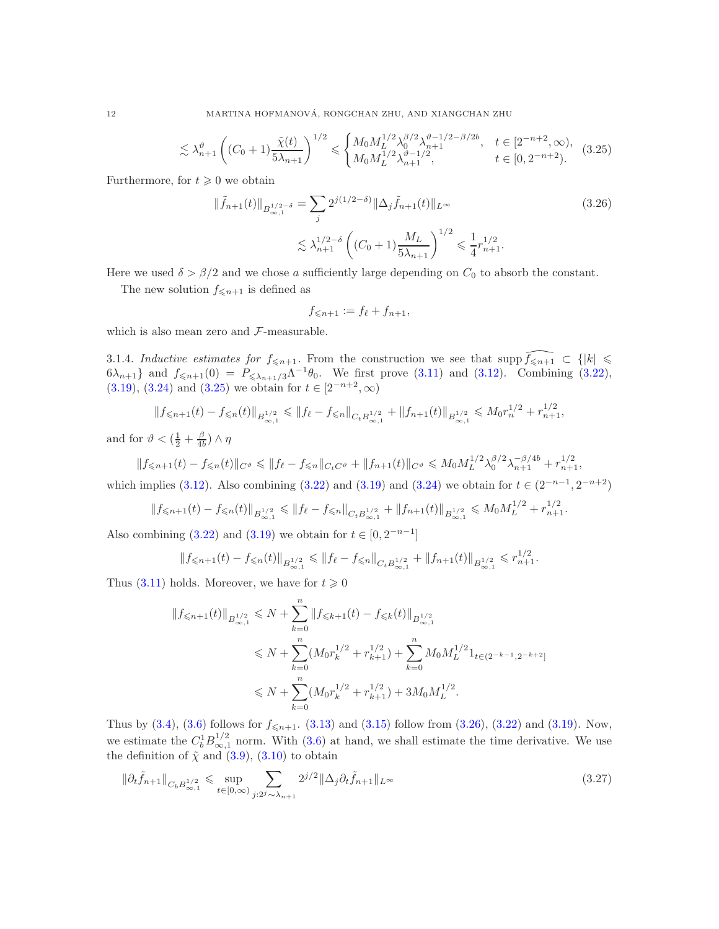$$
\lesssim \lambda_{n+1}^{\vartheta} \left( (C_0 + 1) \frac{\tilde{\chi}(t)}{5\lambda_{n+1}} \right)^{1/2} \leq \begin{cases} M_0 M_L^{1/2} \lambda_0^{\beta/2} \lambda_{n+1}^{\vartheta - 1/2 - \beta/2b}, & t \in [2^{-n+2}, \infty),\\ M_0 M_L^{1/2} \lambda_{n+1}^{\vartheta - 1/2}, & t \in [0, 2^{-n+2}). \end{cases}
$$
(3.25)

Furthermore, for  $t \geq 0$  we obtain

$$
\|\tilde{f}_{n+1}(t)\|_{B^{1/2-\delta}_{\infty,1}} = \sum_{j} 2^{j(1/2-\delta)} \|\Delta_j \tilde{f}_{n+1}(t)\|_{L^{\infty}}
$$
\n
$$
\lesssim \lambda_{n+1}^{1/2-\delta} \left( (C_0 + 1) \frac{M_L}{5\lambda_{n+1}} \right)^{1/2} \leq \frac{1}{4} r_{n+1}^{1/2}.
$$
\n(3.26)

Here we used  $\delta > \beta/2$  and we chose a sufficiently large depending on  $C_0$  to absorb the constant.

The new solution  $f_{\leq n+1}$  is defined as

<span id="page-11-1"></span><span id="page-11-0"></span>
$$
f_{\leqslant n+1} := f_{\ell} + f_{n+1},
$$

which is also mean zero and  $\mathcal{F}\text{-measurable.}$ 

3.1.4. *Inductive estimates for*  $f_{\leq n+1}$ . From the construction we see that supp  $\widehat{f_{\leq n+1}} \subset \{ |k| \leq$  $6\lambda_{n+1}$  and  $f_{\leq n+1}(0) = P_{\leq \lambda_{n+1}/3}\Lambda^{-1}\theta_0$ . We first prove  $(3.11)$  and  $(3.12)$ . Combining  $(3.22)$ ,  $(3.19), (3.24)$  $(3.19), (3.24)$  $(3.19), (3.24)$  and  $(3.25)$  we obtain for  $t \in [2^{-n+2}, \infty)$ 

$$
||f_{\leq n+1}(t) - f_{\leq n}(t)||_{B^{1/2}_{\infty,1}} \leq ||f_{\ell} - f_{\leq n}||_{C_{t}B^{1/2}_{\infty,1}} + ||f_{n+1}(t)||_{B^{1/2}_{\infty,1}} \leq M_{0}r_{n}^{1/2} + r_{n+1}^{1/2},
$$

and for  $\vartheta < (\frac{1}{2} + \frac{\beta}{4b}) \wedge \eta$ 

$$
||f_{\leq n+1}(t) - f_{\leq n}(t)||_{C^{\vartheta}} \leq ||f_{\ell} - f_{\leq n}||_{C_t C^{\vartheta}} + ||f_{n+1}(t)||_{C^{\vartheta}} \leq M_0 M_L^{1/2} \lambda_0^{\beta/2} \lambda_{n+1}^{-\beta/4b} + r_{n+1}^{1/2},
$$

which implies [\(3.12\)](#page-8-5). Also combining [\(3.22\)](#page-10-0) and [\(3.19\)](#page-9-2) and [\(3.24\)](#page-10-1) we obtain for  $t \in (2^{-n-1}, 2^{-n+2})$ 

$$
||f_{\leq n+1}(t) - f_{\leq n}(t)||_{B^{1/2}_{\infty,1}} \leq ||f_{\ell} - f_{\leq n}||_{C_{t}B^{1/2}_{\infty,1}} + ||f_{n+1}(t)||_{B^{1/2}_{\infty,1}} \leq M_{0}M_{L}^{1/2} + r_{n+1}^{1/2}.
$$

Also combining  $(3.22)$  and  $(3.19)$  we obtain for  $t \in [0, 2^{-n-1}]$ 

$$
||f_{\leq n+1}(t) - f_{\leq n}(t)||_{B^{1/2}_{\infty,1}} \leq ||f_{\ell} - f_{\leq n}||_{C_{t}B^{1/2}_{\infty,1}} + ||f_{n+1}(t)||_{B^{1/2}_{\infty,1}} \leq r_{n+1}^{1/2}.
$$

Thus [\(3.11\)](#page-8-4) holds. Moreover, we have for  $t \geq 0$ 

<span id="page-11-2"></span>
$$
||f_{\leqslant n+1}(t)||_{B^{1/2}_{\infty,1}} \leqslant N + \sum_{k=0}^{n} ||f_{\leqslant k+1}(t) - f_{\leqslant k}(t)||_{B^{1/2}_{\infty,1}} \\
\leqslant N + \sum_{k=0}^{n} (M_0 r_k^{1/2} + r_{k+1}^{1/2}) + \sum_{k=0}^{n} M_0 M_L^{1/2} 1_{t \in (2^{-k-1}, 2^{-k+2}]} \\
\leqslant N + \sum_{k=0}^{n} (M_0 r_k^{1/2} + r_{k+1}^{1/2}) + 3M_0 M_L^{1/2}.
$$

Thus by  $(3.4)$ ,  $(3.6)$  follows for  $f_{\leq n+1}$ .  $(3.13)$  and  $(3.15)$  follow from  $(3.26)$ ,  $(3.22)$  and  $(3.19)$ . Now, we estimate the  $C_b^1 B_{\infty,1}^{1/2}$  norm. With [\(3.6\)](#page-7-4) at hand, we shall estimate the time derivative. We use the definition of  $\tilde{\chi}$  and  $(3.9)$ ,  $(3.10)$  to obtain

$$
\|\partial_t \tilde{f}_{n+1}\|_{C_b B^{1/2}_{\infty,1}} \leq \sup_{t \in [0,\infty)} \sum_{j:2^j \sim \lambda_{n+1}} 2^{j/2} \|\Delta_j \partial_t \tilde{f}_{n+1}\|_{L^\infty}
$$
\n(3.27)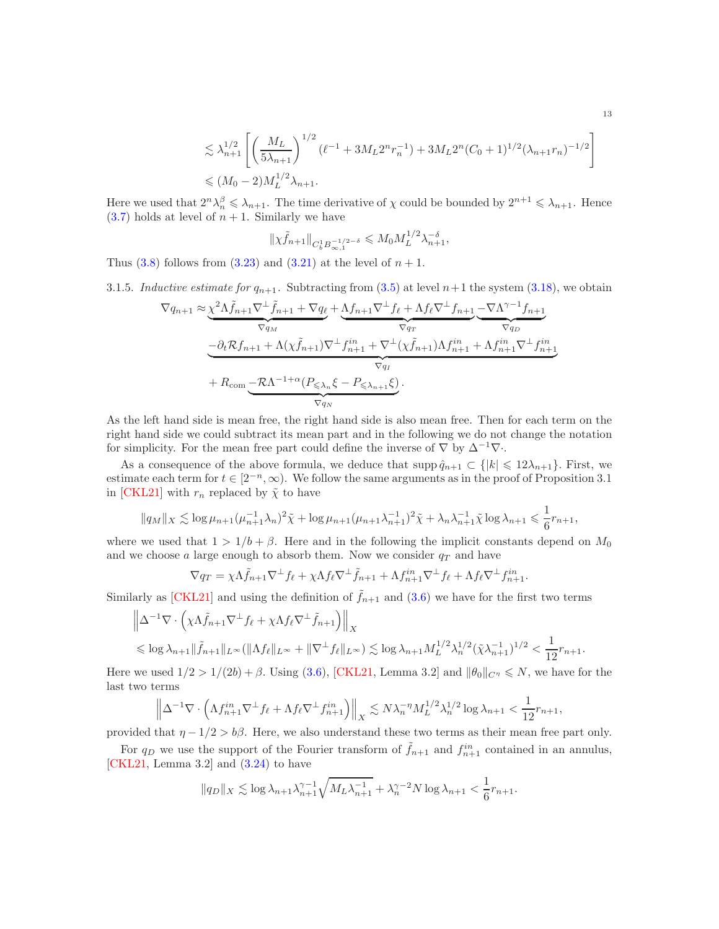$$
\leq \lambda_{n+1}^{1/2} \left[ \left( \frac{M_L}{5\lambda_{n+1}} \right)^{1/2} (\ell^{-1} + 3M_L 2^n r_n^{-1}) + 3M_L 2^n (C_0 + 1)^{1/2} (\lambda_{n+1} r_n)^{-1/2} \right] \n\leq (M_0 - 2) M_L^{1/2} \lambda_{n+1}.
$$

Here we used that  $2^n \lambda_n^{\beta} \leq \lambda_{n+1}$ . The time derivative of  $\chi$  could be bounded by  $2^{n+1} \leq \lambda_{n+1}$ . Hence  $(3.7)$  holds at level of  $n + 1$ . Similarly we have

$$
\|\chi \tilde{f}_{n+1}\|_{C_b^1 B_{\infty,1}^{-1/2-\delta}} \leq M_0 M_L^{1/2} \lambda_{n+1}^{-\delta},
$$

<span id="page-12-0"></span>Thus  $(3.8)$  follows from  $(3.23)$  and  $(3.21)$  at the level of  $n + 1$ .

3.1.5. *Inductive estimate for*  $q_{n+1}$ . Subtracting from [\(3.5\)](#page-7-1) at level  $n+1$  the system [\(3.18\)](#page-9-4), we obtain

$$
\nabla q_{n+1} \approx \underbrace{\chi^2 \Lambda \tilde{f}_{n+1} \nabla^{\perp} \tilde{f}_{n+1} + \nabla q_{\ell}}_{\nabla q_{M}} + \underbrace{\Lambda f_{n+1} \nabla^{\perp} f_{\ell} + \Lambda f_{\ell} \nabla^{\perp} f_{n+1}}_{\nabla q_{T}} - \underbrace{\nabla \Lambda^{\gamma-1} f_{n+1}}_{\nabla q_{D}} + \Lambda(\chi \tilde{f}_{n+1}) \nabla^{\perp} f_{n+1}^{in} + \nabla^{\perp} (\chi \tilde{f}_{n+1}) \Lambda f_{n+1}^{in} + \Lambda f_{n+1}^{in} \nabla^{\perp} f_{n+1}^{in}}_{\nabla q_{I}} + R_{\text{com}} \underbrace{-\mathcal{R} \Lambda^{-1+\alpha} (P_{\leq \lambda_n} \xi - P_{\leq \lambda_{n+1}} \xi)}_{\nabla q_{N}}.
$$

As the left hand side is mean free, the right hand side is also mean free. Then for each term on the right hand side we could subtract its mean part and in the following we do not change the notation for simplicity. For the mean free part could define the inverse of  $\nabla$  by  $\Delta^{-1}\nabla$ .

As a consequence of the above formula, we deduce that  $\text{supp }\hat{q}_{n+1} \subset \{|k| \leq 12\lambda_{n+1}\}\.$  First, we estimate each term for  $t \in [2^{-n}, \infty)$ . We follow the same arguments as in the proof of Proposition 3.1 in [\[CKL21\]](#page-29-18) with  $r_n$  replaced by  $\tilde{\chi}$  to have

$$
||q_M||_X \lesssim \log \mu_{n+1} (\mu_{n+1}^{-1} \lambda_n)^2 \tilde{\chi} + \log \mu_{n+1} (\mu_{n+1} \lambda_{n+1}^{-1})^2 \tilde{\chi} + \lambda_n \lambda_{n+1}^{-1} \tilde{\chi} \log \lambda_{n+1} \leq \frac{1}{6} r_{n+1},
$$

where we used that  $1 > 1/b + \beta$ . Here and in the following the implicit constants depend on  $M_0$ and we choose a large enough to absorb them. Now we consider  $q_T$  and have

$$
\nabla q_T = \chi \Lambda \tilde{f}_{n+1} \nabla^{\perp} f_{\ell} + \chi \Lambda f_{\ell} \nabla^{\perp} \tilde{f}_{n+1} + \Lambda f_{n+1}^{in} \nabla^{\perp} f_{\ell} + \Lambda f_{\ell} \nabla^{\perp} f_{n+1}^{in}.
$$

Similarly as [\[CKL21\]](#page-29-18) and using the definition of  $\tilde{f}_{n+1}$  and [\(3.6\)](#page-7-4) we have for the first two terms

$$
\|\Delta^{-1}\nabla\cdot\left(\chi\Lambda\tilde{f}_{n+1}\nabla^{\perp}f_{\ell} + \chi\Lambda f_{\ell}\nabla^{\perp}\tilde{f}_{n+1}\right)\|_{X}
$$
  
\$\leqslant \log\lambda\_{n+1}\|\tilde{f}\_{n+1}\|\_{L^{\infty}}(\|\Lambda f\_{\ell}\|\_{L^{\infty}} + \|\nabla^{\perp}f\_{\ell}\|\_{L^{\infty}}) \lesssim \log\lambda\_{n+1}M\_{L}^{1/2}\lambda\_{n}^{1/2}(\tilde{\chi}\lambda\_{n+1}^{-1})^{1/2}  $\frac{1}{12}r_{n+1}.$ 

Here we used  $1/2 > 1/(2b) + \beta$ . Using [\(3.6\)](#page-7-4), [\[CKL21,](#page-29-18) Lemma 3.2] and  $\|\theta_0\|_{C^{\eta}} \leq N$ , we have for the last two terms

$$
\left\|\Delta^{-1}\nabla\cdot\left(\Lambda f_{n+1}^{in}\nabla^{\perp}f_{\ell} + \Lambda f_{\ell}\nabla^{\perp}f_{n+1}^{in}\right)\right\|_{X} \lesssim N\lambda_{n}^{-\eta}M_{L}^{1/2}\lambda_{n}^{1/2}\log\lambda_{n+1} < \frac{1}{12}r_{n+1},
$$

provided that  $\eta - 1/2 > b\beta$ . Here, we also understand these two terms as their mean free part only.

For  $q_D$  we use the support of the Fourier transform of  $\tilde{f}_{n+1}$  and  $f_{n+1}^{in}$  contained in an annulus, [\[CKL21,](#page-29-18) Lemma 3.2] and  $(3.24)$  to have

$$
||q_D||_X \lesssim \log \lambda_{n+1} \lambda_{n+1}^{\gamma-1} \sqrt{M_L \lambda_{n+1}^{-1}} + \lambda_n^{\gamma-2} N \log \lambda_{n+1} < \frac{1}{6} r_{n+1}.
$$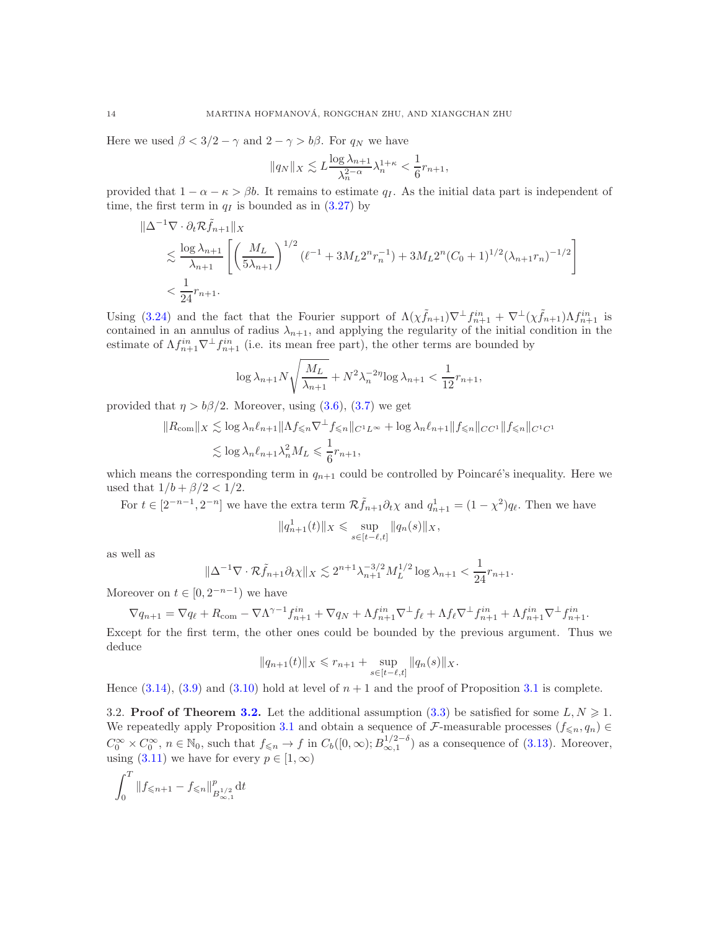Here we used  $\beta < 3/2 - \gamma$  and  $2 - \gamma > b\beta$ . For  $q_N$  we have

$$
||q_N||_X \lesssim L \frac{\log \lambda_{n+1}}{\lambda_n^{2-\alpha}} \lambda_n^{1+\kappa} < \frac{1}{6} r_{n+1},
$$

provided that  $1 - \alpha - \kappa > \beta b$ . It remains to estimate  $q_I$ . As the initial data part is independent of time, the first term in  $q_I$  is bounded as in  $(3.27)$  by

$$
\|\Delta^{-1}\nabla \cdot \partial_t \mathcal{R}\tilde{f}_{n+1}\|_X
$$
  
\$\leqslant \frac{\log \lambda\_{n+1}}{\lambda\_{n+1}} \left[ \left( \frac{M\_L}{5\lambda\_{n+1}} \right)^{1/2} (\ell^{-1} + 3M\_L 2^n r\_n^{-1}) + 3M\_L 2^n (C\_0 + 1)^{1/2} (\lambda\_{n+1} r\_n)^{-1/2} \right]\$  
\$< \frac{1}{24}r\_{n+1}.

Using [\(3.24\)](#page-10-1) and the fact that the Fourier support of  $\Lambda(\chi \tilde{f}_{n+1})\nabla^{\perp} f_{n+1}^{in} + \nabla^{\perp}(\chi \tilde{f}_{n+1})\Lambda f_{n+1}^{in}$  is contained in an annulus of radius  $\lambda_{n+1}$ , and applying the regularity of the initial condition in the estimate of  $\Lambda f_{n+1}^{in} \nabla^{\perp} f_{n+1}^{in}$  (i.e. its mean free part), the other terms are bounded by

$$
\log \lambda_{n+1} N \sqrt{\frac{M_L}{\lambda_{n+1}}} + N^2 \lambda_n^{-2\eta} \log \lambda_{n+1} < \frac{1}{12} r_{n+1},
$$

provided that  $\eta > b\beta/2$ . Moreover, using [\(3.6\)](#page-7-4), [\(3.7\)](#page-8-0) we get

$$
||R_{\text{com}}||_X \lesssim \log \lambda_n \ell_{n+1} ||\Lambda f_{\leq n} \nabla^{\perp} f_{\leq n}||_{C^1 L^{\infty}} + \log \lambda_n \ell_{n+1} ||f_{\leq n}||_{CC^1} ||f_{\leq n}||_{C^1 C^1}
$$
  

$$
\lesssim \log \lambda_n \ell_{n+1} \lambda_n^2 M_L \leq \frac{1}{6} r_{n+1},
$$

which means the corresponding term in  $q_{n+1}$  could be controlled by Poincaré's inequality. Here we used that  $1/b + \beta/2 < 1/2$ .

For  $t \in [2^{-n-1}, 2^{-n}]$  we have the extra term  $\mathcal{R} \tilde{f}_{n+1} \partial_t \chi$  and  $q_{n+1}^1 = (1 - \chi^2) q_\ell$ . Then we have  $||q_{n+1}^1(t)||_X \leq \sup_{s \in [t-\ell,t]} ||q_n(s)||_X,$ 

as well as

$$
\|\Delta^{-1}\nabla \cdot \mathcal{R}\tilde{f}_{n+1}\partial_t \chi\|_X \lesssim 2^{n+1}\lambda_{n+1}^{-3/2}M_L^{1/2}\log \lambda_{n+1} < \frac{1}{24}r_{n+1}.
$$

Moreover on  $t \in [0, 2^{-n-1})$  we have

$$
\nabla q_{n+1} = \nabla q_\ell + R_{\text{com}} - \nabla \Lambda^{\gamma-1} f_{n+1}^{in} + \nabla q_N + \Lambda f_{n+1}^{in} \nabla^\perp f_\ell + \Lambda f_\ell \nabla^\perp f_{n+1}^{in} + \Lambda f_{n+1}^{in} \nabla^\perp f_{n+1}^{in}.
$$

Except for the first term, the other ones could be bounded by the previous argument. Thus we deduce

$$
||q_{n+1}(t)||_X \leq r_{n+1} + \sup_{s \in [t-\ell,t]} ||q_n(s)||_X.
$$

<span id="page-13-0"></span>Hence  $(3.14)$  $(3.14)$  $(3.14)$ ,  $(3.9)$  and  $(3.10)$  hold at level of  $n + 1$  and the proof of Proposition 3.1 is complete.

[3.2.](#page-9-1) Proof of Theorem 3.2. Let the additional assumption [\(3.3\)](#page-7-3) be satisfied for some  $L, N \geq 1$ . We repeatedly apply Proposition [3.1](#page-7-0) and obtain a sequence of F-measurable processes  $(f_{\leq n}, q_n)$  $C_0^{\infty} \times C_0^{\infty}$ ,  $n \in \mathbb{N}_0$ , such that  $f_{\leq n} \to f$  in  $C_b([0,\infty); B_{\infty,1}^{1/2-\delta})$  as a consequence of [\(3.13\)](#page-8-6). Moreover, using  $(3.11)$  we have for every  $p \in [1, \infty)$ 

$$
\int_0^T \|f_{\le n+1} - f_{\le n}\|_{B^{1/2}_{\infty,1}}^p dt
$$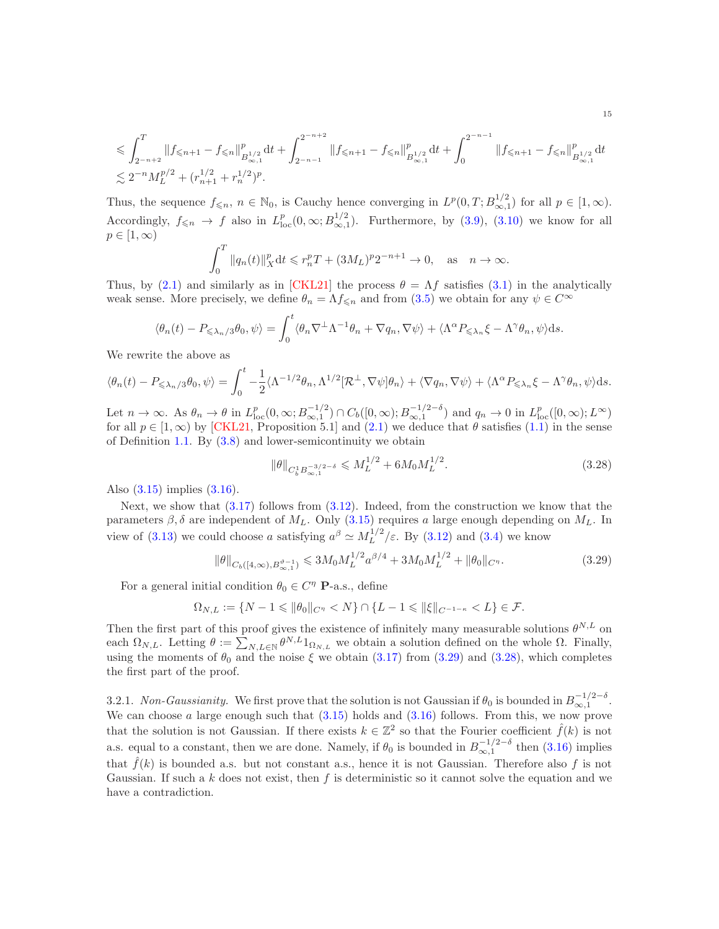$$
\leqslant \int_{2^{-n+2}}^{T} \lVert f_{\leqslant n+1} - f_{\leqslant n} \rVert_{B^{1/2}_{\infty,1}}^p \mathrm{d} t + \int_{2^{-n-1}}^{2^{-n+2}} \lVert f_{\leqslant n+1} - f_{\leqslant n} \rVert_{B^{1/2}_{\infty,1}}^p \mathrm{d} t + \int_{0}^{2^{-n-1}} \lVert f_{\leqslant n+1} - f_{\leqslant n} \rVert_{B^{1/2}_{\infty,1}}^p \mathrm{d} t
$$
  

$$
\lesssim 2^{-n} M_L^{p/2} + (r_{n+1}^{1/2} + r_n^{1/2})^p.
$$

Thus, the sequence  $f_{\leq n}$ ,  $n \in \mathbb{N}_0$ , is Cauchy hence converging in  $L^p(0,T; B^{1/2}_{\infty,1})$  for all  $p \in [1,\infty)$ . Accordingly,  $f_{\leq n} \to f$  also in  $L_{\text{loc}}^p(0,\infty; B_{\infty,1}^{1/2})$ . Furthermore, by [\(3.9\)](#page-8-2), [\(3.10\)](#page-8-3) we know for all  $p \in [1,\infty)$ 

$$
\int_0^T \|q_n(t)\|_X^p dt \leqslant r_n^p T + (3M_L)^p 2^{-n+1} \to 0, \quad \text{as} \quad n \to \infty.
$$

Thus, by [\(2.1\)](#page-6-3) and similarly as in [\[CKL21\]](#page-29-18) the process  $\theta = \Lambda f$  satisfies [\(3.1\)](#page-6-2) in the analytically weak sense. More precisely, we define  $\theta_n = \Lambda f_{\leq n}$  and from [\(3.5\)](#page-7-1) we obtain for any  $\psi \in C^{\infty}$ 

$$
\langle \theta_n(t) - P_{\leq \lambda_n/3} \theta_0, \psi \rangle = \int_0^t \langle \theta_n \nabla^{\perp} \Lambda^{-1} \theta_n + \nabla q_n, \nabla \psi \rangle + \langle \Lambda^{\alpha} P_{\leq \lambda_n} \xi - \Lambda^{\gamma} \theta_n, \psi \rangle ds.
$$

We rewrite the above as

$$
\langle \theta_n(t) - P_{\leq \lambda_n/3} \theta_0, \psi \rangle = \int_0^t -\frac{1}{2} \langle \Lambda^{-1/2} \theta_n, \Lambda^{1/2} [\mathcal{R}^\perp, \nabla \psi] \theta_n \rangle + \langle \nabla q_n, \nabla \psi \rangle + \langle \Lambda^\alpha P_{\leq \lambda_n} \xi - \Lambda^\gamma \theta_n, \psi \rangle ds.
$$

Let  $n \to \infty$ . As  $\theta_n \to \theta$  in  $L_{\text{loc}}^p(0,\infty; B_{\infty,1}^{-1/2}) \cap C_b([0,\infty); B_{\infty,1}^{-1/2-\delta})$  and  $q_n \to 0$  in  $L_{\text{loc}}^p([0,\infty); L^{\infty})$ for all  $p \in [1,\infty)$  by [\[CKL21,](#page-29-18) Proposition 5.1] and [\(2.1\)](#page-6-3) we deduce that  $\theta$  satisfies [\(1.1\)](#page-1-1) in the sense of Definition [1.1.](#page-4-1) By [\(3.8\)](#page-8-1) and lower-semicontinuity we obtain

<span id="page-14-1"></span>
$$
\|\theta\|_{C_b^1 B_{\infty,1}^{-3/2-\delta}} \leqslant M_L^{1/2} + 6M_0 M_L^{1/2}.
$$
\n(3.28)

Also [\(3.15\)](#page-8-7) implies [\(3.16\)](#page-9-5).

Next, we show that  $(3.17)$  follows from  $(3.12)$ . Indeed, from the construction we know that the parameters  $\beta$ ,  $\delta$  are independent of  $M_L$ . Only [\(3.15\)](#page-8-7) requires a large enough depending on  $M_L$ . In view of [\(3.13\)](#page-8-6) we could choose a satisfying  $a^{\beta} \simeq M_L^{1/2}$  $\frac{L^{1/2}}{L}$  / $\varepsilon$ . By [\(3.12\)](#page-8-5) and [\(3.4\)](#page-7-5) we know

<span id="page-14-0"></span>
$$
\|\theta\|_{C_b([4,\infty),B_{\infty,1}^{\vartheta-1})} \leq 3M_0 M_L^{1/2} a^{\beta/4} + 3M_0 M_L^{1/2} + \|\theta_0\|_{C^{\eta}}.
$$
\n(3.29)

For a general initial condition  $\theta_0 \in C^{\eta}$  **P**-a.s., define

$$
\Omega_{N,L}:=\{N-1\leqslant \|\theta_0\|_{C^\eta}
$$

Then the first part of this proof gives the existence of infinitely many measurable solutions  $\theta^{N,L}$  on each  $\Omega_{N,L}$ . Letting  $\theta := \sum_{N,L \in \mathbb{N}} \theta^{N,L} 1_{\Omega_{N,L}}$  we obtain a solution defined on the whole  $\Omega$ . Finally, using the moments of  $\theta_0$  and the noise  $\xi$  we obtain [\(3.17\)](#page-9-6) from [\(3.29\)](#page-14-0) and [\(3.28\)](#page-14-1), which completes the first part of the proof.

3.2.1. *Non-Gaussianity*. We first prove that the solution is not Gaussian if  $\theta_0$  is bounded in  $B^{-1/2-\delta}_{\infty,1}$ . We can choose  $a$  large enough such that  $(3.15)$  holds and  $(3.16)$  follows. From this, we now prove that the solution is not Gaussian. If there exists  $k \in \mathbb{Z}^2$  so that the Fourier coefficient  $\hat{f}(k)$  is not a.s. equal to a constant, then we are done. Namely, if  $\theta_0$  is bounded in  $B_{\infty,1}^{-1/2-\delta}$  then [\(3.16\)](#page-9-5) implies that  $\hat{f}(k)$  is bounded a.s. but not constant a.s., hence it is not Gaussian. Therefore also f is not Gaussian. If such a k does not exist, then f is deterministic so it cannot solve the equation and we have a contradiction.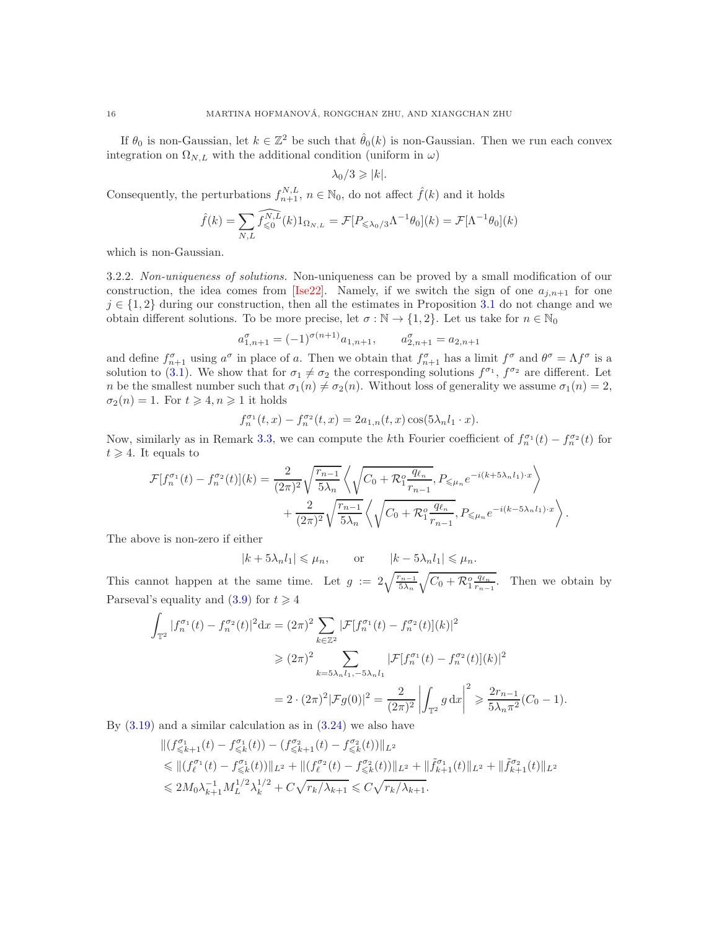If  $\theta_0$  is non-Gaussian, let  $k \in \mathbb{Z}^2$  be such that  $\hat{\theta}_0(k)$  is non-Gaussian. Then we run each convex integration on  $\Omega_{N,L}$  with the additional condition (uniform in  $\omega$ )

$$
\lambda_0/3 \geqslant |k|.
$$

Consequently, the perturbations  $f_{n+1}^{N,L}$ ,  $n \in \mathbb{N}_0$ , do not affect  $\hat{f}(k)$  and it holds

$$
\hat{f}(k) = \sum_{N,L} \widehat{f_{\leqslant 0}^{N,L}}(k) 1_{\Omega_{N,L}} = \mathcal{F}[P_{\leqslant \lambda_0/3} \Lambda^{-1} \theta_0](k) = \mathcal{F}[\Lambda^{-1} \theta_0](k)
$$

<span id="page-15-0"></span>which is non-Gaussian.

3.2.2. *Non-uniqueness of solutions.* Non-uniqueness can be proved by a small modification of our construction, the idea comes from [\[Ise22\]](#page-30-24). Namely, if we switch the sign of one  $a_{i,n+1}$  for one  $j \in \{1, 2\}$  during our construction, then all the estimates in Proposition [3.1](#page-7-0) do not change and we obtain different solutions. To be more precise, let  $\sigma : \mathbb{N} \to \{1, 2\}$ . Let us take for  $n \in \mathbb{N}_0$ 

$$
a_{1,n+1}^{\sigma} = (-1)^{\sigma(n+1)} a_{1,n+1}, \qquad a_{2,n+1}^{\sigma} = a_{2,n+1}
$$

and define  $f_{n+1}^{\sigma}$  using  $a^{\sigma}$  in place of a. Then we obtain that  $f_{n+1}^{\sigma}$  has a limit  $f^{\sigma}$  and  $\theta^{\sigma} = \Lambda f^{\sigma}$  is a solution to [\(3.1\)](#page-6-2). We show that for  $\sigma_1 \neq \sigma_2$  the corresponding solutions  $f^{\sigma_1}$ ,  $f^{\sigma_2}$  are different. Let n be the smallest number such that  $\sigma_1(n) \neq \sigma_2(n)$ . Without loss of generality we assume  $\sigma_1(n) = 2$ ,  $\sigma_2(n) = 1$ . For  $t \geq 4, n \geq 1$  it holds

$$
f_n^{\sigma_1}(t, x) - f_n^{\sigma_2}(t, x) = 2a_{1,n}(t, x)\cos(5\lambda_n l_1 \cdot x).
$$

Now, similarly as in Remark [3.3,](#page-10-3) we can compute the kth Fourier coefficient of  $f_n^{\sigma_1}(t) - f_n^{\sigma_2}(t)$  for  $t \geqslant 4$ . It equals to

$$
\mathcal{F}[f_n^{\sigma_1}(t) - f_n^{\sigma_2}(t)](k) = \frac{2}{(2\pi)^2} \sqrt{\frac{r_{n-1}}{5\lambda_n}} \left\langle \sqrt{C_0 + \mathcal{R}_1^o \frac{q_{\ell_n}}{r_{n-1}}}, P_{\leq \mu_n} e^{-i(k+5\lambda_n l_1) \cdot x} \right\rangle
$$
  
+ 
$$
\frac{2}{(2\pi)^2} \sqrt{\frac{r_{n-1}}{5\lambda_n}} \left\langle \sqrt{C_0 + \mathcal{R}_1^o \frac{q_{\ell_n}}{r_{n-1}}}, P_{\leq \mu_n} e^{-i(k-5\lambda_n l_1) \cdot x} \right\rangle.
$$

The above is non-zero if either

$$
|k + 5\lambda_n l_1| \le \mu_n, \qquad \text{or} \qquad |k - 5\lambda_n l_1| \le \mu_n.
$$

This cannot happen at the same time. Let  $g := 2\sqrt{\frac{r_{n-1}}{5\lambda_n}}\sqrt{C_0 + \mathcal{R}_1^o \frac{q_{\ell_n}}{r_{n-1}}}$ . Then we obtain by Parseval's equality and  $(3.9)$  for  $t \ge 4$ 

$$
\int_{\mathbb{T}^2} |f_n^{\sigma_1}(t) - f_n^{\sigma_2}(t)|^2 dx = (2\pi)^2 \sum_{k \in \mathbb{Z}^2} |\mathcal{F}[f_n^{\sigma_1}(t) - f_n^{\sigma_2}(t)](k)|^2
$$
  
\n
$$
\geq (2\pi)^2 \sum_{k=5\lambda_n l_1, -5\lambda_n l_1} |\mathcal{F}[f_n^{\sigma_1}(t) - f_n^{\sigma_2}(t)](k)|^2
$$
  
\n
$$
= 2 \cdot (2\pi)^2 |\mathcal{F}g(0)|^2 = \frac{2}{(2\pi)^2} \left| \int_{\mathbb{T}^2} g \, dx \right|^2 \geq \frac{2r_{n-1}}{5\lambda_n \pi^2} (C_0 - 1).
$$

By  $(3.19)$  and a similar calculation as in  $(3.24)$  we also have

$$
\label{eq:20} \begin{split} &\|(f_{\leqslant k+1}^{\sigma_1}(t)-f_{\leqslant k}^{\sigma_1}(t))-(f_{\leqslant k+1}^{\sigma_2}(t)-f_{\leqslant k}^{\sigma_2}(t))\|_{L^2}\\ &\leqslant \|(f_{\ell}^{\sigma_1}(t)-f_{\leqslant k}^{\sigma_1}(t))\|_{L^2}+\|(f_{\ell}^{\sigma_2}(t)-f_{\leqslant k}^{\sigma_2}(t))\|_{L^2}+\|\tilde{f}_{k+1}^{\sigma_1}(t)\|_{L^2}+\|\tilde{f}_{k+1}^{\sigma_2}(t)\|_{L^2}\\ &\leqslant 2M_0\lambda_{k+1}^{-1}M_L^{1/2}\lambda_k^{1/2}+C\sqrt{r_k/\lambda_{k+1}}\leqslant C\sqrt{r_k/\lambda_{k+1}}. \end{split}
$$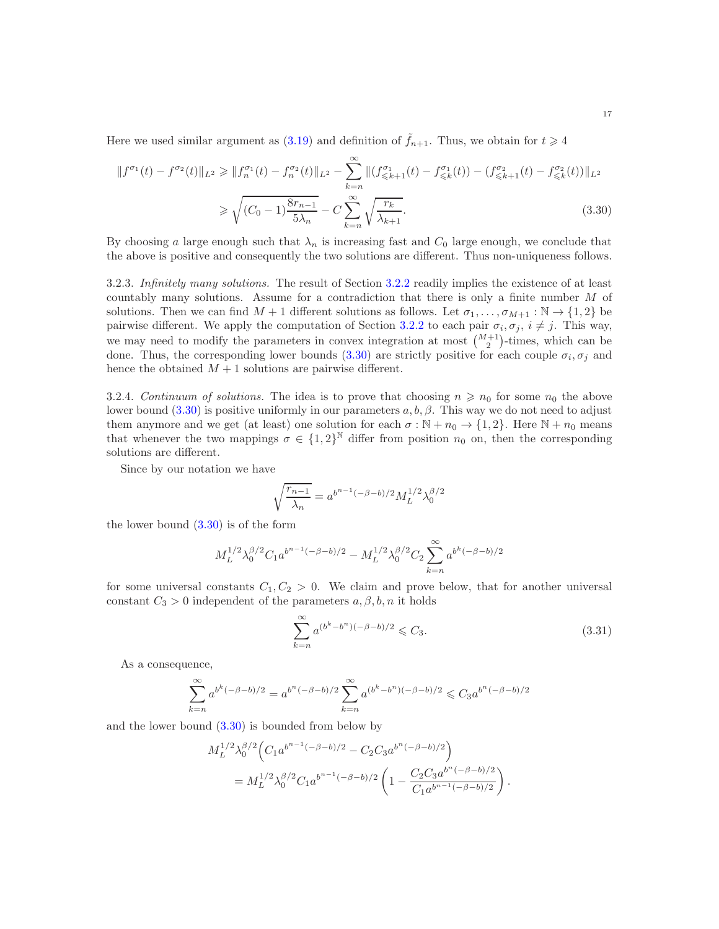Here we used similar argument as  $(3.19)$  and definition of  $f_{n+1}$ . Thus, we obtain for  $t \geq 4$ 

$$
||f^{\sigma_1}(t) - f^{\sigma_2}(t)||_{L^2} \ge ||f_n^{\sigma_1}(t) - f_n^{\sigma_2}(t)||_{L^2} - \sum_{k=n}^{\infty} ||(f_{\le k+1}^{\sigma_1}(t) - f_{\le k}^{\sigma_1}(t)) - (f_{\le k+1}^{\sigma_2}(t) - f_{\le k}^{\sigma_2}(t))||_{L^2}
$$
  

$$
\ge \sqrt{(C_0 - 1)\frac{8r_{n-1}}{5\lambda_n}} - C \sum_{k=n}^{\infty} \sqrt{\frac{r_k}{\lambda_{k+1}}}.
$$
 (3.30)

By choosing a large enough such that  $\lambda_n$  is increasing fast and  $C_0$  large enough, we conclude that the above is positive and consequently the two solutions are different. Thus non-uniqueness follows.

3.2.3. *Infinitely many solutions.* The result of Section [3.2.2](#page-15-0) readily implies the existence of at least countably many solutions. Assume for a contradiction that there is only a finite number M of solutions. Then we can find  $M + 1$  different solutions as follows. Let  $\sigma_1, \ldots, \sigma_{M+1} : \mathbb{N} \to \{1,2\}$  be pairwise different. We apply the computation of Section [3.2.2](#page-15-0) to each pair  $\sigma_i, \sigma_j, i \neq j$ . This way, we may need to modify the parameters in convex integration at most  $\binom{M+1}{2}$ -times, which can be done. Thus, the corresponding lower bounds [\(3.30\)](#page-16-0) are strictly positive for each couple  $\sigma_i, \sigma_j$  and hence the obtained  $M + 1$  solutions are pairwise different.

3.2.4. *Continuum of solutions*. The idea is to prove that choosing  $n \geq n_0$  for some  $n_0$  the above lower bound [\(3.30\)](#page-16-0) is positive uniformly in our parameters  $a, b, \beta$ . This way we do not need to adjust them anymore and we get (at least) one solution for each  $\sigma : \mathbb{N} + n_0 \to \{1, 2\}$ . Here  $\mathbb{N} + n_0$  means that whenever the two mappings  $\sigma \in \{1,2\}^{\mathbb{N}}$  differ from position  $n_0$  on, then the corresponding solutions are different.

Since by our notation we have

<span id="page-16-0"></span>
$$
\sqrt{\frac{r_{n-1}}{\lambda_n}} = a^{b^{n-1}(-\beta - b)/2} M_L^{1/2} \lambda_0^{\beta/2}
$$

the lower bound [\(3.30\)](#page-16-0) is of the form

$$
M_L^{1/2} \lambda_0^{\beta/2} C_1 a^{b^{n-1}(-\beta - b)/2} - M_L^{1/2} \lambda_0^{\beta/2} C_2 \sum_{k=n}^{\infty} a^{b^k(-\beta - b)/2}
$$

for some universal constants  $C_1, C_2 > 0$ . We claim and prove below, that for another universal constant  $C_3 > 0$  independent of the parameters  $a, \beta, b, n$  it holds

<span id="page-16-1"></span>
$$
\sum_{k=n}^{\infty} a^{(b^k - b^n)(-\beta - b)/2} \leq C_3.
$$
\n(3.31)

As a consequence,

$$
\sum_{k=n}^{\infty} a^{b^k(-\beta-b)/2} = a^{b^n(-\beta-b)/2} \sum_{k=n}^{\infty} a^{(b^k - b^n)(-\beta-b)/2} \leq C_3 a^{b^n(-\beta-b)/2}
$$

and the lower bound [\(3.30\)](#page-16-0) is bounded from below by

$$
M_L^{1/2} \lambda_0^{\beta/2} \left( C_1 a^{b^{n-1}(-\beta - b)/2} - C_2 C_3 a^{b^n(-\beta - b)/2} \right)
$$
  
= 
$$
M_L^{1/2} \lambda_0^{\beta/2} C_1 a^{b^{n-1}(-\beta - b)/2} \left( 1 - \frac{C_2 C_3 a^{b^n(-\beta - b)/2}}{C_1 a^{b^{n-1}(-\beta - b)/2}} \right).
$$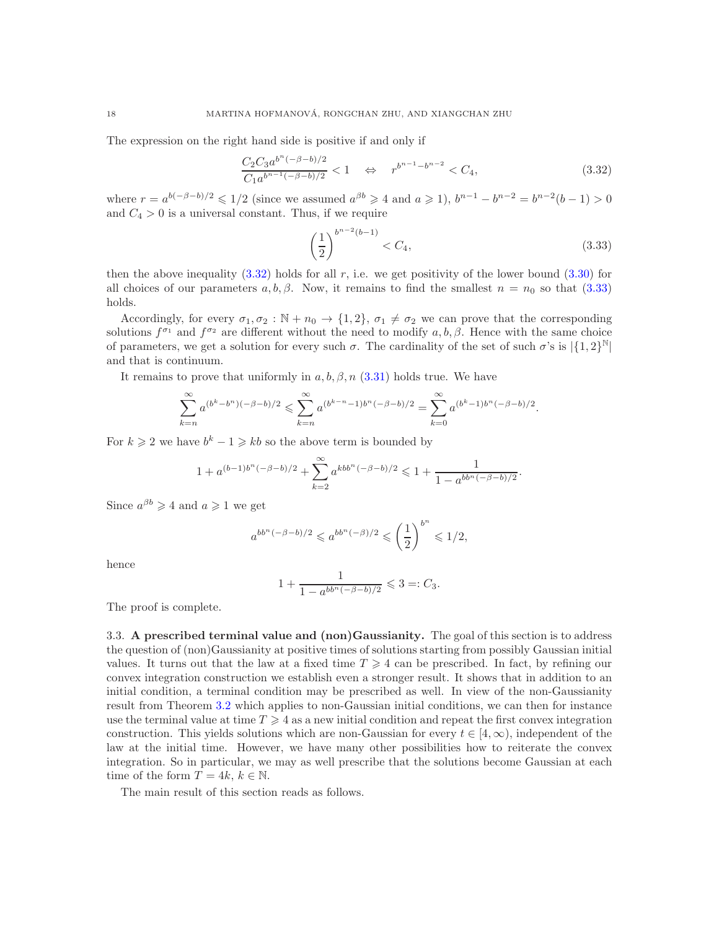The expression on the right hand side is positive if and only if

<span id="page-17-1"></span>
$$
\frac{C_2 C_3 a^{b^n(-\beta - b)/2}}{C_1 a^{b^{n-1}(-\beta - b)/2}} < 1 \quad \Leftrightarrow \quad r^{b^{n-1} - b^{n-2}} < C_4,\tag{3.32}
$$

where  $r = a^{b(-\beta - b)/2} \leq 1/2$  (since we assumed  $a^{\beta b} \geq 4$  and  $a \geq 1$ ),  $b^{n-1} - b^{n-2} = b^{n-2}(b-1) > 0$ and  $C_4 > 0$  is a universal constant. Thus, if we require

<span id="page-17-2"></span>
$$
\left(\frac{1}{2}\right)^{b^{n-2}(b-1)} < C_4,\tag{3.33}
$$

then the above inequality  $(3.32)$  holds for all r, i.e. we get positivity of the lower bound  $(3.30)$  for all choices of our parameters  $a, b, \beta$ . Now, it remains to find the smallest  $n = n_0$  so that [\(3.33\)](#page-17-2) holds.

Accordingly, for every  $\sigma_1, \sigma_2 : \mathbb{N} + n_0 \to \{1, 2\}, \sigma_1 \neq \sigma_2$  we can prove that the corresponding solutions  $f^{\sigma_1}$  and  $f^{\sigma_2}$  are different without the need to modify  $a, b, \beta$ . Hence with the same choice of parameters, we get a solution for every such  $\sigma$ . The cardinality of the set of such  $\sigma$ 's is  $|\{1,2\}^{\mathbb{N}}|$ and that is continuum.

It remains to prove that uniformly in  $a, b, \beta, n$  [\(3.31\)](#page-16-1) holds true. We have

$$
\sum_{k=n}^{\infty} a^{(b^k - b^n)(-\beta - b)/2} \leqslant \sum_{k=n}^{\infty} a^{(b^{k-n}-1)b^n(-\beta - b)/2} = \sum_{k=0}^{\infty} a^{(b^k-1)b^n(-\beta - b)/2}.
$$

For  $k \geq 2$  we have  $b^k - 1 \geq k b$  so the above term is bounded by

$$
1 + a^{(b-1)b^{n}(-\beta - b)/2} + \sum_{k=2}^{\infty} a^{kbb^{n}(-\beta - b)/2} \leq 1 + \frac{1}{1 - a^{bb^{n}(-\beta - b)/2}}.
$$

Since  $a^{\beta b} \geqslant 4$  and  $a \geqslant 1$  we get

$$
a^{bb^n(-\beta-b)/2} \leqslant a^{bb^n(-\beta)/2} \leqslant \left(\frac{1}{2}\right)^{b^n} \leqslant 1/2,
$$

hence

$$
1 + \frac{1}{1 - a^{bb^n(-\beta - b)/2}} \leq 3 =: C_3.
$$

<span id="page-17-0"></span>The proof is complete.

3.3. A prescribed terminal value and (non)Gaussianity. The goal of this section is to address the question of (non)Gaussianity at positive times of solutions starting from possibly Gaussian initial values. It turns out that the law at a fixed time  $T \geq 4$  can be prescribed. In fact, by refining our convex integration construction we establish even a stronger result. It shows that in addition to an initial condition, a terminal condition may be prescribed as well. In view of the non-Gaussianity result from Theorem [3.2](#page-9-1) which applies to non-Gaussian initial conditions, we can then for instance use the terminal value at time  $T \geq 4$  as a new initial condition and repeat the first convex integration construction. This yields solutions which are non-Gaussian for every  $t \in [4, \infty)$ , independent of the law at the initial time. However, we have many other possibilities how to reiterate the convex integration. So in particular, we may as well prescribe that the solutions become Gaussian at each time of the form  $T = 4k, k \in \mathbb{N}$ .

The main result of this section reads as follows.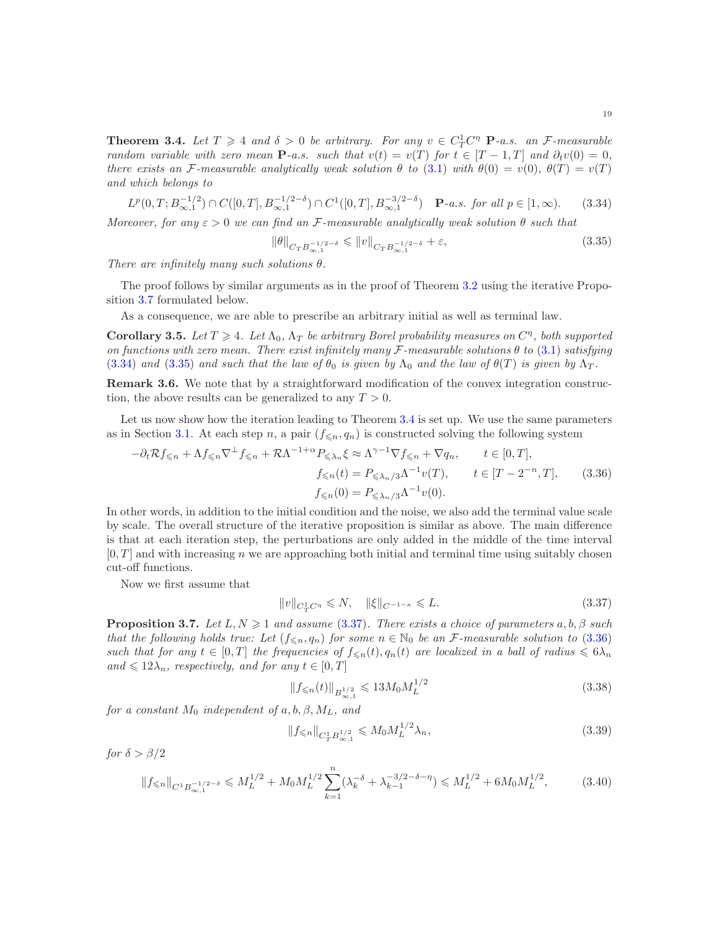<span id="page-18-0"></span>**Theorem 3.4.** Let  $T \geq 4$  and  $\delta > 0$  be arbitrary. For any  $v \in C_T^1 C^n$  **P**-a.s. an *F*-measurable *random variable with zero mean*  $P$ *-a.s. such that*  $v(t) = v(T)$  *for*  $t \in [T - 1, T]$  *and*  $\partial_t v(0) = 0$ *, there exists an* F-measurable analytically weak solution  $\theta$  to [\(3.1\)](#page-6-2) with  $\theta(0) = v(0)$ ,  $\theta(T) = v(T)$ *and which belongs to*

<span id="page-18-3"></span>
$$
L^{p}(0,T;B_{\infty,1}^{-1/2}) \cap C([0,T],B_{\infty,1}^{-1/2-\delta}) \cap C^{1}([0,T],B_{\infty,1}^{-3/2-\delta}) \quad \mathbf{P}\text{-}a.s.\ \text{ for all }p \in [1,\infty). \tag{3.34}
$$

*Moreover, for any*  $\varepsilon > 0$  *we can find an* F-measurable analytically weak solution  $\theta$  *such that* 

<span id="page-18-4"></span>
$$
\|\theta\|_{C_T B_{\infty,1}^{-1/2-\delta}} \leqslant \|v\|_{C_T B_{\infty,1}^{-1/2-\delta}} + \varepsilon,
$$
\n(3.35)

*There are infinitely many such solutions* θ*.*

The proof follows by similar arguments as in the proof of Theorem [3.2](#page-9-1) using the iterative Proposition [3.7](#page-18-2) formulated below.

As a consequence, we are able to prescribe an arbitrary initial as well as terminal law.

<span id="page-18-1"></span>**Corollary 3.5.** Let  $T \geq 4$ . Let  $\Lambda_0$ ,  $\Lambda_T$  be arbitrary Borel probability measures on  $C^{\eta}$ , both supported *on functions with zero mean. There exist infinitely many* F*-measurable solutions* θ *to* [\(3.1\)](#page-6-2) *satisfying* [\(3.34\)](#page-18-3) and [\(3.35\)](#page-18-4) and such that the law of  $\theta_0$  is given by  $\Lambda_0$  and the law of  $\theta(T)$  is given by  $\Lambda_T$ .

Remark 3.6. We note that by a straightforward modification of the convex integration construction, the above results can be generalized to any  $T > 0$ .

Let us now show how the iteration leading to Theorem [3.4](#page-18-0) is set up. We use the same parameters as in Section [3.1.](#page-9-0) At each step n, a pair  $(f_{\leq n}, q_n)$  is constructed solving the following system

$$
-\partial_t \mathcal{R} f_{\leqslant n} + \Lambda f_{\leqslant n} \nabla^{\perp} f_{\leqslant n} + \mathcal{R} \Lambda^{-1+\alpha} P_{\leqslant \lambda_n} \xi \approx \Lambda^{\gamma-1} \nabla f_{\leqslant n} + \nabla q_n, \qquad t \in [0, T],
$$
  

$$
f_{\leqslant n}(t) = P_{\leqslant \lambda_n/3} \Lambda^{-1} v(T), \qquad t \in [T - 2^{-n}, T], \qquad (3.36)
$$
  

$$
f_{\leqslant n}(0) = P_{\leqslant \lambda_n/3} \Lambda^{-1} v(0).
$$

In other words, in addition to the initial condition and the noise, we also add the terminal value scale by scale. The overall structure of the iterative proposition is similar as above. The main difference is that at each iteration step, the perturbations are only added in the middle of the time interval  $[0, T]$  and with increasing n we are approaching both initial and terminal time using suitably chosen cut-off functions.

Now we first assume that

<span id="page-18-6"></span><span id="page-18-5"></span>
$$
||v||_{C_T^1 C^{\eta}} \le N, \quad ||\xi||_{C^{-1-\kappa}} \le L. \tag{3.37}
$$

<span id="page-18-2"></span>**Proposition 3.7.** *Let*  $L, N \geq 1$  *and assume* [\(3.37\)](#page-18-5)*. There exists a choice of parameters*  $a, b, \beta$  *such that the following holds true: Let*  $(f_{\leq n}, q_n)$  *for some*  $n \in \mathbb{N}_0$  *be an F*-measurable solution to [\(3.36\)](#page-18-6) *such that for any*  $t \in [0, T]$  *the frequencies of*  $f_{\leq n}(t), q_n(t)$  *are localized in a ball of radius*  $\leq 6\lambda_n$ and  $\leq 12\lambda_n$ *, respectively, and for any*  $t \in [0, T]$ 

<span id="page-18-7"></span>
$$
||f_{\leq n}(t)||_{B^{1/2}_{\infty,1}} \leq 13M_0 M_L^{1/2}
$$
\n(3.38)

*for a constant*  $M_0$  *independent of*  $a, b, \beta, M_L$ *, and* 

<span id="page-18-9"></span><span id="page-18-8"></span>
$$
||f_{\leq n}||_{C_T^1 B_{\infty,1}^{1/2}} \leqslant M_0 M_L^{1/2} \lambda_n,
$$
\n(3.39)

*for*  $\delta > \beta/2$ 

$$
\|f_{\leqslant n}\|_{C^1B_{\infty,1}^{-1/2-\delta}} \leqslant M_L^{1/2} + M_0 M_L^{1/2} \sum_{k=1}^n (\lambda_k^{-\delta} + \lambda_{k-1}^{-3/2-\delta-\eta}) \leqslant M_L^{1/2} + 6M_0 M_L^{1/2},\tag{3.40}
$$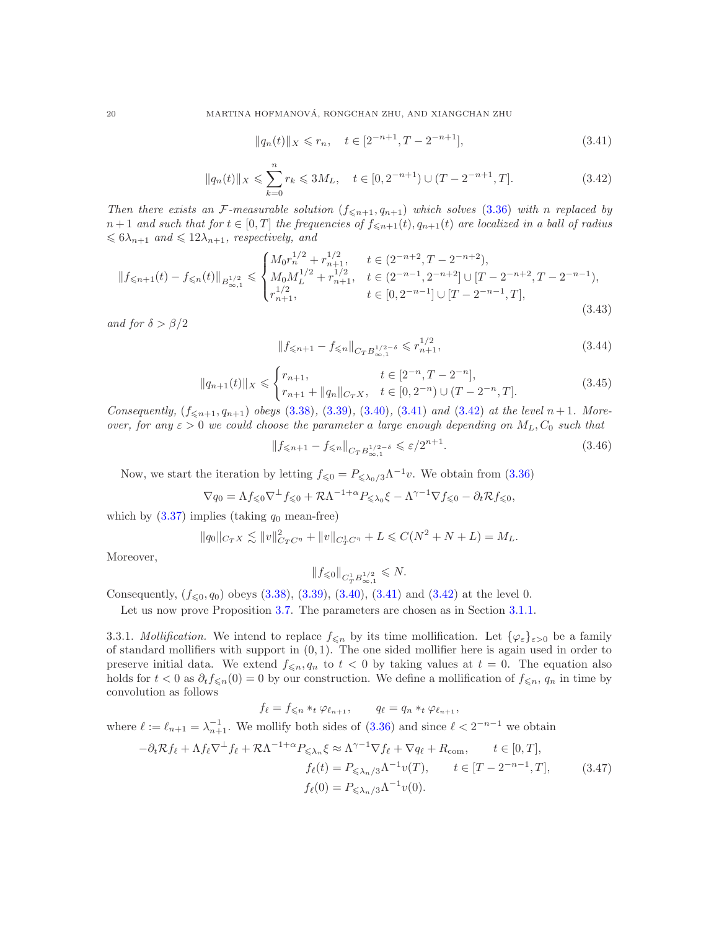<span id="page-19-1"></span><span id="page-19-0"></span>
$$
||q_n(t)||_X \leq r_n, \quad t \in [2^{-n+1}, T - 2^{-n+1}], \tag{3.41}
$$

$$
||q_n(t)||_X \leq \sum_{k=0}^n r_k \leq 3M_L, \quad t \in [0, 2^{-n+1}) \cup (T - 2^{-n+1}, T]. \tag{3.42}
$$

*Then there exists an*  $\mathcal{F}\text{-}measurable solution (f_{\leq n+1}, q_{n+1}) which solves (3.36) with n replaced by$  $\mathcal{F}\text{-}measurable solution (f_{\leq n+1}, q_{n+1}) which solves (3.36) with n replaced by$  $\mathcal{F}\text{-}measurable solution (f_{\leq n+1}, q_{n+1}) which solves (3.36) with n replaced by$  $n+1$  *and such that for*  $t \in [0,T]$  *the frequencies of*  $f_{\leq n+1}(t), q_{n+1}(t)$  *are localized in a ball of radius*  $\leqslant 6\lambda_{n+1}$  and  $\leqslant 12\lambda_{n+1}$ , respectively, and

<span id="page-19-2"></span>
$$
||f_{\leq n+1}(t) - f_{\leq n}(t)||_{B^{1/2}_{\infty,1}} \leq \begin{cases} M_0 r_n^{1/2} + r_{n+1}^{1/2}, & t \in (2^{-n+2}, T - 2^{-n+2}),\\ M_0 M_L^{1/2} + r_{n+1}^{1/2}, & t \in (2^{-n-1}, 2^{-n+2}] \cup [T - 2^{-n+2}, T - 2^{-n-1}),\\ r_{n+1}^{1/2}, & t \in [0, 2^{-n-1}] \cup [T - 2^{-n-1}, T], \end{cases}
$$
(3.43)

*and for*  $\delta > \beta/2$ 

<span id="page-19-3"></span>
$$
||f_{\leq n+1} - f_{\leq n}||_{C_T B^{1/2-\delta}_{\infty,1}} \leqslant r_{n+1}^{1/2},
$$
\n(3.44)

<span id="page-19-5"></span>
$$
||q_{n+1}(t)||_X \leq \begin{cases} r_{n+1}, & t \in [2^{-n}, T - 2^{-n}],\\ r_{n+1} + ||q_n||_{C_T X}, & t \in [0, 2^{-n}) \cup (T - 2^{-n}, T]. \end{cases}
$$
(3.45)

*Consequently,*  $(f_{\leq n+1}, q_{n+1})$  *obeys* [\(3.38\)](#page-18-7)*,* [\(3.39\)](#page-18-8)*,* [\(3.40\)](#page-18-9)*,* [\(3.41\)](#page-19-0) *and* [\(3.42\)](#page-19-1) *at the level*  $n+1$ *. Moreover, for any*  $\varepsilon > 0$  *we could choose the parameter a large enough depending on*  $M_L$ ,  $C_0$  *such that* 

$$
\|f_{\leq n+1} - f_{\leq n}\|_{C_T B^{1/2-\delta}_{\infty,1}} \leq \varepsilon/2^{n+1}.
$$
\n(3.46)

Now, we start the iteration by letting  $f_{\leq 0} = P_{\leq \lambda_0/3} \Lambda^{-1} v$ . We obtain from [\(3.36\)](#page-18-6)

$$
\nabla q_0 = \Lambda f_{\leq 0} \nabla^{\perp} f_{\leq 0} + \mathcal{R} \Lambda^{-1+\alpha} P_{\leq \lambda_0} \xi - \Lambda^{\gamma-1} \nabla f_{\leq 0} - \partial_t \mathcal{R} f_{\leq 0},
$$

which by  $(3.37)$  implies (taking  $q_0$  mean-free)

$$
||q_0||_{C_T X} \lesssim ||v||_{C_T C^{\eta}}^2 + ||v||_{C_T^1 C^{\eta}} + L \leq C(N^2 + N + L) = M_L.
$$

Moreover,

<span id="page-19-4"></span>
$$
\|f_{\leqslant 0}\|_{C^{1}_{T}B^{1/2}_{\infty,1}}\leqslant N.
$$

Consequently,  $(f_{\leq 0}, q_0)$  obeys  $(3.38)$ ,  $(3.39)$ ,  $(3.40)$ ,  $(3.41)$  and  $(3.42)$  at the level 0.

Let us now prove Proposition [3.7.](#page-18-2) The parameters are chosen as in Section [3.1.1.](#page-9-7)

3.3.1. *Mollification*. We intend to replace  $f_{\leq n}$  by its time mollification. Let  $\{\varphi_{\varepsilon}\}_{{\varepsilon}>0}$  be a family of standard mollifiers with support in  $(0, 1)$ . The one sided mollifier here is again used in order to preserve initial data. We extend  $f_{\leq n}, q_n$  to  $t < 0$  by taking values at  $t = 0$ . The equation also holds for  $t < 0$  as  $\partial_t f_{\leq n}(0) = 0$  by our construction. We define a mollification of  $f_{\leq n}, q_n$  in time by convolution as follows

$$
f_{\ell} = f_{\leqslant n} *_{t} \varphi_{\ell_{n+1}}, \qquad q_{\ell} = q_{n} *_{t} \varphi_{\ell_{n+1}},
$$

where  $\ell := \ell_{n+1} = \lambda_{n+1}^{-1}$ . We mollify both sides of  $(3.36)$  and since  $\ell < 2^{-n-1}$  we obtain

$$
-\partial_t \mathcal{R} f_\ell + \Lambda f_\ell \nabla^\perp f_\ell + \mathcal{R} \Lambda^{-1+\alpha} P_{\leq \lambda_n} \xi \approx \Lambda^{\gamma-1} \nabla f_\ell + \nabla q_\ell + R_{\text{com}}, \qquad t \in [0, T],
$$
  
\n
$$
f_\ell(t) = P_{\leq \lambda_n/3} \Lambda^{-1} v(T), \qquad t \in [T - 2^{-n-1}, T],
$$
  
\n
$$
f_\ell(0) = P_{\leq \lambda_n/3} \Lambda^{-1} v(0).
$$
\n(3.47)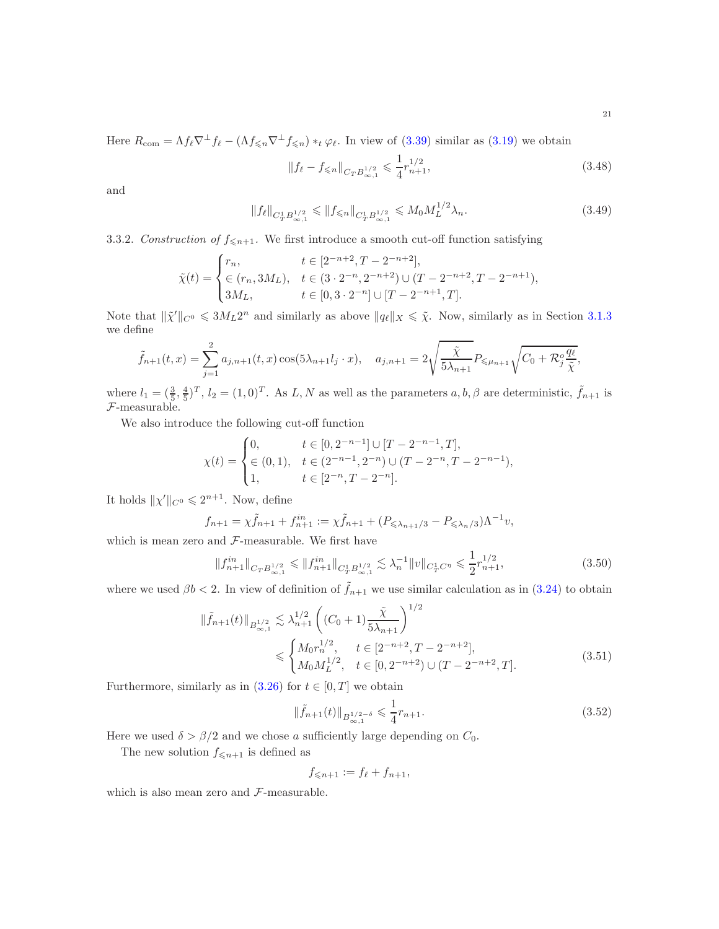Here  $R_{\text{com}} = \Lambda f_{\ell} \nabla^{\perp} f_{\ell} - (\Lambda f_{\leq n} \nabla^{\perp} f_{\leq n}) *_{t} \varphi_{\ell}$ . In view of [\(3.39\)](#page-18-8) similar as [\(3.19\)](#page-9-2) we obtain

<span id="page-20-4"></span><span id="page-20-1"></span>
$$
||f_{\ell} - f_{\leq n}||_{C_{T}B_{\infty,1}^{1/2}} \leq \frac{1}{4}r_{n+1}^{1/2},
$$
\n(3.48)

and

$$
||f_{\ell}||_{C_T^1 B_{\infty,1}^{1/2}} \le ||f_{\le n}||_{C_T^1 B_{\infty,1}^{1/2}} \le M_0 M_L^{1/2} \lambda_n.
$$
\n(3.49)

## 3.3.2. *Construction of*  $f_{\leq n+1}$ . We first introduce a smooth cut-off function satisfying

$$
\tilde{\chi}(t) = \begin{cases}\nr_n, & t \in [2^{-n+2}, T - 2^{-n+2}], \\
\in (r_n, 3M_L), & t \in (3 \cdot 2^{-n}, 2^{-n+2}) \cup (T - 2^{-n+2}, T - 2^{-n+1}), \\
3M_L, & t \in [0, 3 \cdot 2^{-n}] \cup [T - 2^{-n+1}, T].\n\end{cases}
$$

Note that  $\|\tilde{\chi}'\|_{C^0} \leq 3M_L 2^n$  and similarly as above  $\|\tilde{q}_\ell\|_X \leq \tilde{\chi}$ . Now, similarly as in Section [3.1.3](#page-10-4) we define

$$
\tilde{f}_{n+1}(t,x) = \sum_{j=1}^{2} a_{j,n+1}(t,x) \cos(5\lambda_{n+1} l_j \cdot x), \quad a_{j,n+1} = 2\sqrt{\frac{\tilde{\chi}}{5\lambda_{n+1}}} P_{\leq \mu_{n+1}} \sqrt{C_0 + \mathcal{R}_j^o \frac{q_\ell}{\tilde{\chi}}},
$$

where  $l_1 = (\frac{3}{5}, \frac{4}{5})^T$ ,  $l_2 = (1, 0)^T$ . As L, N as well as the parameters  $a, b, \beta$  are deterministic,  $\tilde{f}_{n+1}$  is F-measurable.

We also introduce the following cut-off function

$$
\chi(t) = \begin{cases} 0, & t \in [0, 2^{-n-1}] \cup [T - 2^{-n-1}, T], \\ \in (0, 1), & t \in (2^{-n-1}, 2^{-n}) \cup (T - 2^{-n}, T - 2^{-n-1}), \\ 1, & t \in [2^{-n}, T - 2^{-n}]. \end{cases}
$$

It holds  $\|\chi'\|_{C^0} \leq 2^{n+1}$ . Now, define

$$
f_{n+1} = \chi \tilde{f}_{n+1} + f_{n+1}^{in} := \chi \tilde{f}_{n+1} + (P_{\leq \lambda_{n+1}/3} - P_{\leq \lambda_n/3}) \Lambda^{-1} v,
$$

which is mean zero and  $F$ -measurable. We first have

$$
||f_{n+1}^{in}||_{C_{T}B_{\infty,1}^{1/2}} \le ||f_{n+1}^{in}||_{C_{T}^{1}B_{\infty,1}^{1/2}} \lesssim \lambda_{n}^{-1} ||v||_{C_{T}^{1}C^{n}} \le \frac{1}{2} r_{n+1}^{1/2},
$$
\n(3.50)

where we used  $\beta b < 2$ . In view of definition of  $\hat{f}_{n+1}$  we use similar calculation as in  $(3.24)$  to obtain

$$
\|\tilde{f}_{n+1}(t)\|_{B^{1/2}_{\infty,1}} \lesssim \lambda_{n+1}^{1/2} \left( (C_0 + 1) \frac{\tilde{\chi}}{5\lambda_{n+1}} \right)^{1/2} \leq \begin{cases} M_0 r_n^{1/2}, & t \in [2^{-n+2}, T - 2^{-n+2}],\\ M_0 M_L^{1/2}, & t \in [0, 2^{-n+2}) \cup (T - 2^{-n+2}, T]. \end{cases}
$$
(3.51)

Furthermore, similarly as in  $(3.26)$  for  $t \in [0, T]$  we obtain

<span id="page-20-2"></span><span id="page-20-0"></span>
$$
\|\tilde{f}_{n+1}(t)\|_{B^{1/2-\delta}_{\infty,1}} \leq \frac{1}{4}r_{n+1}.\tag{3.52}
$$

Here we used  $\delta > \beta/2$  and we chose a sufficiently large depending on  $C_0$ .

The new solution  $f_{\leq n+1}$  is defined as

<span id="page-20-3"></span>
$$
f_{\leqslant n+1} := f_{\ell} + f_{n+1},
$$

which is also mean zero and F-measurable.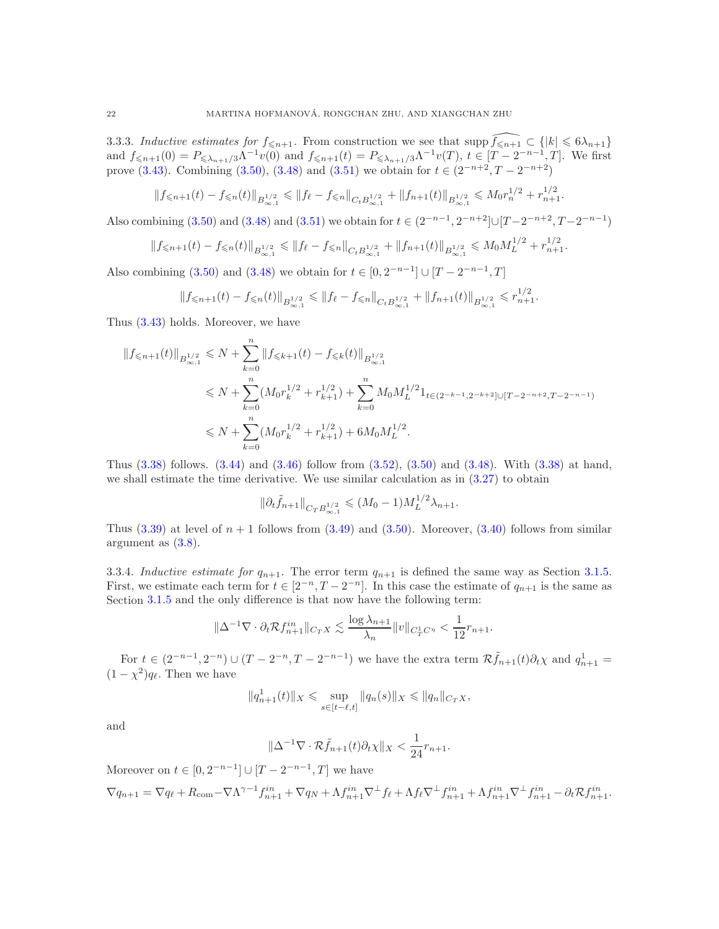3.3.3. *Inductive estimates for*  $f_{\leq n+1}$ . From construction we see that supp  $\widehat{f_{\leq n+1}} \subset \{ |k| \leq 6\lambda_{n+1} \}$ and  $f_{\leq n+1}(0) = P_{\leq \lambda_{n+1}/3} \Lambda^{-1} v(0)$  and  $f_{\leq n+1}(t) = P_{\leq \lambda_{n+1}/3} \Lambda^{-1} v(T)$ ,  $t \in [T - 2^{-n-1}, T]$ . We first prove [\(3.43\)](#page-19-2). Combining [\(3.50\)](#page-20-0), [\(3.48\)](#page-20-1) and [\(3.51\)](#page-20-2) we obtain for  $t \in (2^{-n+2}, T - 2^{-n+2})$ 

$$
||f_{\leq n+1}(t) - f_{\leq n}(t)||_{B^{1/2}_{\infty,1}} \leq ||f_{\ell} - f_{\leq n}||_{C_{t}B^{1/2}_{\infty,1}} + ||f_{n+1}(t)||_{B^{1/2}_{\infty,1}} \leq M_{0}r_{n}^{1/2} + r_{n+1}^{1/2}.
$$

Also combining [\(3.50\)](#page-20-0) and [\(3.48\)](#page-20-1) and [\(3.51\)](#page-20-2) we obtain for  $t \in (2^{-n-1}, 2^{-n+2}] \cup [T-2^{-n+2}, T-2^{-n-1})$ 

$$
||f_{\leq n+1}(t) - f_{\leq n}(t)||_{B^{1/2}_{\infty,1}} \leq ||f_{\ell} - f_{\leq n}||_{C_t B^{1/2}_{\infty,1}} + ||f_{n+1}(t)||_{B^{1/2}_{\infty,1}} \leq M_0 M_L^{1/2} + r_{n+1}^{1/2}.
$$

Also combining [\(3.50\)](#page-20-0) and [\(3.48\)](#page-20-1) we obtain for  $t \in [0, 2^{-n-1}] \cup [T - 2^{-n-1}, T]$ 

$$
||f_{\leq n+1}(t) - f_{\leq n}(t)||_{B^{1/2}_{\infty,1}} \leq ||f_{\ell} - f_{\leq n}||_{C_{t}B^{1/2}_{\infty,1}} + ||f_{n+1}(t)||_{B^{1/2}_{\infty,1}} \leq r_{n+1}^{1/2}.
$$

Thus [\(3.43\)](#page-19-2) holds. Moreover, we have

$$
||f_{\leqslant n+1}(t)||_{B^{1/2}_{\infty,1}} \leqslant N + \sum_{k=0}^{n} ||f_{\leqslant k+1}(t) - f_{\leqslant k}(t)||_{B^{1/2}_{\infty,1}}
$$
  

$$
\leqslant N + \sum_{k=0}^{n} (M_0 r_k^{1/2} + r_{k+1}^{1/2}) + \sum_{k=0}^{n} M_0 M_L^{1/2} 1_{t \in (2^{-k-1}, 2^{-k+2}] \cup [T-2^{-n+2}, T-2^{-n-1})}
$$
  

$$
\leqslant N + \sum_{k=0}^{n} (M_0 r_k^{1/2} + r_{k+1}^{1/2}) + 6M_0 M_L^{1/2}.
$$

Thus [\(3.38\)](#page-18-7) follows. [\(3.44\)](#page-19-3) and [\(3.46\)](#page-19-4) follow from [\(3.52\)](#page-20-3), [\(3.50\)](#page-20-0) and [\(3.48\)](#page-20-1). With [\(3.38\)](#page-18-7) at hand, we shall estimate the time derivative. We use similar calculation as in  $(3.27)$  to obtain

$$
\|\partial_t \tilde{f}_{n+1}\|_{C_T B^{1/2}_{\infty,1}} \leq (M_0 - 1)M_L^{1/2}\lambda_{n+1}.
$$

Thus  $(3.39)$  at level of  $n + 1$  follows from  $(3.49)$  and  $(3.50)$ . Moreover,  $(3.40)$  follows from similar argument as [\(3.8\)](#page-8-1).

3.3.4. *Inductive estimate for*  $q_{n+1}$ . The error term  $q_{n+1}$  is defined the same way as Section [3.1.5.](#page-12-0) First, we estimate each term for  $t \in [2^{-n}, T - 2^{-n}]$ . In this case the estimate of  $q_{n+1}$  is the same as Section [3.1.5](#page-12-0) and the only difference is that now have the following term:

$$
\|\Delta^{-1}\nabla\cdot\partial_t\mathcal{R}f_{n+1}^{in}\|_{C_TX}\lesssim \frac{\log\lambda_{n+1}}{\lambda_n}\|v\|_{C_T^1C^\eta}<\frac{1}{12}r_{n+1}.
$$

For  $t \in (2^{-n-1}, 2^{-n}) \cup (T - 2^{-n}, T - 2^{-n-1})$  we have the extra term  $\mathcal{R}(\tilde{f}_{n+1}(t)) \partial_t \chi$  and  $q_{n+1}^1 =$  $(1 - \chi^2)q_\ell$ . Then we have

$$
||q_{n+1}^1(t)||_X \leq \sup_{s \in [t-\ell,t]} ||q_n(s)||_X \leq ||q_n||_{C_T X},
$$

and

$$
\|\Delta^{-1}\nabla \cdot \mathcal{R}\tilde{f}_{n+1}(t)\partial_t \chi\|_X < \frac{1}{24}r_{n+1}.
$$

Moreover on  $t \in [0, 2^{-n-1}] \cup [T - 2^{-n-1}, T]$  we have  $\nabla q_{n+1} = \nabla q_{\ell} + R_{\text{com}} - \nabla \Lambda^{\gamma-1} f_{n+1}^{in} + \nabla q_N + \Lambda f_{n+1}^{in} \nabla^{\perp} f_{\ell} + \Lambda f_{\ell} \nabla^{\perp} f_{n+1}^{in} + \Lambda f_{n+1}^{in} \nabla^{\perp} f_{n+1}^{in} - \partial_t \mathcal{R} f_{n+1}^{in}$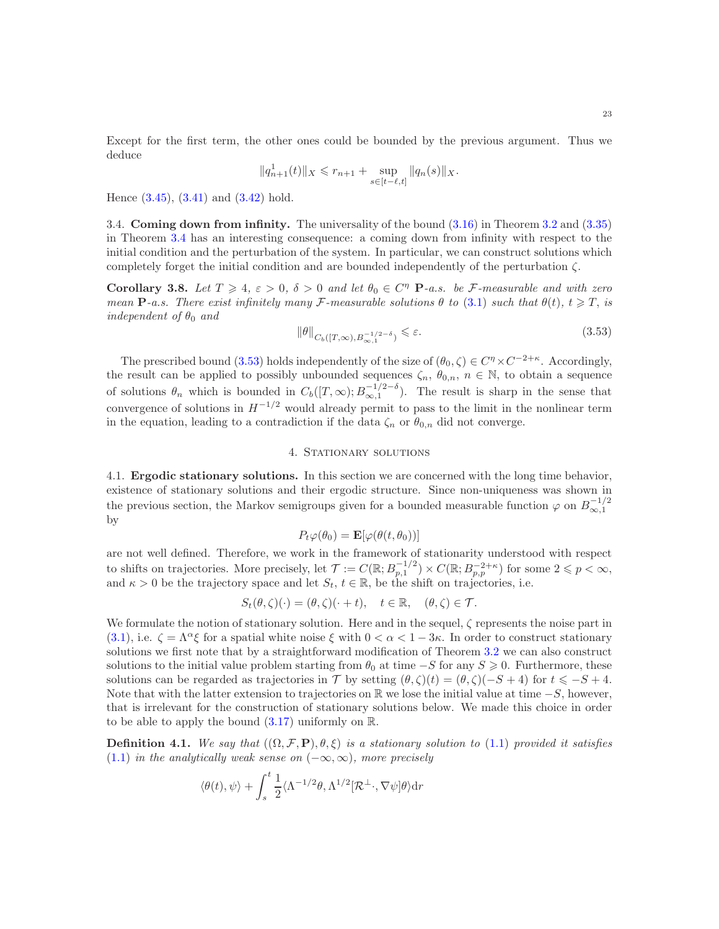Except for the first term, the other ones could be bounded by the previous argument. Thus we deduce

$$
||q_{n+1}^1(t)||_X \leq r_{n+1} + \sup_{s \in [t-\ell,t]} ||q_n(s)||_X.
$$

<span id="page-22-0"></span>Hence  $(3.45)$ ,  $(3.41)$  and  $(3.42)$  hold.

3.4. Coming down from infinity. The universality of the bound [\(3.16\)](#page-9-5) in Theorem [3.2](#page-9-1) and [\(3.35\)](#page-18-4) in Theorem [3.4](#page-18-0) has an interesting consequence: a coming down from infinity with respect to the initial condition and the perturbation of the system. In particular, we can construct solutions which completely forget the initial condition and are bounded independently of the perturbation  $\zeta$ .

<span id="page-22-3"></span>Corollary 3.8. Let  $T \geq 4$ ,  $\varepsilon > 0$ ,  $\delta > 0$  and let  $\theta_0 \in C^{\eta}$  **P**-a.s. be *F*-measurable and with zero *mean* **P**-a.s. There exist infinitely many F-measurable solutions  $\theta$  to [\(3.1\)](#page-6-2) such that  $\theta(t)$ ,  $t \geq T$ , is *independent of*  $\theta_0$  *and* 

<span id="page-22-4"></span>
$$
\|\theta\|_{C_b([T,\infty),B_{\infty,1}^{-1/2-\delta})} \leq \varepsilon.
$$
\n(3.53)

The prescribed bound [\(3.53\)](#page-22-4) holds independently of the size of  $(\theta_0, \zeta) \in C^{\eta} \times C^{-2+\kappa}$ . Accordingly, the result can be applied to possibly unbounded sequences  $\zeta_n$ ,  $\theta_{0,n}$ ,  $n \in \mathbb{N}$ , to obtain a sequence of solutions  $\theta_n$  which is bounded in  $C_b([T,\infty);B_{\infty,1}^{-1/2-\delta})$ . The result is sharp in the sense that convergence of solutions in  $H^{-1/2}$  would already permit to pass to the limit in the nonlinear term in the equation, leading to a contradiction if the data  $\zeta_n$  or  $\theta_{0,n}$  did not converge.

## 4. STATIONARY SOLUTIONS

<span id="page-22-2"></span><span id="page-22-1"></span>4.1. Ergodic stationary solutions. In this section we are concerned with the long time behavior, existence of stationary solutions and their ergodic structure. Since non-uniqueness was shown in the previous section, the Markov semigroups given for a bounded measurable function  $\varphi$  on  $B_{\infty,1}^{-1/2}$ by

$$
P_t \varphi(\theta_0) = \mathbf{E}[\varphi(\theta(t, \theta_0))]
$$

are not well defined. Therefore, we work in the framework of stationarity understood with respect to shifts on trajectories. More precisely, let  $\mathcal{T} := C(\mathbb{R}; B_{p,1}^{-1/2}) \times C(\mathbb{R}; B_{p,p}^{-2+\kappa})$  for some  $2 \leqslant p < \infty$ , and  $\kappa > 0$  be the trajectory space and let  $S_t$ ,  $t \in \mathbb{R}$ , be the shift on trajectories, i.e.

$$
S_t(\theta,\zeta)(\cdot) = (\theta,\zeta)(\cdot+t), \quad t \in \mathbb{R}, \quad (\theta,\zeta) \in \mathcal{T}.
$$

We formulate the notion of stationary solution. Here and in the sequel,  $\zeta$  represents the noise part in [\(3.1\)](#page-6-2), i.e.  $\zeta = \Lambda^{\alpha} \xi$  for a spatial white noise  $\xi$  with  $0 < \alpha < 1-3\kappa$ . In order to construct stationary solutions we first note that by a straightforward modification of Theorem [3.2](#page-9-1) we can also construct solutions to the initial value problem starting from  $\theta_0$  at time  $-S$  for any  $S \geqslant 0$ . Furthermore, these solutions can be regarded as trajectories in T by setting  $(\theta, \zeta)(t) = (\theta, \zeta)(-S + 4)$  for  $t \le -S + 4$ . Note that with the latter extension to trajectories on R we lose the initial value at time  $-S$ , however, that is irrelevant for the construction of stationary solutions below. We made this choice in order to be able to apply the bound  $(3.17)$  uniformly on R.

**Definition 4.1.** *We say that*  $((\Omega, \mathcal{F}, P), \theta, \xi)$  *is a stationary solution to* [\(1.1\)](#page-1-1) *provided it satisfies* [\(1.1\)](#page-1-1) *in the analytically weak sense on*  $(-\infty, \infty)$ *, more precisely* 

$$
\langle \theta(t), \psi \rangle + \int_s^t \frac{1}{2} \langle \Lambda^{-1/2} \theta, \Lambda^{1/2} [\mathcal{R}^\perp \cdot, \nabla \psi] \theta \rangle \mathrm{d}r
$$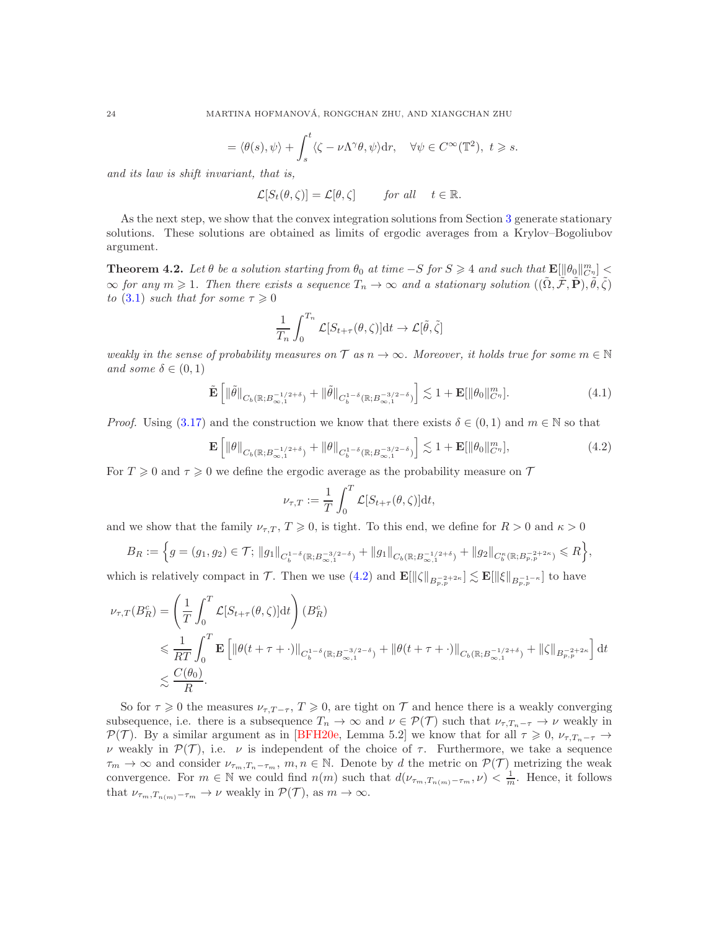$$
= \langle \theta(s), \psi \rangle + \int_s^t \langle \zeta - \nu \Lambda^\gamma \theta, \psi \rangle dr, \quad \forall \psi \in C^\infty(\mathbb{T}^2), \ t \geq s.
$$

*and its law is shift invariant, that is,*

$$
\mathcal{L}[S_t(\theta,\zeta)] = \mathcal{L}[\theta,\zeta] \quad \text{for all} \quad t \in \mathbb{R}.
$$

As the next step, we show that the convex integration solutions from Section [3](#page-6-1) generate stationary solutions. These solutions are obtained as limits of ergodic averages from a Krylov–Bogoliubov argument.

<span id="page-23-0"></span>Theorem 4.2. Let  $\theta$  be a solution starting from  $\theta_0$  at time  $-S$  for  $S \geq 4$  and such that  $\mathbb{E}[\|\theta_0\|_{C^{\eta}}^m] \leq$  $\infty$  *for any*  $m \geqslant 1$ . Then there exists a sequence  $T_n \to \infty$  and a stationary solution  $((\tilde{\Omega}, \tilde{\mathcal{F}}, \tilde{\mathbf{P}}), \tilde{\theta}, \tilde{\zeta})$ *to* [\(3.1\)](#page-6-2) *such that for some*  $\tau \geq 0$ 

$$
\frac{1}{T_n} \int_0^{T_n} \mathcal{L}[S_{t+\tau}(\theta,\zeta)] \mathrm{d}t \to \mathcal{L}[\tilde{\theta},\tilde{\zeta}]
$$

*weakly in the sense of probability measures on*  $\mathcal T$  *as*  $n \to \infty$ *. Moreover, it holds true for some*  $m \in \mathbb N$ *and some*  $\delta \in (0,1)$ 

<span id="page-23-2"></span>
$$
\tilde{\mathbf{E}}\left[\left\|\tilde{\theta}\right\|_{C_b(\mathbb{R};B_{\infty,1}^{-1/2+\delta})}+\left\|\tilde{\theta}\right\|_{C_b^{1-\delta}(\mathbb{R};B_{\infty,1}^{-3/2-\delta})}\right] \lesssim 1+\mathbf{E}[\left\|\theta_0\right\|_{C^{\eta}}^m].\tag{4.1}
$$

*Proof.* Using [\(3.17\)](#page-9-6) and the construction we know that there exists  $\delta \in (0,1)$  and  $m \in \mathbb{N}$  so that

$$
\mathbf{E}\left[\|\theta\|_{C_b(\mathbb{R};B_{\infty,1}^{-1/2+\delta})} + \|\theta\|_{C_b^{1-\delta}(\mathbb{R};B_{\infty,1}^{-3/2-\delta})}\right] \lesssim 1 + \mathbf{E}[\|\theta_0\|_{C^{\eta}}^m],\tag{4.2}
$$

For  $T \geq 0$  and  $\tau \geq 0$  we define the ergodic average as the probability measure on  $\mathcal T$ 

<span id="page-23-1"></span>
$$
\nu_{\tau,T} := \frac{1}{T} \int_0^T \mathcal{L}[S_{t+\tau}(\theta,\zeta)] \mathrm{d}t,
$$

and we show that the family  $\nu_{\tau,T}$ ,  $T \ge 0$ , is tight. To this end, we define for  $R > 0$  and  $\kappa > 0$ 

$$
B_R := \Big\{ g = (g_1, g_2) \in \mathcal{T}; \, \|g_1\|_{C_b^{1-\delta}(\mathbb{R}; B_{\infty, 1}^{-3/2-\delta})} + \|g_1\|_{C_b(\mathbb{R}; B_{\infty, 1}^{-1/2+\delta})} + \|g_2\|_{C_b^{\kappa}(\mathbb{R}; B_{p, p}^{-2+2\kappa})} \leq R \Big\},
$$

which is relatively compact in  $\mathcal{T}$ . Then we use  $(4.2)$  and  $\mathbf{E}[\|\zeta\|_{B^{-2+2\kappa}_{p,p}}] \lesssim \mathbf{E}[\|\xi\|_{B^{-1-\kappa}_{p,p}}]$  to have

$$
\nu_{\tau,T}(B_R^c) = \left(\frac{1}{T} \int_0^T \mathcal{L}[S_{t+\tau}(\theta,\zeta)] \mathrm{d}t\right) (B_R^c)
$$
  
\$\leqslant \frac{1}{RT} \int\_0^T \mathbf{E} \left[ \left\|\theta(t+\tau+\cdot)\right\|\_{C\_b^{1-\delta}(\mathbb{R};B\_{\infty,1}^{-3/2-\delta})} + \left\|\theta(t+\tau+\cdot)\right\|\_{C\_b(\mathbb{R};B\_{\infty,1}^{-1/2+\delta})} + \left\|\zeta\right\|\_{B\_{p,p}^{-2+2\kappa}} \right] \mathrm{d}t\$  
\$\leqslant \frac{C(\theta\_0)}{R}\$.}

So for  $\tau \geq 0$  the measures  $\nu_{\tau,T-\tau}$ ,  $T \geq 0$ , are tight on  $\tau$  and hence there is a weakly converging subsequence, i.e. there is a subsequence  $T_n \to \infty$  and  $\nu \in \mathcal{P}(\mathcal{T})$  such that  $\nu_{\tau,T_n-\tau} \to \nu$  weakly in P(T). By a similar argument as in [\[BFH20e,](#page-29-22) Lemma 5.2] we know that for all  $\tau \geq 0$ ,  $\nu_{\tau,T_n-\tau} \to$ ν weakly in  $\mathcal{P}(\mathcal{T})$ , i.e. ν is independent of the choice of  $\tau$ . Furthermore, we take a sequence  $\tau_m \to \infty$  and consider  $\nu_{\tau_m,T_n-\tau_m}$ ,  $m,n \in \mathbb{N}$ . Denote by d the metric on  $\mathcal{P}(\mathcal{T})$  metrizing the weak convergence. For  $m \in \mathbb{N}$  we could find  $n(m)$  such that  $d(\nu_{\tau_m,T_{n(m)}-\tau_m},\nu) < \frac{1}{m}$ . Hence, it follows that  $\nu_{\tau_m,T_{n(m)}-\tau_m} \to \nu$  weakly in  $\mathcal{P}(\mathcal{T})$ , as  $m \to \infty$ .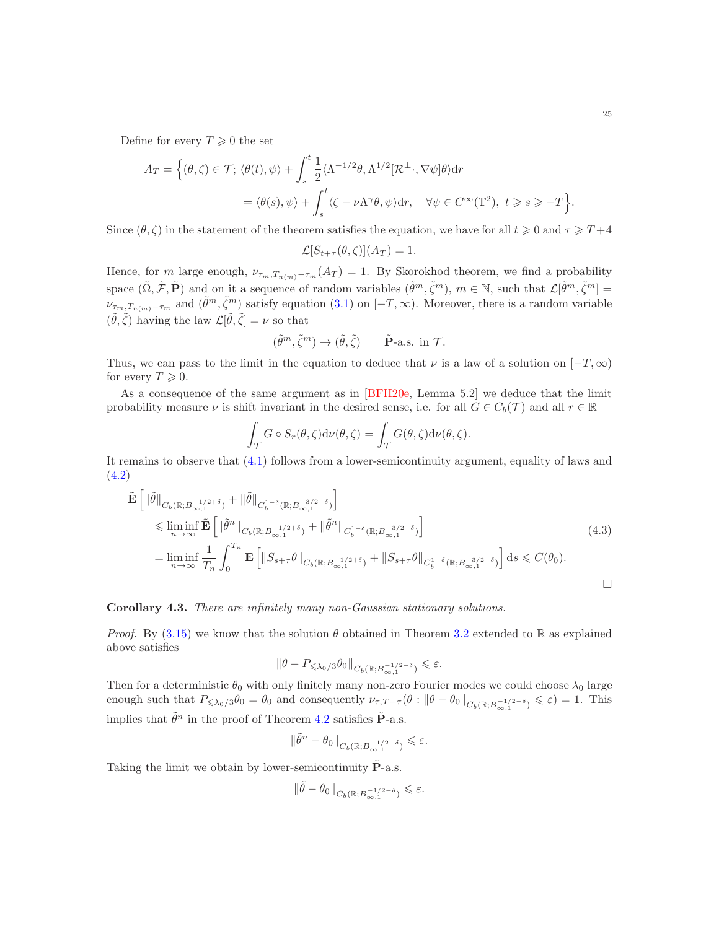Define for every  $T \geq 0$  the set

$$
A_T = \left\{ (\theta, \zeta) \in \mathcal{T}; \ \langle \theta(t), \psi \rangle + \int_s^t \frac{1}{2} \langle \Lambda^{-1/2} \theta, \Lambda^{1/2} [\mathcal{R}^\perp, \nabla \psi] \theta \rangle \mathrm{d}r \right\}
$$

$$
= \langle \theta(s), \psi \rangle + \int_s^t \langle \zeta - \nu \Lambda^\gamma \theta, \psi \rangle \mathrm{d}r, \quad \forall \psi \in C^\infty(\mathbb{T}^2), \ t \geqslant s \geqslant -T \right\}
$$

Since  $(\theta, \zeta)$  in the statement of the theorem satisfies the equation, we have for all  $t \geq 0$  and  $\tau \geq T+4$ 

$$
\mathcal{L}[S_{t+\tau}(\theta,\zeta)](A_T) = 1.
$$

Hence, for m large enough,  $\nu_{\tau_m,T_{n(m)}-\tau_m}(A_T) = 1$ . By Skorokhod theorem, we find a probability space  $(\tilde{\Omega}, \tilde{\mathcal{F}}, \tilde{\mathbf{P}})$  and on it a sequence of random variables  $(\tilde{\theta}^m, \tilde{\zeta}^m)$ ,  $m \in \mathbb{N}$ , such that  $\mathcal{L}[\tilde{\theta}^m, \tilde{\zeta}^m] =$  $\nu_{\tau_m,T_{n(m)}-\tau_m}$  and  $(\tilde{\theta}^m,\tilde{\zeta}^m)$  satisfy equation  $(3.1)$  on  $[-T,\infty)$ . Moreover, there is a random variable  $(\tilde{\theta}, \tilde{\zeta})$  having the law  $\mathcal{L}[\tilde{\theta}, \tilde{\zeta}] = \nu$  so that

$$
(\tilde{\theta}^m, \tilde{\zeta}^m) \to (\tilde{\theta}, \tilde{\zeta}) \qquad \tilde{\mathbf{P}}\text{-a.s. in } \mathcal{T}.
$$

Thus, we can pass to the limit in the equation to deduce that  $\nu$  is a law of a solution on  $[-T,\infty)$ for every  $T \geqslant 0$ .

As a consequence of the same argument as in [\[BFH20e,](#page-29-22) Lemma 5.2] we deduce that the limit probability measure  $\nu$  is shift invariant in the desired sense, i.e. for all  $G \in C_b(\mathcal{T})$  and all  $r \in \mathbb{R}$ 

$$
\int_{\mathcal{T}} G \circ S_r(\theta, \zeta) d\nu(\theta, \zeta) = \int_{\mathcal{T}} G(\theta, \zeta) d\nu(\theta, \zeta).
$$

It remains to observe that [\(4.1\)](#page-23-2) follows from a lower-semicontinuity argument, equality of laws and [\(4.2\)](#page-23-1)

$$
\tilde{\mathbf{E}}\left[\|\tilde{\theta}\|_{C_b(\mathbb{R};B_{\infty,1}^{-1/2+\delta})} + \|\tilde{\theta}\|_{C_b^{1-\delta}(\mathbb{R};B_{\infty,1}^{-3/2-\delta})}\right] \n\leq \liminf_{n \to \infty} \tilde{\mathbf{E}}\left[\|\tilde{\theta}^n\|_{C_b(\mathbb{R};B_{\infty,1}^{-1/2+\delta})} + \|\tilde{\theta}^n\|_{C_b^{1-\delta}(\mathbb{R};B_{\infty,1}^{-3/2-\delta})}\right] \n= \liminf_{n \to \infty} \frac{1}{T_n} \int_0^{T_n} \mathbf{E}\left[\|S_{s+\tau}\theta\|_{C_b(\mathbb{R};B_{\infty,1}^{-1/2+\delta})} + \|S_{s+\tau}\theta\|_{C_b^{1-\delta}(\mathbb{R};B_{\infty,1}^{-3/2-\delta})}\right] ds \leq C(\theta_0).
$$
\n
$$
\Box
$$

## <span id="page-24-0"></span>Corollary 4.3. *There are infinitely many non-Gaussian stationary solutions.*

*Proof.* By [\(3.15\)](#page-8-7) we know that the solution  $\theta$  obtained in Theorem [3.2](#page-9-1) extended to R as explained above satisfies

$$
\|\theta - P_{\leq \lambda_0/3} \theta_0\|_{C_b(\mathbb{R}; B_{\infty,1}^{-1/2-\delta})} \leq \varepsilon.
$$

Then for a deterministic  $\theta_0$  with only finitely many non-zero Fourier modes we could choose  $\lambda_0$  large enough such that  $P_{\leq \lambda_0/3}\theta_0 = \theta_0$  and consequently  $\nu_{\tau,T-\tau}(\theta : ||\theta - \theta_0||_{C_b(\mathbb{R};B_{\infty,1}^{-1/2-\delta})} \leq \varepsilon) = 1$ . This implies that  $\tilde{\theta}^n$  in the proof of Theorem [4.2](#page-23-0) satisfies  $\tilde{P}$ -a.s.

$$
\|\tilde{\theta}^n-\theta_0\|_{C_b(\mathbb{R};B_{\infty,1}^{-1/2-\delta})}\leqslant\varepsilon.
$$

Taking the limit we obtain by lower-semicontinuity  $\tilde{P}$ -a.s.

$$
\|\tilde{\theta} - \theta_0\|_{C_b(\mathbb{R};B_{\infty,1}^{-1/2-\delta})} \leq \varepsilon.
$$

.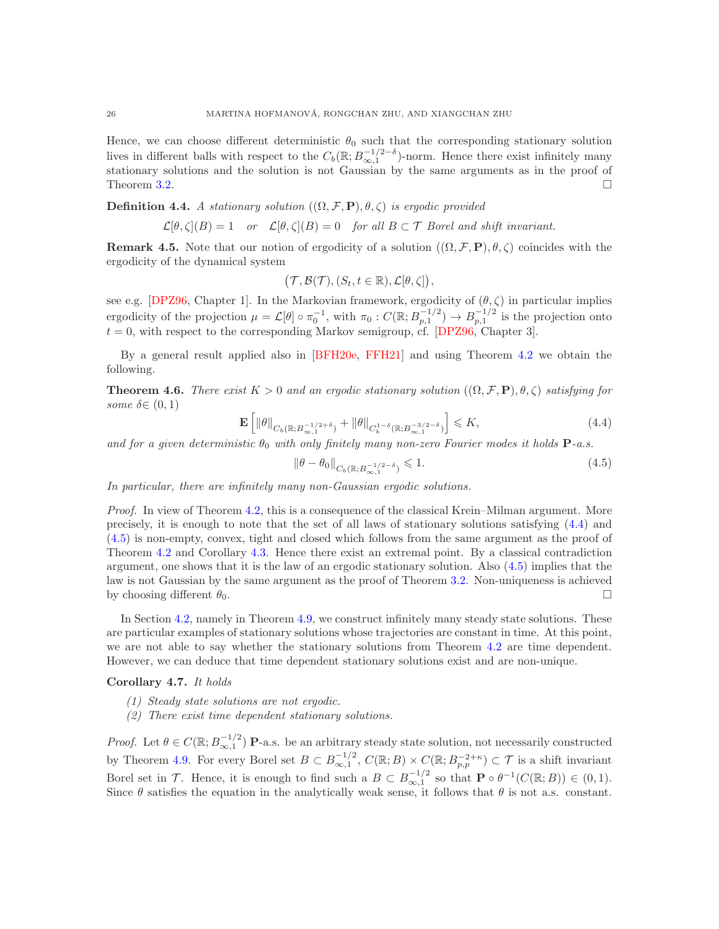Hence, we can choose different deterministic  $\theta_0$  such that the corresponding stationary solution lives in different balls with respect to the  $C_b(\mathbb{R}; B_{\infty,1}^{-1/2-\delta})$ -norm. Hence there exist infinitely many stationary solutions and the solution is not Gaussian by the same arguments as in the proof of Theorem [3.2.](#page-9-1)

**Definition 4.4.** *A stationary solution*  $((\Omega, \mathcal{F}, P), \theta, \zeta)$  *is ergodic provided* 

$$
\mathcal{L}[\theta, \zeta](B) = 1
$$
 or  $\mathcal{L}[\theta, \zeta](B) = 0$  for all  $B \subset \mathcal{T}$  Borel and shift invariant.

**Remark 4.5.** Note that our notion of ergodicity of a solution  $((\Omega, \mathcal{F}, P), \theta, \zeta)$  coincides with the ergodicity of the dynamical system

$$
(\mathcal{T},\mathcal{B}(\mathcal{T}), (S_t,t\in\mathbb{R}),\mathcal{L}[\theta,\zeta]),
$$

see e.g. [\[DPZ96,](#page-30-25) Chapter 1]. In the Markovian framework, ergodicity of  $(\theta, \zeta)$  in particular implies ergodicity of the projection  $\mu = \mathcal{L}[\theta] \circ \pi_0^{-1}$ , with  $\pi_0 : C(\mathbb{R}; B_{p,1}^{-1/2}) \to B_{p,1}^{-1/2}$  is the projection onto  $t = 0$ , with respect to the corresponding Markov semigroup, cf. [\[DPZ96,](#page-30-25) Chapter 3].

By a general result applied also in [\[BFH20e,](#page-29-22) [FFH21\]](#page-30-22) and using Theorem [4.2](#page-23-0) we obtain the following.

<span id="page-25-0"></span>**Theorem 4.6.** *There exist*  $K > 0$  *and an ergodic stationary solution*  $((\Omega, \mathcal{F}, P), \theta, \zeta)$  *satisfying for some*  $\delta \in (0, 1)$ 

<span id="page-25-2"></span>
$$
\mathbf{E}\left[\left\|\theta\right\|_{C_b\left(\mathbb{R};B_{\infty,1}^{-1/2+\delta}\right)}+\left\|\theta\right\|_{C_b^{1-\delta}\left(\mathbb{R};B_{\infty,1}^{-3/2-\delta}\right)}\right] \leqslant K,\tag{4.4}
$$

*and for a given deterministic*  $\theta_0$  *with only finitely many non-zero Fourier modes it holds*  $P$ -*a.s.* 

<span id="page-25-3"></span>
$$
\|\theta - \theta_0\|_{C_b(\mathbb{R}; B_{\infty,1}^{-1/2-\delta})} \leq 1.
$$
\n(4.5)

*In particular, there are infinitely many non-Gaussian ergodic solutions.*

*Proof.* In view of Theorem [4.2,](#page-23-0) this is a consequence of the classical Krein–Milman argument. More precisely, it is enough to note that the set of all laws of stationary solutions satisfying [\(4.4\)](#page-25-2) and [\(4.5\)](#page-25-3) is non-empty, convex, tight and closed which follows from the same argument as the proof of Theorem [4.2](#page-23-0) and Corollary [4.3.](#page-24-0) Hence there exist an extremal point. By a classical contradiction argument, one shows that it is the law of an ergodic stationary solution. Also [\(4.5\)](#page-25-3) implies that the law is not Gaussian by the same argument as the proof of Theorem [3.2.](#page-9-1) Non-uniqueness is achieved by choosing different  $\theta_0$ .

In Section [4.2,](#page-26-0) namely in Theorem [4.9,](#page-27-2) we construct infinitely many steady state solutions. These are particular examples of stationary solutions whose trajectories are constant in time. At this point, we are not able to say whether the stationary solutions from Theorem [4.2](#page-23-0) are time dependent. However, we can deduce that time dependent stationary solutions exist and are non-unique.

<span id="page-25-1"></span>Corollary 4.7. *It holds*

- *(1) Steady state solutions are not ergodic.*
- *(2) There exist time dependent stationary solutions.*

*Proof.* Let  $\theta \in C(\mathbb{R}; B^{-1/2}_{\infty,1})$  **P**-a.s. be an arbitrary steady state solution, not necessarily constructed  $\infty,1$ by Theorem [4.9.](#page-27-2) For every Borel set  $B \subset B^{-1/2}_{\infty,1}$ ,  $C(\mathbb{R};B) \times C(\mathbb{R};B^{-2+\kappa}_{p,p}) \subset \mathcal{T}$  is a shift invariant Borel set in  $\mathcal{T}$ . Hence, it is enough to find such a  $B \subset B^{-1/2}_{\infty,1}$  so that  $\mathbf{P} \circ \theta^{-1}(C(\mathbb{R};B)) \in (0,1)$ . Since  $\theta$  satisfies the equation in the analytically weak sense, it follows that  $\theta$  is not a.s. constant.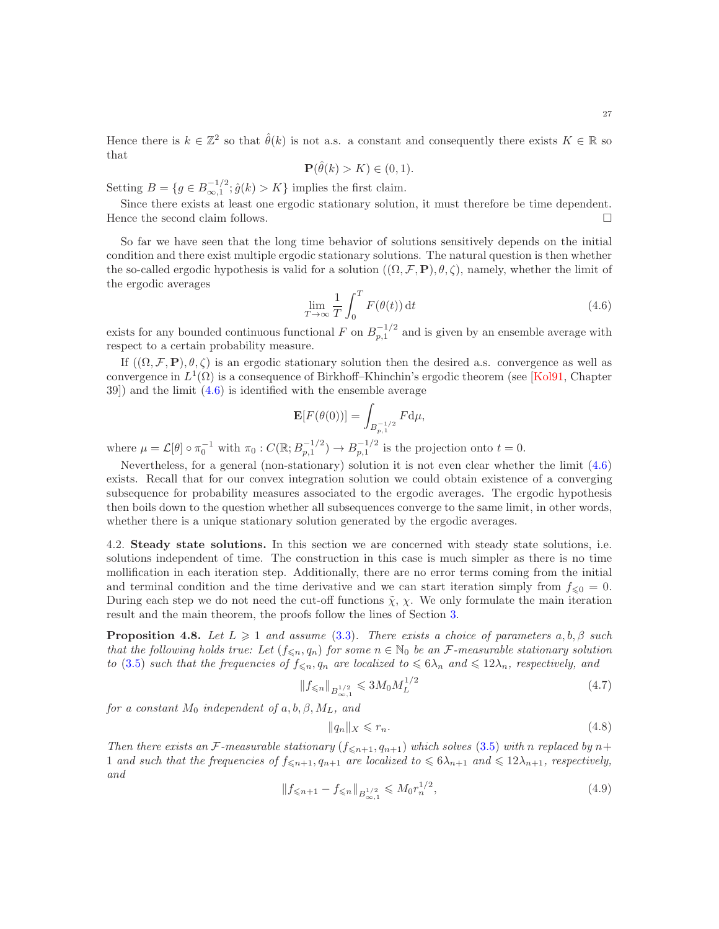27

Hence there is  $k \in \mathbb{Z}^2$  so that  $\hat{\theta}(k)$  is not a.s. a constant and consequently there exists  $K \in \mathbb{R}$  so that

$$
\mathbf{P}(\hat{\theta}(k) > K) \in (0, 1).
$$

Setting  $B = \{g \in B^{-1/2}_{\infty,1}; \hat{g}(k) > K\}$  implies the first claim.

Since there exists at least one ergodic stationary solution, it must therefore be time dependent. Hence the second claim follows.  $\Box$ 

So far we have seen that the long time behavior of solutions sensitively depends on the initial condition and there exist multiple ergodic stationary solutions. The natural question is then whether the so-called ergodic hypothesis is valid for a solution  $((\Omega, \mathcal{F}, P), \theta, \zeta)$ , namely, whether the limit of the ergodic averages

<span id="page-26-1"></span>
$$
\lim_{T \to \infty} \frac{1}{T} \int_0^T F(\theta(t)) dt
$$
\n(4.6)

exists for any bounded continuous functional F on  $B_{p,1}^{-1/2}$  and is given by an ensemble average with respect to a certain probability measure.

If  $((\Omega, \mathcal{F}, P), \theta, \zeta)$  is an ergodic stationary solution then the desired a.s. convergence as well as convergence in  $L^1(\Omega)$  is a consequence of Birkhoff–Khinchin's ergodic theorem (see [\[Kol91,](#page-30-26) Chapter 39]) and the limit [\(4.6\)](#page-26-1) is identified with the ensemble average

$$
\mathbf{E}[F(\theta(0))] = \int_{B_{p,1}^{-1/2}} F \mathrm{d}\mu,
$$

where  $\mu = \mathcal{L}[\theta] \circ \pi_0^{-1}$  with  $\pi_0 : C(\mathbb{R}; B_{p,1}^{-1/2}) \to B_{p,1}^{-1/2}$  is the projection onto  $t = 0$ .

Nevertheless, for a general (non-stationary) solution it is not even clear whether the limit [\(4.6\)](#page-26-1) exists. Recall that for our convex integration solution we could obtain existence of a converging subsequence for probability measures associated to the ergodic averages. The ergodic hypothesis then boils down to the question whether all subsequences converge to the same limit, in other words, whether there is a unique stationary solution generated by the ergodic averages.

<span id="page-26-0"></span>4.2. Steady state solutions. In this section we are concerned with steady state solutions, i.e. solutions independent of time. The construction in this case is much simpler as there is no time mollification in each iteration step. Additionally, there are no error terms coming from the initial and terminal condition and the time derivative and we can start iteration simply from  $f_{\leq 0} = 0$ . During each step we do not need the cut-off functions  $\tilde{\chi}$ ,  $\chi$ . We only formulate the main iteration result and the main theorem, the proofs follow the lines of Section [3.](#page-6-1)

<span id="page-26-4"></span>**Proposition 4.8.** *Let*  $L \geq 1$  *and assume* [\(3.3\)](#page-7-3)*. There exists a choice of parameters*  $a, b, \beta$  *such that the following holds true: Let*  $(f_{\leq n}, q_n)$  *for some*  $n \in \mathbb{N}_0$  *be an F*-measurable stationary solution *to* [\(3.5\)](#page-7-1) *such that the frequencies of*  $f_{\leq n}$ ,  $q_n$  *are localized to*  $\leq 6\lambda_n$  *and*  $\leq 12\lambda_n$ *, respectively, and* 

<span id="page-26-2"></span>
$$
||f_{\leqslant n}||_{B^{1/2}_{\infty,1}} \leqslant 3M_0 M_L^{1/2}
$$
\n(4.7)

*for a constant*  $M_0$  *independent of*  $a, b, \beta, M_L$ *, and* 

<span id="page-26-3"></span>
$$
||q_n||_X \leqslant r_n. \tag{4.8}
$$

*Then there exists an*  $\mathcal{F}\text{-}measurable stationary (f_{\leq n+1}, q_{n+1}) which solves (3.5) with n replaced by n+$  $\mathcal{F}\text{-}measurable stationary (f_{\leq n+1}, q_{n+1}) which solves (3.5) with n replaced by n+$  $\mathcal{F}\text{-}measurable stationary (f_{\leq n+1}, q_{n+1}) which solves (3.5) with n replaced by n+$ 1 *and such that the frequencies of*  $f_{\leq n+1}, q_{n+1}$  *are localized to*  $\leq 6\lambda_{n+1}$  *and*  $\leq 12\lambda_{n+1}$ *, respectively, and*

$$
||f_{\leq n+1} - f_{\leq n}||_{B^{1/2}_{\infty,1}} \leqslant M_0 r_n^{1/2},
$$
\n(4.9)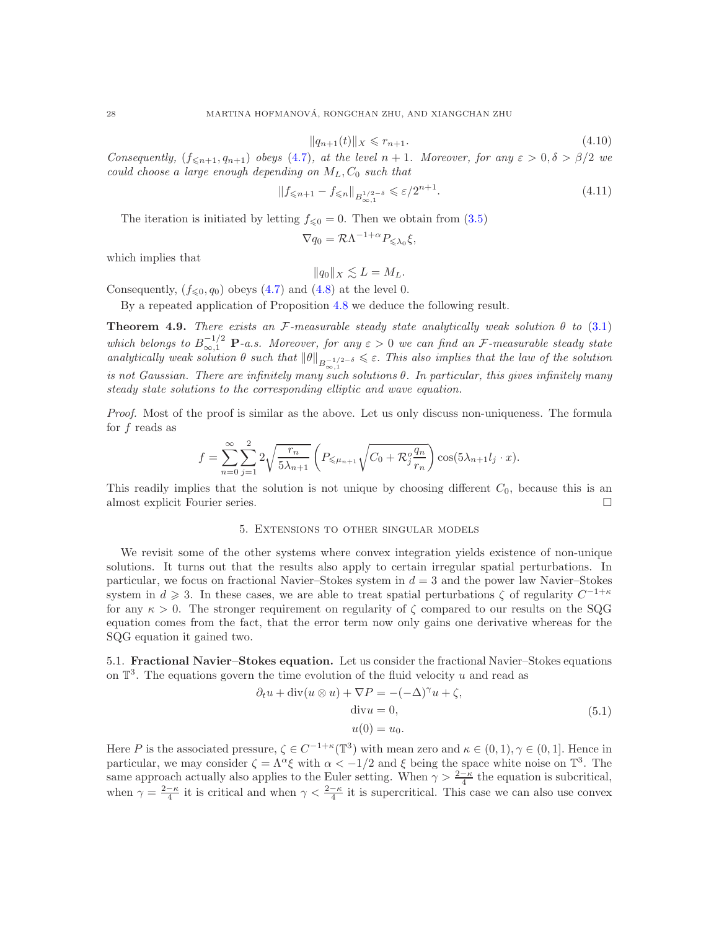$$
||q_{n+1}(t)||_X \leqslant r_{n+1}.\tag{4.10}
$$

*Consequently,*  $(f_{\leq n+1}, q_{n+1})$  *obeys* [\(4.7\)](#page-26-2)*, at the level*  $n+1$ *. Moreover, for any*  $\varepsilon > 0, \delta > \beta/2$  *we could choose* a *large enough depending on*  $M_L$ ,  $C_0$  *such that* 

$$
||f_{\leq n+1} - f_{\leq n}||_{B^{1/2-\delta}_{\infty,1}} \leq \varepsilon/2^{n+1}.
$$
\n(4.11)

The iteration is initiated by letting  $f_{\leq 0} = 0$ . Then we obtain from [\(3.5\)](#page-7-1)

$$
\nabla q_0 = \mathcal{R}\Lambda^{-1+\alpha} P_{\leq \lambda_0} \xi,
$$

which implies that

$$
||q_0||_X \lesssim L = M_L.
$$

Consequently,  $(f_{\leq 0}, q_0)$  obeys [\(4.7\)](#page-26-2) and [\(4.8\)](#page-26-3) at the level 0.

By a repeated application of Proposition [4.8](#page-26-4) we deduce the following result.

<span id="page-27-2"></span>Theorem 4.9. *There exists an* F*-measurable steady state analytically weak solution* θ *to* [\(3.1\)](#page-6-2) which belongs to  $B^{-1/2}_{\infty,1}$  **P**-a.s. Moreover, for any  $\varepsilon > 0$  we can find an F-measurable steady state *analytically weak solution*  $\theta$  *such that*  $\|\theta\|_{B^{-1/2-\delta}_{\infty,1}} \leq \varepsilon$ . *This also implies that the law of the solution is not Gaussian. There are infinitely many such solutions* θ*. In particular, this gives infinitely many steady state solutions to the corresponding elliptic and wave equation.*

*Proof.* Most of the proof is similar as the above. Let us only discuss non-uniqueness. The formula for f reads as

$$
f = \sum_{n=0}^{\infty} \sum_{j=1}^{2} 2\sqrt{\frac{r_n}{5\lambda_{n+1}}} \left( P_{\leq \mu_{n+1}} \sqrt{C_0 + \mathcal{R}_j^o \frac{q_n}{r_n}} \right) \cos(5\lambda_{n+1} l_j \cdot x).
$$

<span id="page-27-0"></span>This readily implies that the solution is not unique by choosing different  $C_0$ , because this is an almost explicit Fourier series.

## 5. Extensions to other singular models

We revisit some of the other systems where convex integration yields existence of non-unique solutions. It turns out that the results also apply to certain irregular spatial perturbations. In particular, we focus on fractional Navier–Stokes system in  $d = 3$  and the power law Navier–Stokes system in  $d \geq 3$ . In these cases, we are able to treat spatial perturbations  $\zeta$  of regularity  $C^{-1+\kappa}$ for any  $\kappa > 0$ . The stronger requirement on regularity of  $\zeta$  compared to our results on the SQG equation comes from the fact, that the error term now only gains one derivative whereas for the SQG equation it gained two.

<span id="page-27-1"></span>5.1. Fractional Navier–Stokes equation. Let us consider the fractional Navier–Stokes equations on  $\mathbb{T}^3$ . The equations govern the time evolution of the fluid velocity u and read as

<span id="page-27-3"></span>
$$
\partial_t u + \operatorname{div}(u \otimes u) + \nabla P = -(-\Delta)^\gamma u + \zeta,
$$
  
\n
$$
\operatorname{div} u = 0,
$$
  
\n
$$
u(0) = u_0.
$$
\n(5.1)

Here P is the associated pressure,  $\zeta \in C^{-1+\kappa}(\mathbb{T}^3)$  with mean zero and  $\kappa \in (0,1), \gamma \in (0,1]$ . Hence in particular, we may consider  $\zeta = \Lambda^{\alpha} \xi$  with  $\alpha < -1/2$  and  $\xi$  being the space white noise on  $\mathbb{T}^3$ . The same approach actually also applies to the Euler setting. When  $\gamma > \frac{2-\kappa}{4}$  the equation is subcritical, when  $\gamma = \frac{2-\kappa}{4}$  it is critical and when  $\gamma < \frac{2-\kappa}{4}$  it is supercritical. This case we can also use convex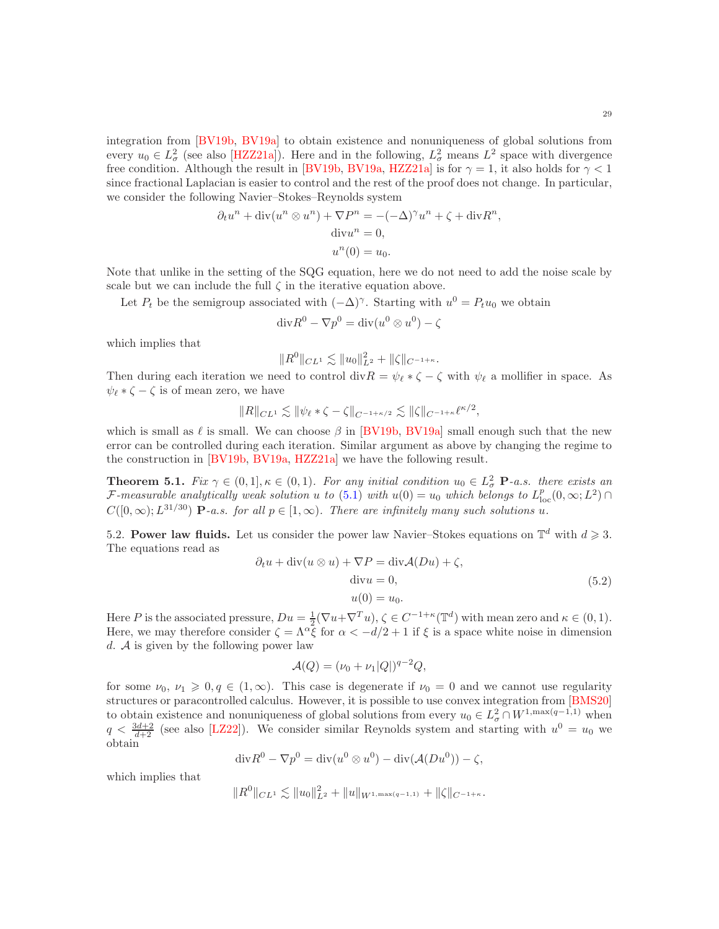integration from [\[BV19b,](#page-29-12) [BV19a\]](#page-29-23) to obtain existence and nonuniqueness of global solutions from every  $u_0 \in L^2_\sigma$  (see also [\[HZZ21a\]](#page-30-18)). Here and in the following,  $L^2_\sigma$  means  $L^2$  space with divergence free condition. Although the result in [\[BV19b,](#page-29-12) [BV19a,](#page-29-23) [HZZ21a\]](#page-30-18) is for  $\gamma = 1$ , it also holds for  $\gamma < 1$ since fractional Laplacian is easier to control and the rest of the proof does not change. In particular, we consider the following Navier–Stokes–Reynolds system

$$
\partial_t u^n + \operatorname{div}(u^n \otimes u^n) + \nabla P^n = -(-\Delta)^{\gamma} u^n + \zeta + \operatorname{div} R^n,
$$
  
\n
$$
\operatorname{div} u^n = 0,
$$
  
\n
$$
u^n(0) = u_0.
$$

Note that unlike in the setting of the SQG equation, here we do not need to add the noise scale by scale but we can include the full  $\zeta$  in the iterative equation above.

Let  $P_t$  be the semigroup associated with  $(-\Delta)^\gamma$ . Starting with  $u^0 = P_t u_0$  we obtain

$$
\mathrm{div} R^0 - \nabla p^0 = \mathrm{div}(u^0 \otimes u^0) - \zeta
$$

which implies that

$$
||R^0||_{CL^1} \lesssim ||u_0||_{L^2}^2 + ||\zeta||_{C^{-1+\kappa}}.
$$

Then during each iteration we need to control div $R = \psi_{\ell} * \zeta - \zeta$  with  $\psi_{\ell}$  a mollifier in space. As  $\psi_{\ell} * \zeta - \zeta$  is of mean zero, we have

$$
||R||_{CL^1} \lesssim ||\psi_{\ell} * \zeta - \zeta||_{C^{-1+\kappa/2}} \lesssim ||\zeta||_{C^{-1+\kappa}} \ell^{\kappa/2},
$$

which is small as  $\ell$  is small. We can choose  $\beta$  in [\[BV19b,](#page-29-12) [BV19a\]](#page-29-23) small enough such that the new error can be controlled during each iteration. Similar argument as above by changing the regime to the construction in [\[BV19b,](#page-29-12) [BV19a,](#page-29-23) [HZZ21a\]](#page-30-18) we have the following result.

**Theorem 5.1.** *Fix*  $\gamma \in (0,1], \kappa \in (0,1)$ *. For any initial condition*  $u_0 \in L^2_{\sigma}$  **P**-a.s. there exists an  $\mathcal{F}\text{-}measurable\ analytically\ weak\ solution\ u\ to\ (5.1)\ with\ u(0)=u_0\ which\ belongs\ to\ L^p_{\text{loc}}(0,\infty;L^2)\cap L^p$  $\mathcal{F}\text{-}measurable\ analytically\ weak\ solution\ u\ to\ (5.1)\ with\ u(0)=u_0\ which\ belongs\ to\ L^p_{\text{loc}}(0,\infty;L^2)\cap L^p$  $\mathcal{F}\text{-}measurable\ analytically\ weak\ solution\ u\ to\ (5.1)\ with\ u(0)=u_0\ which\ belongs\ to\ L^p_{\text{loc}}(0,\infty;L^2)\cap L^p$  $C([0,\infty); L^{31/30})$  **P**-a.s. for all  $p \in [1,\infty)$ . There are infinitely many such solutions u.

<span id="page-28-0"></span>5.2. Power law fluids. Let us consider the power law Navier–Stokes equations on  $\mathbb{T}^d$  with  $d \geq 3$ . The equations read as

<span id="page-28-1"></span>
$$
\partial_t u + \operatorname{div}(u \otimes u) + \nabla P = \operatorname{div} \mathcal{A}(Du) + \zeta,
$$
  
\n
$$
\operatorname{div} u = 0,
$$
  
\n
$$
u(0) = u_0.
$$
\n(5.2)

Here P is the associated pressure,  $Du = \frac{1}{2}(\nabla u + \nabla^T u)$ ,  $\zeta \in C^{-1+\kappa}(\mathbb{T}^d)$  with mean zero and  $\kappa \in (0,1)$ . Here, we may therefore consider  $\zeta = \Lambda^{\alpha} \bar{\zeta}$  for  $\alpha < -d/2 + 1$  if  $\xi$  is a space white noise in dimension d.  $\mathcal A$  is given by the following power law

$$
\mathcal{A}(Q) = (\nu_0 + \nu_1 |Q|)^{q-2} Q,
$$

for some  $\nu_0, \nu_1 \geq 0, q \in (1,\infty)$ . This case is degenerate if  $\nu_0 = 0$  and we cannot use regularity structures or paracontrolled calculus. However, it is possible to use convex integration from [\[BMS20\]](#page-29-16) to obtain existence and nonuniqueness of global solutions from every  $u_0 \in L^2_\sigma \cap W^{1,\max(q-1,1)}$  when  $q < \frac{3d+2}{d+2}$  (see also [\[LZ22\]](#page-30-20)). We consider similar Reynolds system and starting with  $u^0 = u_0$  we obtain

$$
\mathrm{div} R^0 - \nabla p^0 = \mathrm{div}(u^0 \otimes u^0) - \mathrm{div}(\mathcal{A}(Du^0)) - \zeta,
$$

which implies that

$$
||R^0||_{CL^1} \lesssim ||u_0||_{L^2}^2 + ||u||_{W^{1,\max(q-1,1)}} + ||\zeta||_{C^{-1+\kappa}}.
$$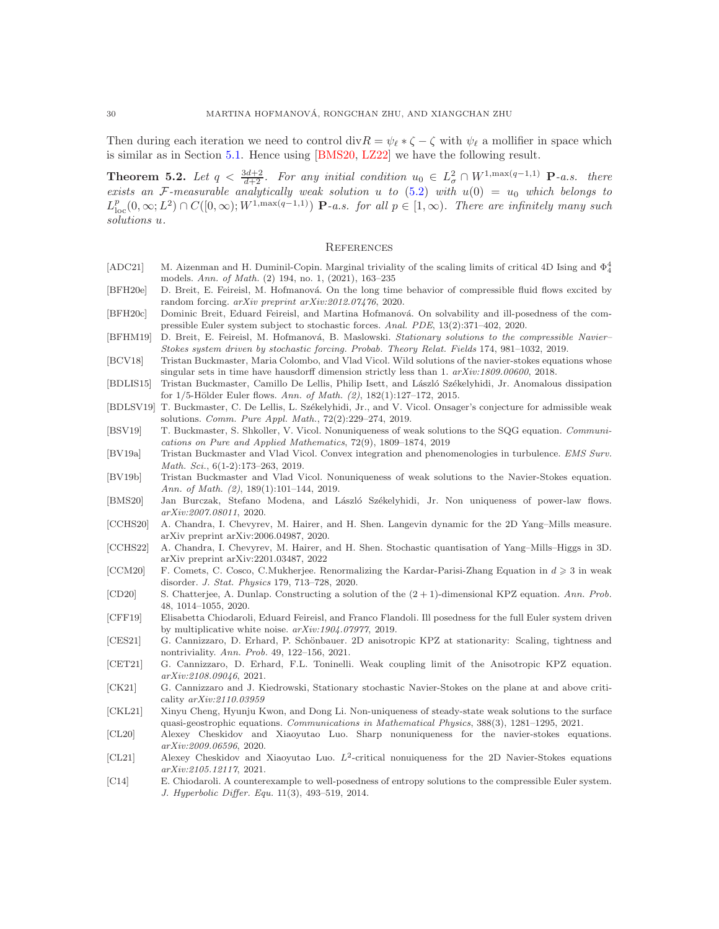Then during each iteration we need to control div $R = \psi_{\ell} * \zeta - \zeta$  with  $\psi_{\ell}$  a mollifier in space which is similar as in Section [5.1.](#page-27-1) Hence using [\[BMS20,](#page-29-16) [LZ22\]](#page-30-20) we have the following result.

**Theorem 5.2.** Let  $q < \frac{3d+2}{d+2}$ . For any initial condition  $u_0 \in L^2_{\sigma} \cap W^{1,\max(q-1,1)}$  **P**-a.s. there *exists an* F-measurable analytically weak solution u to  $(5.2)$  with  $u(0) = u_0$  which belongs to  $L_{\text{loc}}^p(0,\infty;L^2) \cap C([0,\infty);W^{1,\max(q-1,1)})$  **P**-a.s. for all  $p \in [1,\infty)$ . There are infinitely many such *solutions* u*.*

#### <span id="page-29-0"></span>**REFERENCES**

- <span id="page-29-6"></span>[ADC21] M. Aizenman and H. Duminil-Copin. Marginal triviality of the scaling limits of critical 4D Ising and  $\Phi_4^4$ models. Ann. of Math. (2) 194, no. 1, (2021), 163–235
- <span id="page-29-22"></span>[BFH20e] D. Breit, E. Feireisl, M. Hofmanová. On the long time behavior of compressible fluid flows excited by random forcing. arXiv preprint arXiv:2012.07476, 2020.
- <span id="page-29-19"></span>[BFH20c] Dominic Breit, Eduard Feireisl, and Martina Hofmanová. On solvability and ill-posedness of the compressible Euler system subject to stochastic forces. Anal. PDE, 13(2):371–402, 2020.
- <span id="page-29-21"></span>[BFHM19] D. Breit, E. Feireisl, M. Hofmanová, B. Maslowski. Stationary solutions to the compressible Navier– Stokes system driven by stochastic forcing. Probab. Theory Relat. Fields 174, 981–1032, 2019.
- <span id="page-29-11"></span>[BCV18] Tristan Buckmaster, Maria Colombo, and Vlad Vicol. Wild solutions of the navier-stokes equations whose singular sets in time have hausdorff dimension strictly less than 1.  $arXiv:1809.00600$ , 2018.
- <span id="page-29-9"></span>[BDLIS15] Tristan Buckmaster, Camillo De Lellis, Philip Isett, and László Székelyhidi, Jr. Anomalous dissipation for  $1/5$ -Hölder Euler flows. Ann. of Math.  $(2)$ ,  $182(1):127-172$ ,  $2015$ .
- <span id="page-29-10"></span>[BDLSV19] T. Buckmaster, C. De Lellis, L. Székelyhidi, Jr., and V. Vicol. Onsager's conjecture for admissible weak solutions. Comm. Pure Appl. Math., 72(2):229–274, 2019.
- <span id="page-29-17"></span>[BSV19] T. Buckmaster, S. Shkoller, V. Vicol. Nonuniqueness of weak solutions to the SQG equation. Communications on Pure and Applied Mathematics, 72(9), 1809–1874, 2019
- <span id="page-29-23"></span>[BV19a] Tristan Buckmaster and Vlad Vicol. Convex integration and phenomenologies in turbulence. EMS Surv. Math. Sci., 6(1-2):173–263, 2019.
- <span id="page-29-12"></span>[BV19b] Tristan Buckmaster and Vlad Vicol. Nonuniqueness of weak solutions to the Navier-Stokes equation. Ann. of Math. (2), 189(1):101–144, 2019.
- <span id="page-29-16"></span>[BMS20] Jan Burczak, Stefano Modena, and László Székelyhidi, Jr. Non uniqueness of power-law flows. arXiv:2007.08011, 2020.
- <span id="page-29-7"></span>[CCHS20] A. Chandra, I. Chevyrev, M. Hairer, and H. Shen. Langevin dynamic for the 2D Yang–Mills measure. arXiv preprint arXiv:2006.04987, 2020.
- <span id="page-29-8"></span>[CCHS22] A. Chandra, I. Chevyrev, M. Hairer, and H. Shen. Stochastic quantisation of Yang–Mills–Higgs in 3D. arXiv preprint arXiv:2201.03487, 2022
- <span id="page-29-5"></span>[CCM20] F. Comets, C. Cosco, C.Mukherjee. Renormalizing the Kardar-Parisi-Zhang Equation in  $d \geq 3$  in weak disorder. J. Stat. Physics 179, 713–728, 2020.
- <span id="page-29-1"></span>[CD20] S. Chatterjee, A. Dunlap. Constructing a solution of the  $(2 + 1)$ -dimensional KPZ equation. Ann. Prob. 48, 1014–1055, 2020.
- <span id="page-29-20"></span>[CFF19] Elisabetta Chiodaroli, Eduard Feireisl, and Franco Flandoli. Ill posedness for the full Euler system driven by multiplicative white noise. arXiv:1904.07977, 2019.
- <span id="page-29-2"></span>[CES21] G. Cannizzaro, D. Erhard, P. Schönbauer. 2D anisotropic KPZ at stationarity: Scaling, tightness and nontriviality. Ann. Prob. 49, 122–156, 2021.
- <span id="page-29-3"></span>[CET21] G. Cannizzaro, D. Erhard, F.L. Toninelli. Weak coupling limit of the Anisotropic KPZ equation. arXiv:2108.09046, 2021.
- <span id="page-29-4"></span>[CK21] G. Cannizzaro and J. Kiedrowski, Stationary stochastic Navier-Stokes on the plane at and above criticality arXiv:2110.03959
- <span id="page-29-18"></span>[CKL21] Xinyu Cheng, Hyunju Kwon, and Dong Li. Non-uniqueness of steady-state weak solutions to the surface quasi-geostrophic equations. Communications in Mathematical Physics, 388(3), 1281–1295, 2021.
- <span id="page-29-13"></span>[CL20] Alexey Cheskidov and Xiaoyutao Luo. Sharp nonuniqueness for the navier-stokes equations. arXiv:2009.06596, 2020.
- <span id="page-29-14"></span>[CL21] Alexey Cheskidov and Xiaoyutao Luo.  $L^2$ -critical nonuiqueness for the 2D Navier-Stokes equations arXiv:2105.12117, 2021.
- <span id="page-29-15"></span>[C14] E. Chiodaroli. A counterexample to well-posedness of entropy solutions to the compressible Euler system. J. Hyperbolic Differ. Equ. 11(3), 493–519, 2014.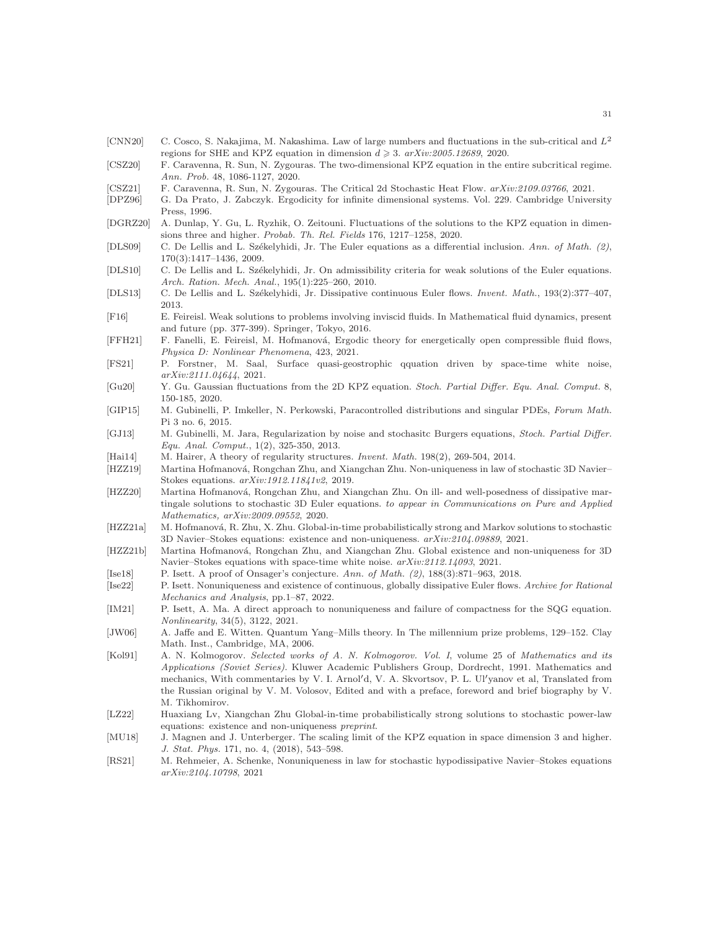- <span id="page-30-7"></span>[CNN20] C. Cosco, S. Nakajima, M. Nakashima. Law of large numbers and fluctuations in the sub-critical and  $L^2$ regions for SHE and KPZ equation in dimension  $d \geq 3$ .  $arXiv:2005.12689, 2020$ .
- <span id="page-30-2"></span>[CSZ20] F. Caravenna, R. Sun, N. Zygouras. The two-dimensional KPZ equation in the entire subcritical regime. Ann. Prob. 48, 1086-1127, 2020.
- <span id="page-30-4"></span>[CSZ21] F. Caravenna, R. Sun, N. Zygouras. The Critical 2d Stochastic Heat Flow. arXiv:2109.03766, 2021.
- <span id="page-30-25"></span>[DPZ96] G. Da Prato, J. Zabczyk. Ergodicity for infinite dimensional systems. Vol. 229. Cambridge University Press, 1996.
- <span id="page-30-6"></span>[DGRZ20] A. Dunlap, Y. Gu, L. Ryzhik, O. Zeitouni. Fluctuations of the solutions to the KPZ equation in dimensions three and higher. Probab. Th. Rel. Fields 176, 1217–1258, 2020.
- <span id="page-30-10"></span>[DLS09] C. De Lellis and L. Székelyhidi, Jr. The Euler equations as a differential inclusion. Ann. of Math. (2), 170(3):1417–1436, 2009.
- <span id="page-30-11"></span>[DLS10] C. De Lellis and L. Székelyhidi, Jr. On admissibility criteria for weak solutions of the Euler equations. Arch. Ration. Mech. Anal., 195(1):225–260, 2010.
- <span id="page-30-12"></span>[DLS13] C. De Lellis and L. Székelyhidi, Jr. Dissipative continuous Euler flows. *Invent. Math.*, 193(2):377–407, 2013.
- <span id="page-30-14"></span>[F16] E. Feireisl. Weak solutions to problems involving inviscid fluids. In Mathematical fluid dynamics, present and future (pp. 377-399). Springer, Tokyo, 2016.
- <span id="page-30-22"></span>[FFH21] F. Fanelli, E. Feireisl, M. Hofmanová, Ergodic theory for energetically open compressible fluid flows, Physica D: Nonlinear Phenomena, 423, 2021.
- <span id="page-30-23"></span>[FS21] P. Forstner, M. Saal, Surface quasi-geostrophic qquation driven by space-time white noise, arXiv:2111.04644, 2021.
- <span id="page-30-3"></span>[Gu20] Y. Gu. Gaussian fluctuations from the 2D KPZ equation. Stoch. Partial Differ. Equ. Anal. Comput. 8, 150-185, 2020.
- <span id="page-30-1"></span>[GIP15] M. Gubinelli, P. Imkeller, N. Perkowski, Paracontrolled distributions and singular PDEs, Forum Math. Pi 3 no. 6, 2015.
- <span id="page-30-8"></span>[GJ13] M. Gubinelli, M. Jara, Regularization by noise and stochasitc Burgers equations, Stoch. Partial Differ. Equ. Anal. Comput., 1(2), 325-350, 2013.
- <span id="page-30-0"></span>[Hai14] M. Hairer, A theory of regularity structures. Invent. Math. 198(2), 269-504, 2014.
- <span id="page-30-16"></span>[HZZ19] Martina Hofmanová, Rongchan Zhu, and Xiangchan Zhu. Non-uniqueness in law of stochastic 3D Navier– Stokes equations. arXiv:1912.11841v2, 2019.
- <span id="page-30-17"></span>[HZZ20] Martina Hofmanová, Rongchan Zhu, and Xiangchan Zhu. On ill- and well-posedness of dissipative martingale solutions to stochastic 3D Euler equations. to appear in Communications on Pure and Applied Mathematics, arXiv:2009.09552, 2020.
- <span id="page-30-18"></span>[HZZ21a] M. Hofmanová, R. Zhu, X. Zhu. Global-in-time probabilistically strong and Markov solutions to stochastic 3D Navier–Stokes equations: existence and non-uniqueness. arXiv:2104.09889, 2021.
- <span id="page-30-19"></span>[HZZ21b] Martina Hofmanová, Rongchan Zhu, and Xiangchan Zhu. Global existence and non-uniqueness for 3D Navier–Stokes equations with space-time white noise. arXiv:2112.14093, 2021.
- <span id="page-30-13"></span>[Ise18] P. Isett. A proof of Onsager's conjecture. Ann. of Math. (2), 188(3):871–963, 2018.
- <span id="page-30-24"></span>[Ise22] P. Isett. Nonuniqueness and existence of continuous, globally dissipative Euler flows. Archive for Rational Mechanics and Analysis, pp.1–87, 2022.
- <span id="page-30-15"></span>[IM21] P. Isett, A. Ma. A direct approach to nonuniqueness and failure of compactness for the SQG equation. Nonlinearity, 34(5), 3122, 2021.
- <span id="page-30-9"></span>[JW06] A. Jaffe and E. Witten. Quantum Yang–Mills theory. In The millennium prize problems, 129–152. Clay Math. Inst., Cambridge, MA, 2006.
- <span id="page-30-26"></span>[Kol91] A. N. Kolmogorov. Selected works of A. N. Kolmogorov. Vol. I, volume 25 of Mathematics and its Applications (Soviet Series). Kluwer Academic Publishers Group, Dordrecht, 1991. Mathematics and mechanics, With commentaries by V. I. Arnol′d, V. A. Skvortsov, P. L. Ul′yanov et al, Translated from the Russian original by V. M. Volosov, Edited and with a preface, foreword and brief biography by V. M. Tikhomirov.
- <span id="page-30-20"></span>[LZ22] Huaxiang Lv, Xiangchan Zhu Global-in-time probabilistically strong solutions to stochastic power-law equations: existence and non-uniqueness preprint.
- <span id="page-30-5"></span>[MU18] J. Magnen and J. Unterberger. The scaling limit of the KPZ equation in space dimension 3 and higher. J. Stat. Phys. 171, no. 4, (2018), 543–598.
- <span id="page-30-21"></span>[RS21] M. Rehmeier, A. Schenke, Nonuniqueness in law for stochastic hypodissipative Navier–Stokes equations arXiv:2104.10798, 2021